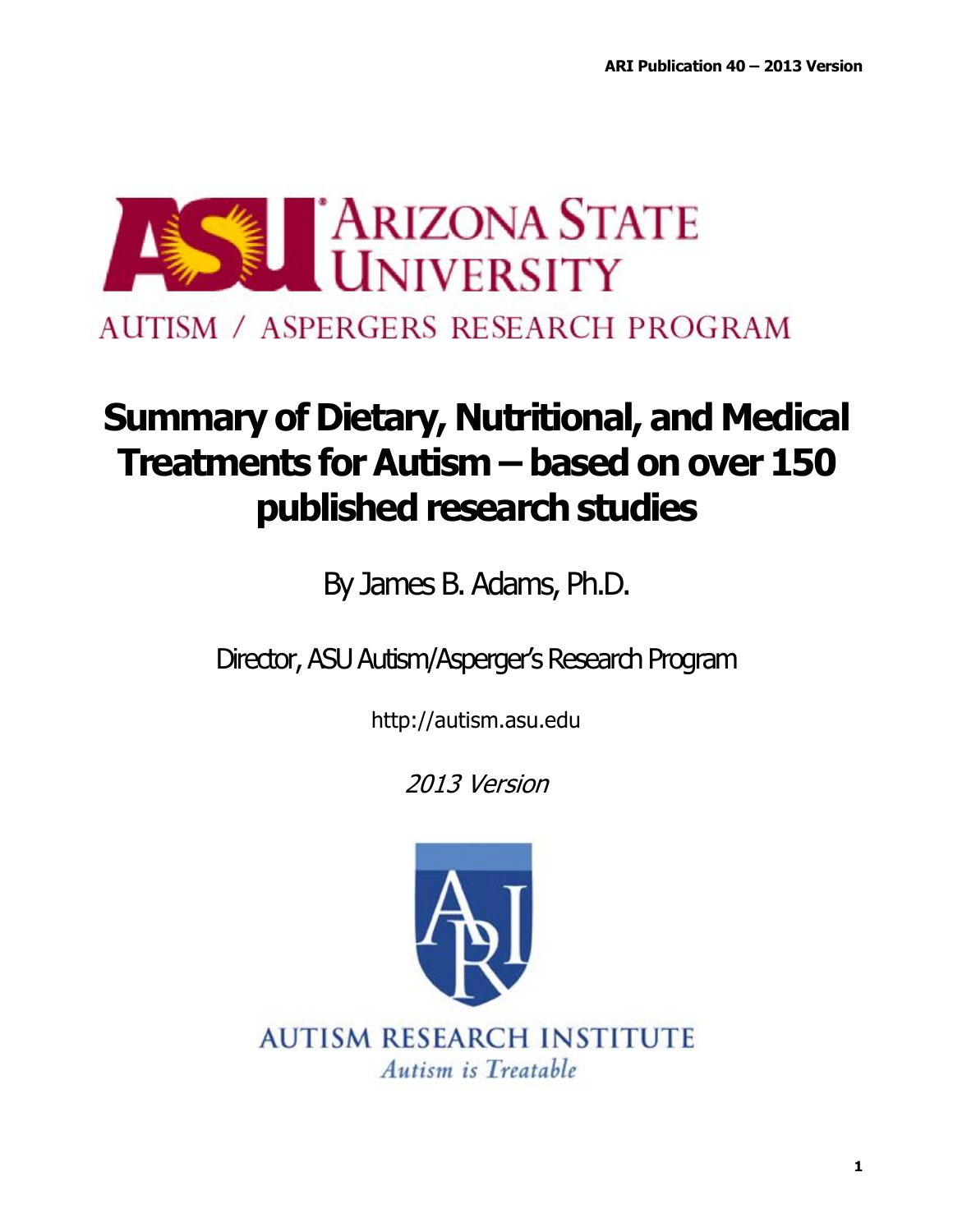

AUTISM / ASPERGERS RESEARCH PROGRAM

# **Summary of Dietary, Nutritional, and Medical Treatments for Autism – based on over 150** published research studies

By James B. Adams, Ph.D.

Director, ASU Autism/Asperger's Research Program

http://autism.asu.edu

2013 Version

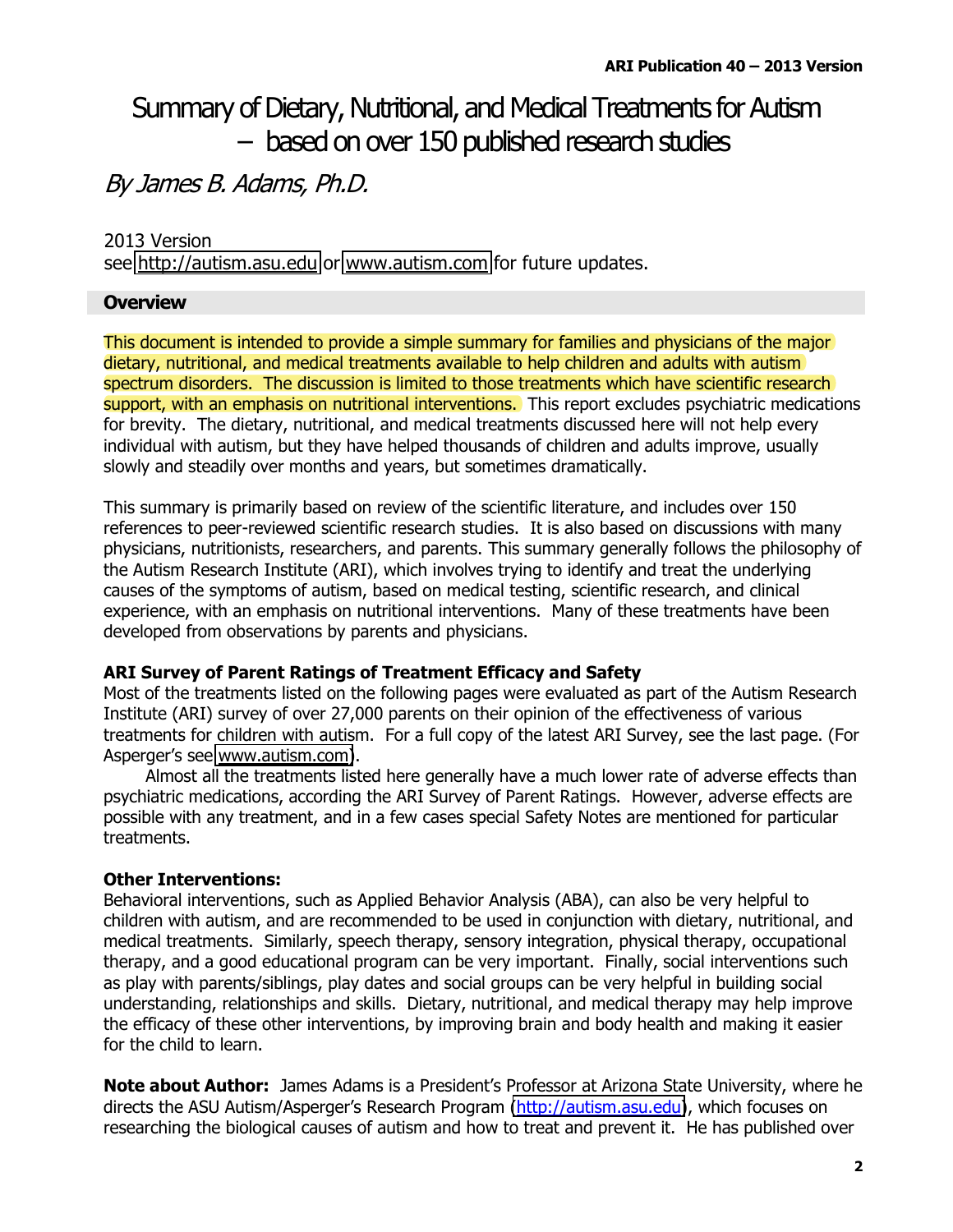### Summary of Dietary, Nutritional, and Medical Treatments for Autism - based on over 150 published research studies

### By James B. Adams, Ph.D.

### 2013 Version

see http://autism.asu.edu or www.autism.com for future updates.

### **Overview**

This document is intended to provide a simple summary for families and physicians of the major dietary, nutritional, and medical treatments available to help children and adults with autism spectrum disorders. The discussion is limited to those treatments which have scientific research support, with an emphasis on nutritional interventions. This report excludes psychiatric medications for brevity. The dietary, nutritional, and medical treatments discussed here will not help every individual with autism, but they have helped thousands of children and adults improve, usually slowly and steadily over months and years, but sometimes dramatically.

This summary is primarily based on review of the scientific literature, and includes over 150 references to peer-reviewed scientific research studies. It is also based on discussions with many physicians, nutritionists, researchers, and parents. This summary generally follows the philosophy of the Autism Research Institute (ARI), which involves trying to identify and treat the underlying causes of the symptoms of autism, based on medical testing, scientific research, and clinical experience, with an emphasis on nutritional interventions. Many of these treatments have been developed from observations by parents and physicians.

#### **ARI Survey of Parent Ratings of Treatment Efficacy and Safety**

Most of the treatments listed on the following pages were evaluated as part of the Autism Research Institute (ARI) survey of over 27,000 parents on their opinion of the effectiveness of various treatments for children with autism. For a full copy of the latest ARI Survey, see the last page. (For Asperger's see www.autism.com).

Almost all the treatments listed here generally have a much lower rate of adverse effects than psychiatric medications, according the ARI Survey of Parent Ratings. However, adverse effects are possible with any treatment, and in a few cases special Safety Notes are mentioned for particular treatments.

### **Other Interventions:**

Behavioral interventions, such as Applied Behavior Analysis (ABA), can also be very helpful to children with autism, and are recommended to be used in conjunction with dietary, nutritional, and medical treatments. Similarly, speech therapy, sensory integration, physical therapy, occupational therapy, and a good educational program can be very important. Finally, social interventions such as play with parents/siblings, play dates and social groups can be very helpful in building social understanding, relationships and skills. Dietary, nutritional, and medical therapy may help improve the efficacy of these other interventions, by improving brain and body health and making it easier for the child to learn.

Note about Author: James Adams is a President's Professor at Arizona State University, where he directs the ASU Autism/Asperger's Research Program (http://autism.asu.edu), which focuses on researching the biological causes of autism and how to treat and prevent it. He has published over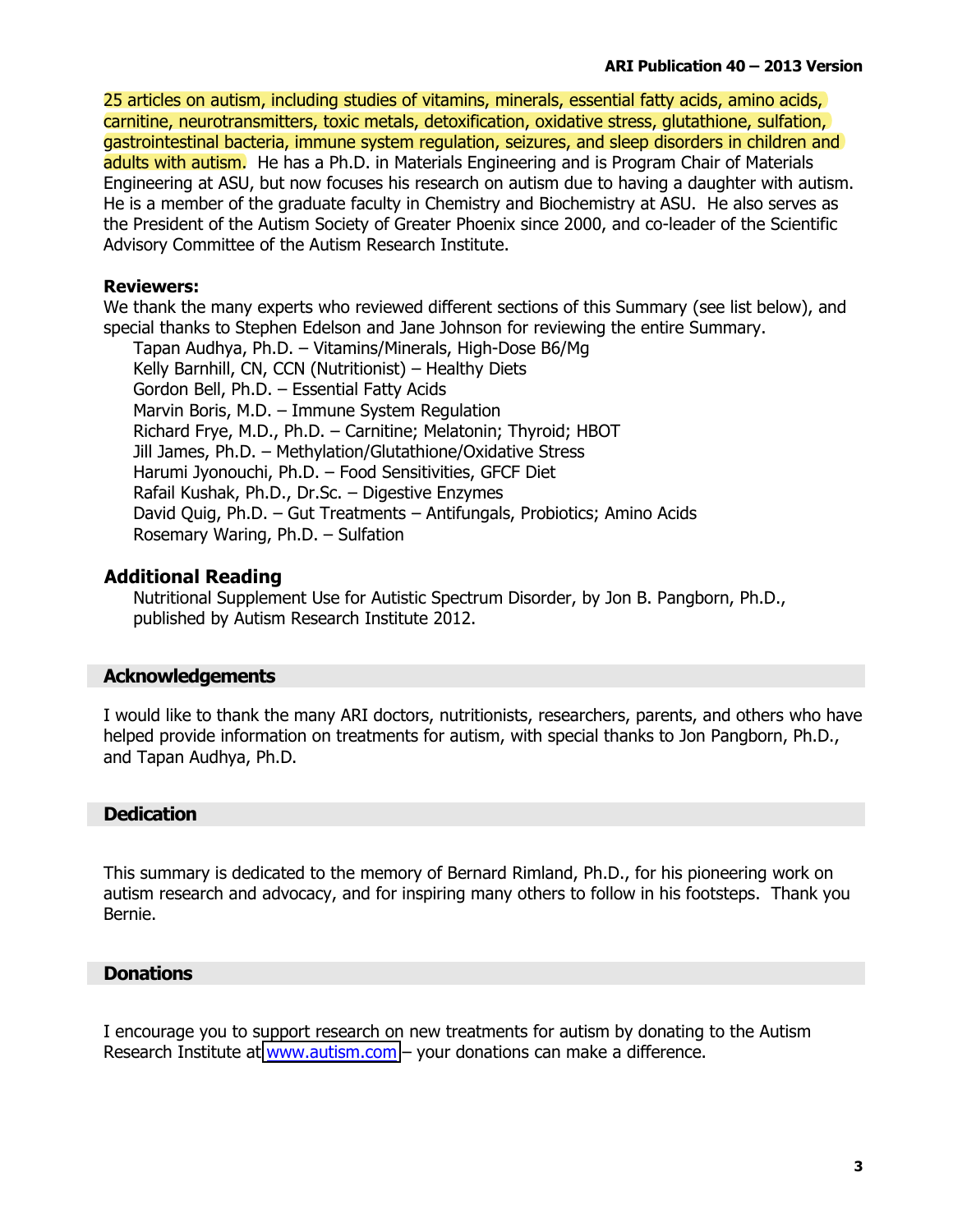25 articles on autism, including studies of vitamins, minerals, essential fatty acids, amino acids, carnitine, neurotransmitters, toxic metals, detoxification, oxidative stress, glutathione, sulfation, gastrointestinal bacteria, immune system regulation, seizures, and sleep disorders in children and adults with autism. He has a Ph.D. in Materials Engineering and is Program Chair of Materials Engineering at ASU, but now focuses his research on autism due to having a daughter with autism. He is a member of the graduate faculty in Chemistry and Biochemistry at ASU. He also serves as the President of the Autism Society of Greater Phoenix since 2000, and co-leader of the Scientific Advisory Committee of the Autism Research Institute.

### **Reviewers:**

We thank the many experts who reviewed different sections of this Summary (see list below), and special thanks to Stephen Edelson and Jane Johnson for reviewing the entire Summary.

Tapan Audhya, Ph.D. - Vitamins/Minerals, High-Dose B6/Mg Kelly Barnhill, CN, CCN (Nutritionist) - Healthy Diets Gordon Bell, Ph.D. - Essential Fatty Acids Marvin Boris, M.D. - Immune System Regulation Richard Frye, M.D., Ph.D. - Carnitine; Melatonin; Thyroid; HBOT Jill James, Ph.D. - Methylation/Glutathione/Oxidative Stress Harumi Jyonouchi, Ph.D. - Food Sensitivities, GFCF Diet Rafail Kushak, Ph.D., Dr.Sc. - Digestive Enzymes David Quig, Ph.D. - Gut Treatments - Antifungals, Probiotics; Amino Acids Rosemary Waring, Ph.D. - Sulfation

### **Additional Reading**

Nutritional Supplement Use for Autistic Spectrum Disorder, by Jon B. Pangborn, Ph.D., published by Autism Research Institute 2012.

### **Acknowledgements**

I would like to thank the many ARI doctors, nutritionists, researchers, parents, and others who have helped provide information on treatments for autism, with special thanks to Jon Pangborn, Ph.D., and Tapan Audhya, Ph.D.

### **Dedication**

This summary is dedicated to the memory of Bernard Rimland, Ph.D., for his pioneering work on autism research and advocacy, and for inspiring many others to follow in his footsteps. Thank you Bernie.

### **Donations**

I encourage you to support research on new treatments for autism by donating to the Autism Research Institute at www.autism.com - your donations can make a difference.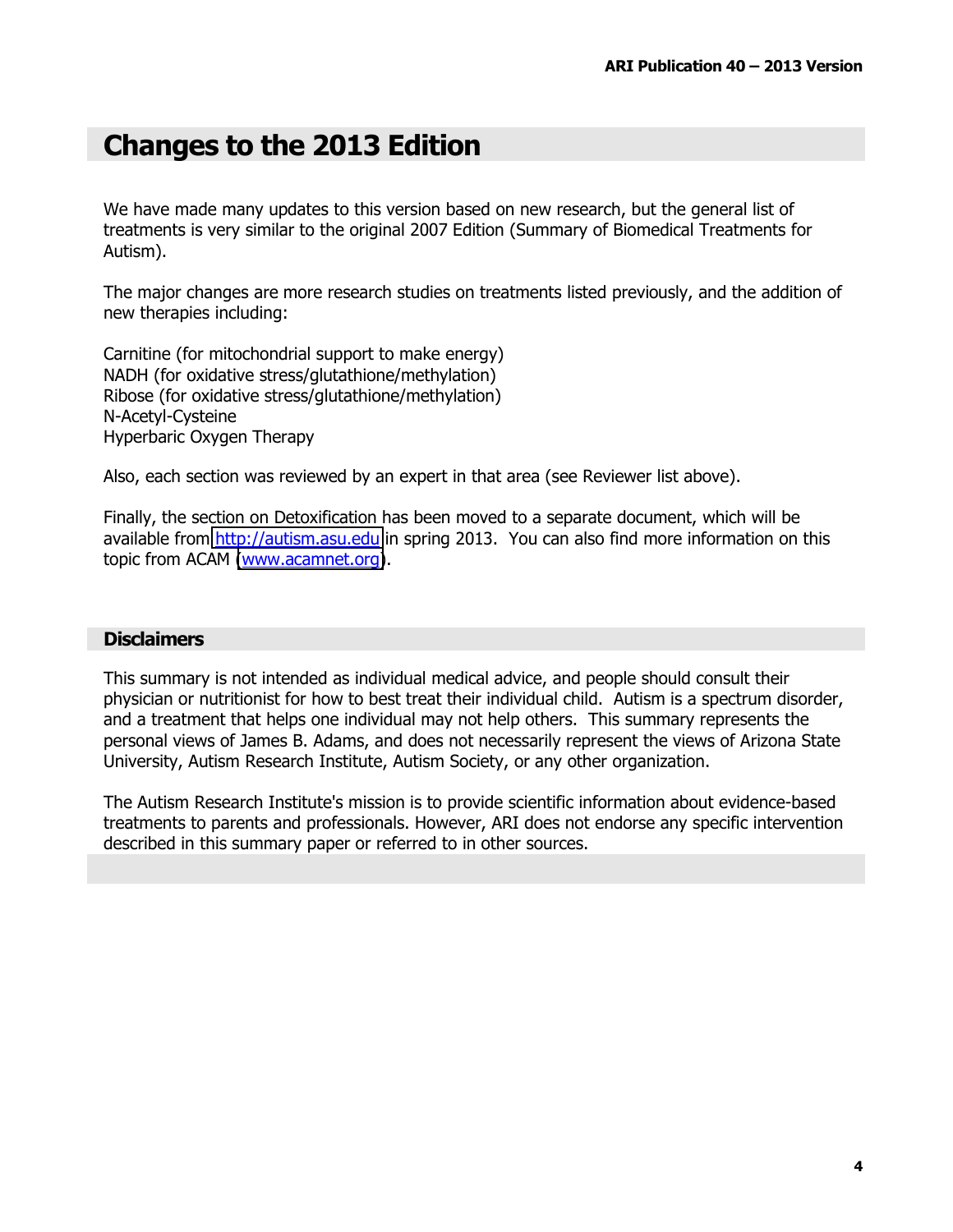### **Changes to the 2013 Edition**

We have made many updates to this version based on new research, but the general list of treatments is very similar to the original 2007 Edition (Summary of Biomedical Treatments for Autism).

The major changes are more research studies on treatments listed previously, and the addition of new therapies including:

Carnitine (for mitochondrial support to make energy) NADH (for oxidative stress/glutathione/methylation) Ribose (for oxidative stress/glutathione/methylation) N-Acetyl-Cysteine Hyperbaric Oxygen Therapy

Also, each section was reviewed by an expert in that area (see Reviewer list above).

Finally, the section on Detoxification has been moved to a separate document, which will be available from http://autism.asu.edu in spring 2013. You can also find more information on this topic from ACAM (www.acamnet.org).

#### **Disclaimers**

This summary is not intended as individual medical advice, and people should consult their physician or nutritionist for how to best treat their individual child. Autism is a spectrum disorder, and a treatment that helps one individual may not help others. This summary represents the personal views of James B. Adams, and does not necessarily represent the views of Arizona State University, Autism Research Institute, Autism Society, or any other organization.

The Autism Research Institute's mission is to provide scientific information about evidence-based treatments to parents and professionals. However, ARI does not endorse any specific intervention described in this summary paper or referred to in other sources.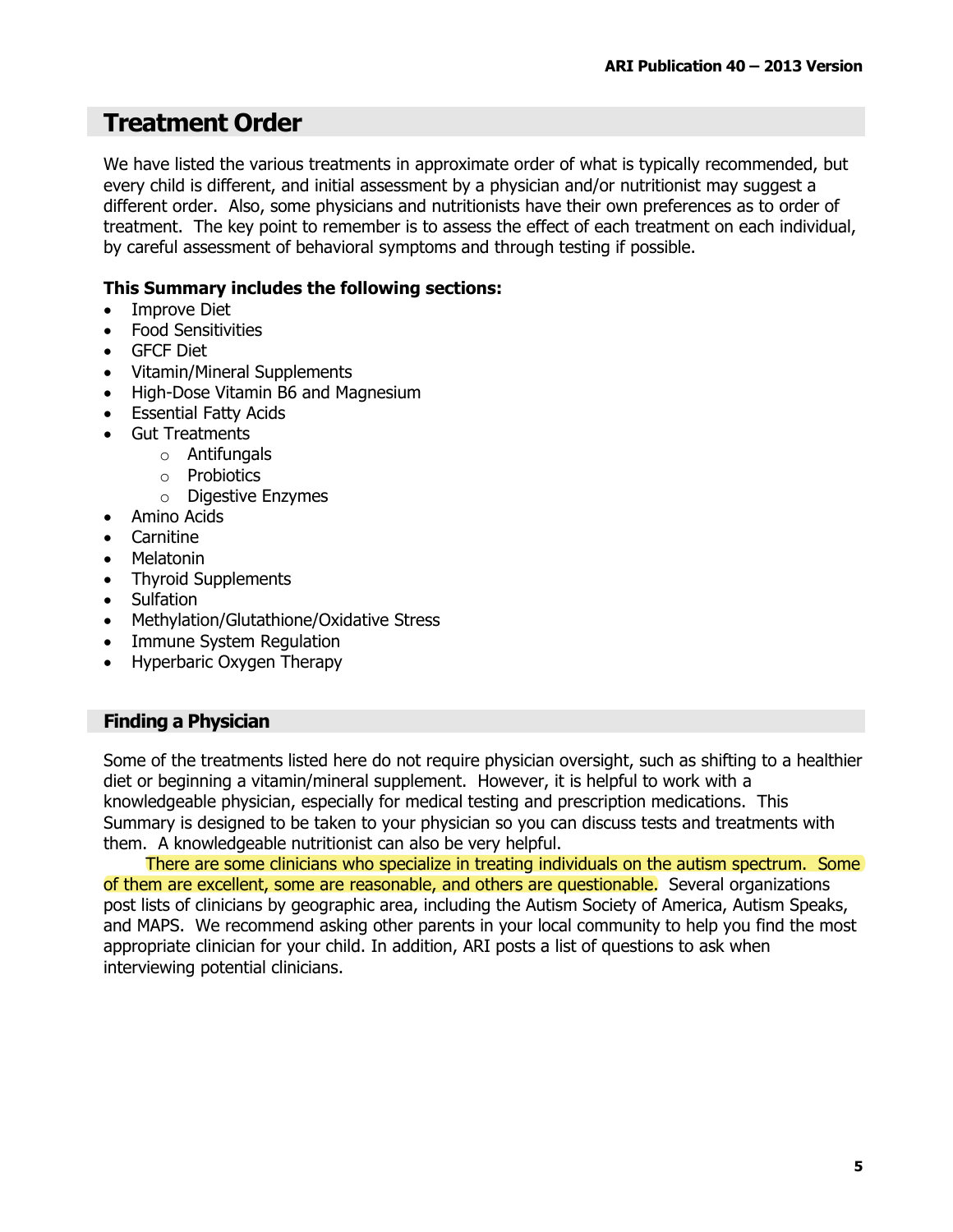### **Treatment Order**

We have listed the various treatments in approximate order of what is typically recommended, but every child is different, and initial assessment by a physician and/or nutritionist may suggest a different order. Also, some physicians and nutritionists have their own preferences as to order of treatment. The key point to remember is to assess the effect of each treatment on each individual, by careful assessment of behavioral symptoms and through testing if possible.

### This Summary includes the following sections:

- **Improve Diet**  $\bullet$
- **Food Sensitivities**
- GFCF Diet
- **Vitamin/Mineral Supplements**  $\bullet$
- High-Dose Vitamin B6 and Magnesium
- Essential Fatty Acids
- **Gut Treatments** 
	- $\circ$  Antifungals
		- $\circ$  Probiotics
		- $\circ$  Digestive Enzymes
- Amino Acids
- Carnitine
- Melatonin
- **Thyroid Supplements**
- Sulfation  $\bullet$
- Methylation/Glutathione/Oxidative Stress
- Immune System Regulation
- Hyperbaric Oxygen Therapy

### **Finding a Physician**

Some of the treatments listed here do not require physician oversight, such as shifting to a healthier diet or beginning a vitamin/mineral supplement. However, it is helpful to work with a knowledgeable physician, especially for medical testing and prescription medications. This Summary is designed to be taken to your physician so you can discuss tests and treatments with them. A knowledgeable nutritionist can also be very helpful.

There are some clinicians who specialize in treating individuals on the autism spectrum. Some of them are excellent, some are reasonable, and others are questionable. Several organizations post lists of clinicians by geographic area, including the Autism Society of America, Autism Speaks, and MAPS. We recommend asking other parents in your local community to help you find the most appropriate clinician for your child. In addition, ARI posts a list of questions to ask when interviewing potential clinicians.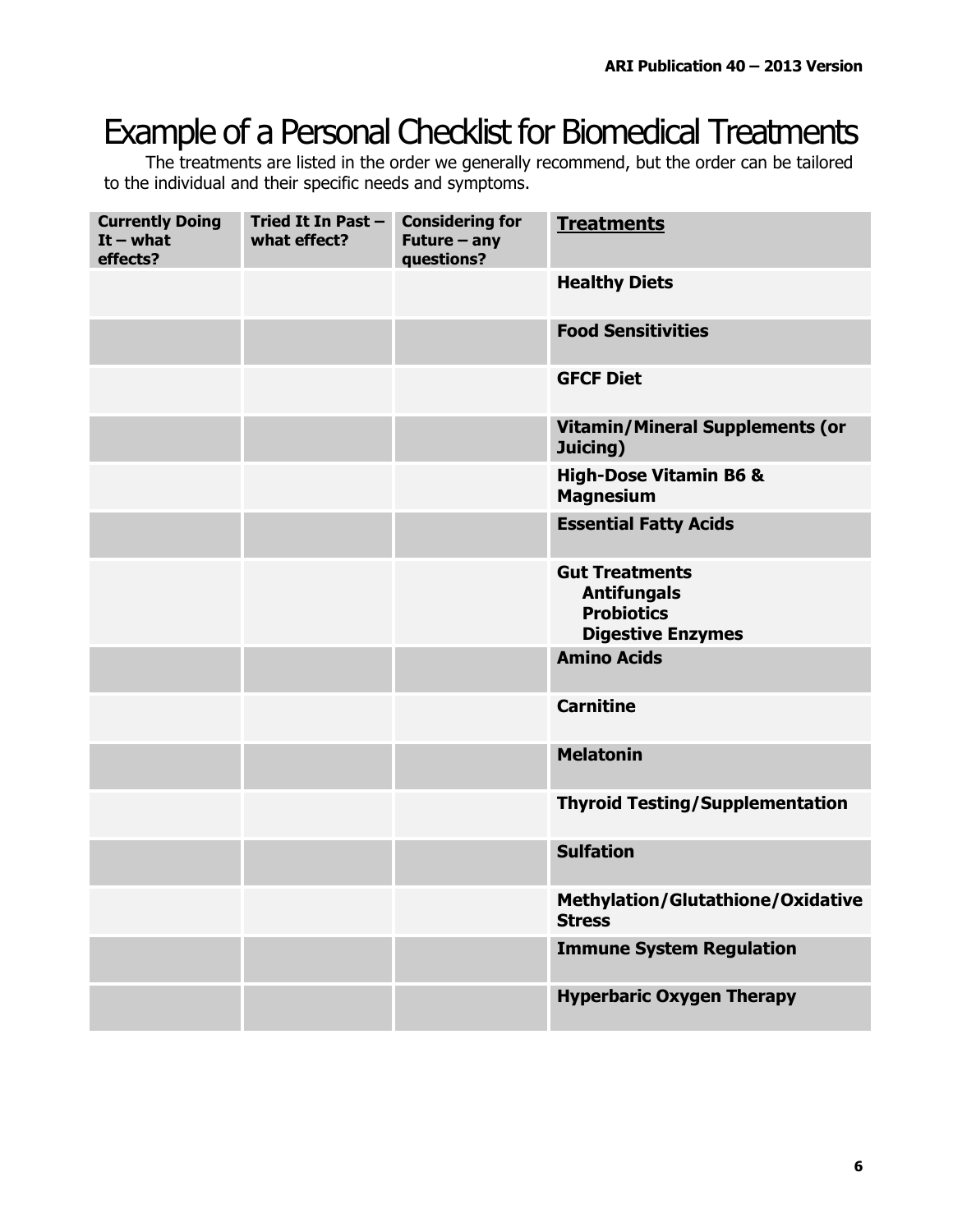### Example of a Personal Checklist for Biomedical Treatments

The treatments are listed in the order we generally recommend, but the order can be tailored to the individual and their specific needs and symptoms.

| <b>Currently Doing</b><br>$It - what$<br>effects? | Tried It In Past -<br>what effect? | <b>Considering for</b><br>Future $-$ any<br>questions? | <b>Treatments</b>                                                                            |
|---------------------------------------------------|------------------------------------|--------------------------------------------------------|----------------------------------------------------------------------------------------------|
|                                                   |                                    |                                                        | <b>Healthy Diets</b>                                                                         |
|                                                   |                                    |                                                        | <b>Food Sensitivities</b>                                                                    |
|                                                   |                                    |                                                        | <b>GFCF Diet</b>                                                                             |
|                                                   |                                    |                                                        | <b>Vitamin/Mineral Supplements (or</b><br>Juicing)                                           |
|                                                   |                                    |                                                        | <b>High-Dose Vitamin B6 &amp;</b><br><b>Magnesium</b>                                        |
|                                                   |                                    |                                                        | <b>Essential Fatty Acids</b>                                                                 |
|                                                   |                                    |                                                        | <b>Gut Treatments</b><br><b>Antifungals</b><br><b>Probiotics</b><br><b>Digestive Enzymes</b> |
|                                                   |                                    |                                                        | <b>Amino Acids</b>                                                                           |
|                                                   |                                    |                                                        | <b>Carnitine</b>                                                                             |
|                                                   |                                    |                                                        | <b>Melatonin</b>                                                                             |
|                                                   |                                    |                                                        | <b>Thyroid Testing/Supplementation</b>                                                       |
|                                                   |                                    |                                                        | <b>Sulfation</b>                                                                             |
|                                                   |                                    |                                                        | <b>Methylation/Glutathione/Oxidative</b><br><b>Stress</b>                                    |
|                                                   |                                    |                                                        | <b>Immune System Regulation</b>                                                              |
|                                                   |                                    |                                                        | <b>Hyperbaric Oxygen Therapy</b>                                                             |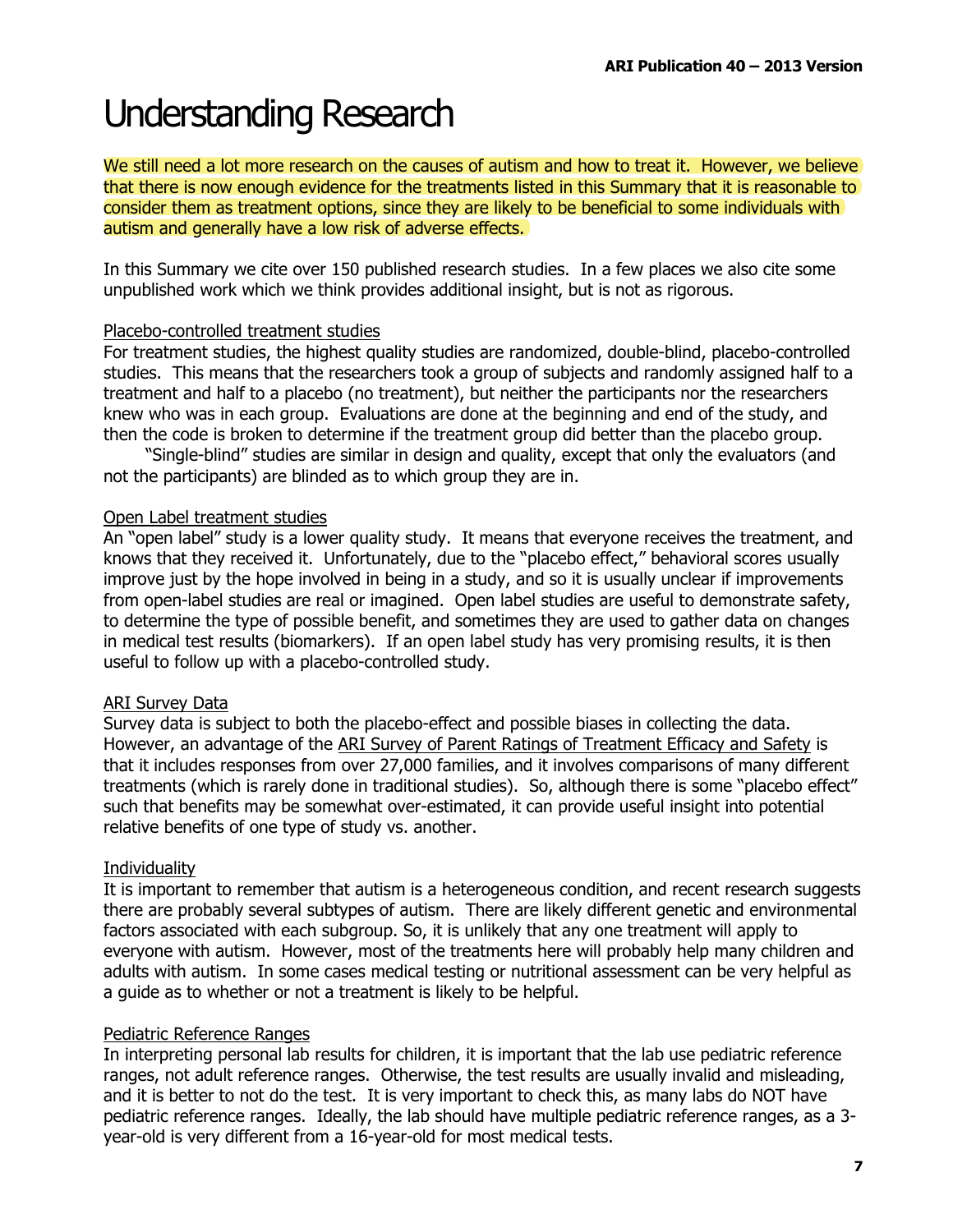# **Understanding Research**

We still need a lot more research on the causes of autism and how to treat it. However, we believe that there is now enough evidence for the treatments listed in this Summary that it is reasonable to consider them as treatment options, since they are likely to be beneficial to some individuals with autism and generally have a low risk of adverse effects.

In this Summary we cite over 150 published research studies. In a few places we also cite some unpublished work which we think provides additional insight, but is not as rigorous.

### Placebo-controlled treatment studies

For treatment studies, the highest quality studies are randomized, double-blind, placebo-controlled studies. This means that the researchers took a group of subjects and randomly assigned half to a treatment and half to a placebo (no treatment), but neither the participants nor the researchers knew who was in each group. Evaluations are done at the beginning and end of the study, and then the code is broken to determine if the treatment group did better than the placebo group.

"Single-blind" studies are similar in design and quality, except that only the evaluators (and not the participants) are blinded as to which group they are in.

### Open Label treatment studies

An "open label" study is a lower quality study. It means that everyone receives the treatment, and knows that they received it. Unfortunately, due to the "placebo effect," behavioral scores usually improve just by the hope involved in being in a study, and so it is usually unclear if improvements from open-label studies are real or imagined. Open label studies are useful to demonstrate safety, to determine the type of possible benefit, and sometimes they are used to gather data on changes in medical test results (biomarkers). If an open label study has very promising results, it is then useful to follow up with a placebo-controlled study.

### **ARI Survey Data**

Survey data is subject to both the placebo-effect and possible biases in collecting the data. However, an advantage of the ARI Survey of Parent Ratings of Treatment Efficacy and Safety is that it includes responses from over 27,000 families, and it involves comparisons of many different treatments (which is rarely done in traditional studies). So, although there is some "placebo effect" such that benefits may be somewhat over-estimated, it can provide useful insight into potential relative benefits of one type of study vs. another.

### Individuality

It is important to remember that autism is a heterogeneous condition, and recent research suggests there are probably several subtypes of autism. There are likely different genetic and environmental factors associated with each subgroup. So, it is unlikely that any one treatment will apply to everyone with autism. However, most of the treatments here will probably help many children and adults with autism. In some cases medical testing or nutritional assessment can be very helpful as a quide as to whether or not a treatment is likely to be helpful.

### Pediatric Reference Ranges

In interpreting personal lab results for children, it is important that the lab use pediatric reference ranges, not adult reference ranges. Otherwise, the test results are usually invalid and misleading, and it is better to not do the test. It is very important to check this, as many labs do NOT have pediatric reference ranges. Ideally, the lab should have multiple pediatric reference ranges, as a 3year-old is very different from a 16-year-old for most medical tests.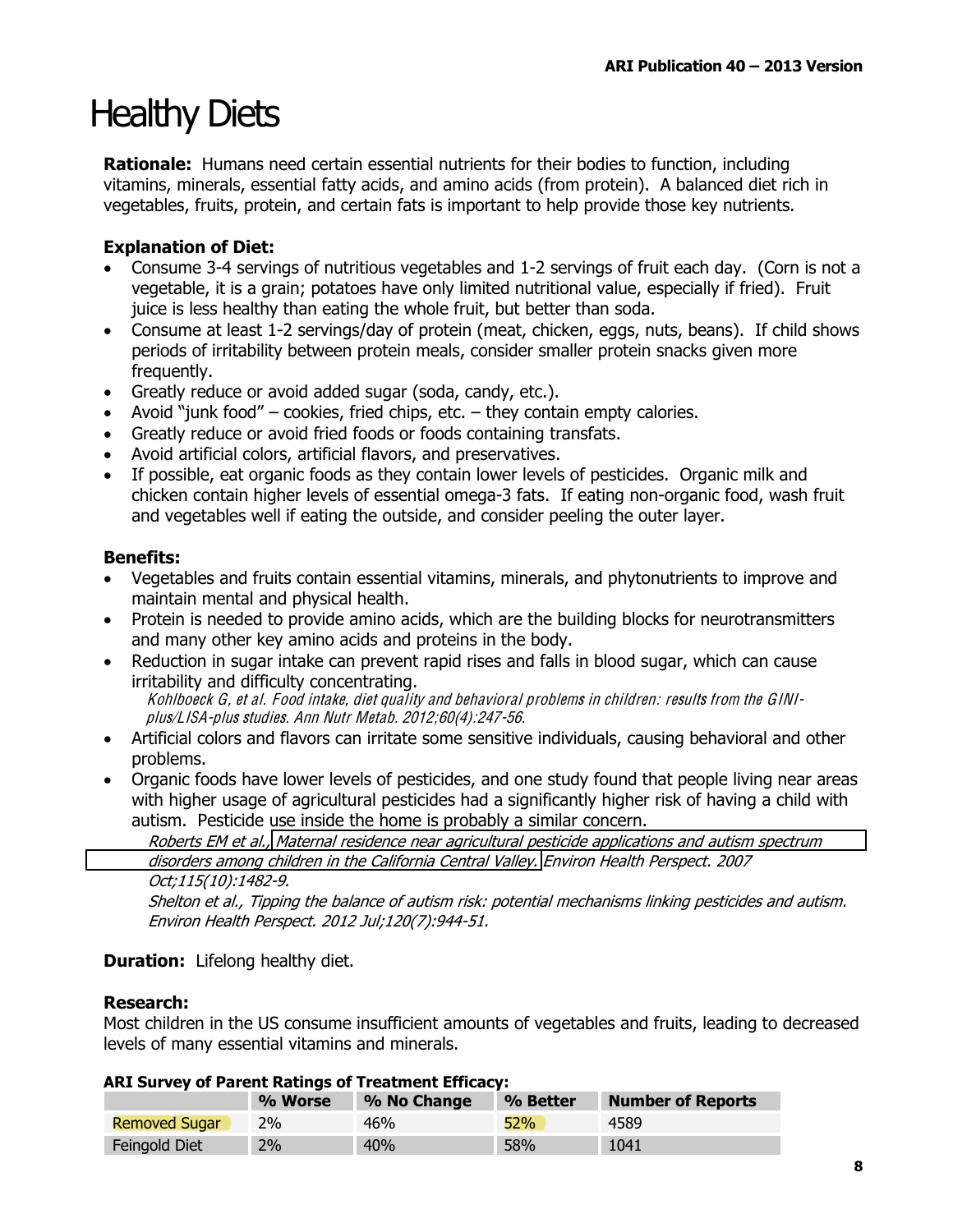## **Healthy Diets**

**Rationale:** Humans need certain essential nutrients for their bodies to function, including vitamins, minerals, essential fatty acids, and amino acids (from protein). A balanced diet rich in vegetables, fruits, protein, and certain fats is important to help provide those key nutrients.

### **Explanation of Diet:**

- Consume 3-4 servings of nutritious vegetables and 1-2 servings of fruit each day. (Corn is not a vegetable, it is a grain; potatoes have only limited nutritional value, especially if fried). Fruit juice is less healthy than eating the whole fruit, but better than soda.
- Consume at least 1-2 servings/day of protein (meat, chicken, eggs, nuts, beans). If child shows periods of irritability between protein meals, consider smaller protein snacks given more frequently.
- Greatly reduce or avoid added sugar (soda, candy, etc.).
- Avoid "junk food" cookies, fried chips, etc. they contain empty calories.
- Greatly reduce or avoid fried foods or foods containing transfats.
- Avoid artificial colors, artificial flavors, and preservatives.
- If possible, eat organic foods as they contain lower levels of pesticides. Organic milk and chicken contain higher levels of essential omega-3 fats. If eating non-organic food, wash fruit and vegetables well if eating the outside, and consider peeling the outer layer.

### **Benefits:**

- Vegetables and fruits contain essential vitamins, minerals, and phytonutrients to improve and maintain mental and physical health.
- Protein is needed to provide amino acids, which are the building blocks for neurotransmitters and many other key amino acids and proteins in the body.
- Reduction in sugar intake can prevent rapid rises and falls in blood sugar, which can cause irritability and difficulty concentrating. Kohlboeck G, et al. Food intake, diet quality and behavioral problems in children: results from the GINIplus/LISA-plus studies. Ann Nutr Metab. 2012;60(4):247-56.
- Artificial colors and flavors can irritate some sensitive individuals, causing behavioral and other problems.
- Organic foods have lower levels of pesticides, and one study found that people living near areas with higher usage of agricultural pesticides had a significantly higher risk of having a child with autism. Pesticide use inside the home is probably a similar concern.

Roberts EM et al., Maternal residence near agricultural pesticide applications and autism spectrum disorders among children in the California Central Valley. Environ Health Perspect. 2007 Oct;115(10):1482-9.

Shelton et al., Tipping the balance of autism risk: potential mechanisms linking pesticides and autism. Environ Health Perspect. 2012 Jul;120(7):944-51.

### **Duration:** Lifelong healthy diet.

### **Research:**

Most children in the US consume insufficient amounts of vegetables and fruits, leading to decreased levels of many essential vitamins and minerals.

|                      | % Worse | % No Change | % Better | <b>Number of Reports</b> |  |
|----------------------|---------|-------------|----------|--------------------------|--|
| <b>Removed Sugar</b> | 2%      | 46%         | 52%      | 4589                     |  |
| Feingold Diet        | 2%      | 40%         | 58%      | 1041                     |  |

### ADT Survey of Darent Patings of Treatment Efficacy: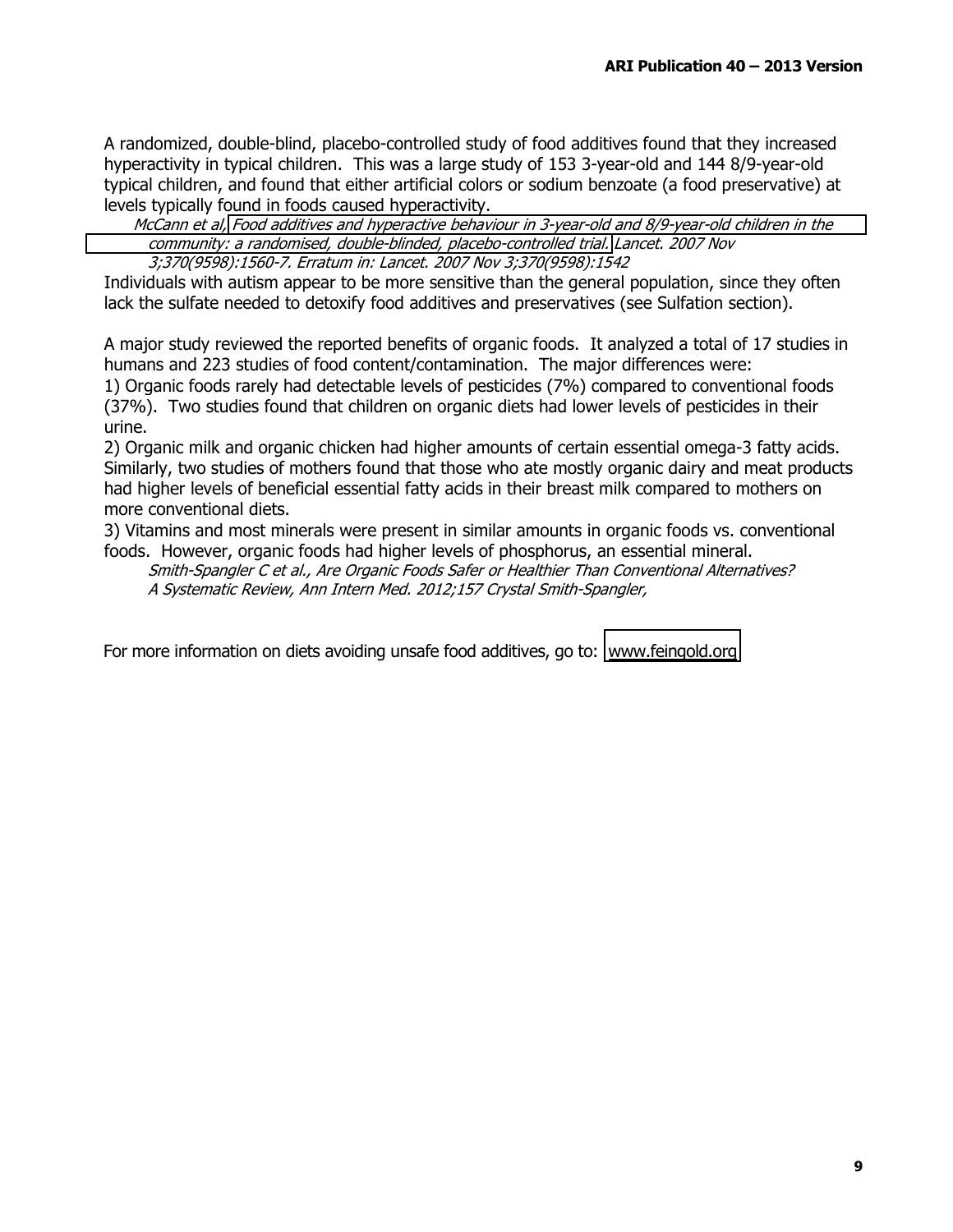A randomized, double-blind, placebo-controlled study of food additives found that they increased hyperactivity in typical children. This was a large study of 153 3-year-old and 144 8/9-year-old typical children, and found that either artificial colors or sodium benzoate (a food preservative) at levels typically found in foods caused hyperactivity.

McCann et al. Food additives and hyperactive behaviour in 3-vear-old and 8/9-vear-old children in the community: a randomised, double-blinded, placebo-controlled trial. Lancet. 2007 Nov 3;370(9598):1560-7. Erratum in: Lancet. 2007 Nov 3;370(9598):1542

Individuals with autism appear to be more sensitive than the general population, since they often lack the sulfate needed to detoxify food additives and preservatives (see Sulfation section).

A major study reviewed the reported benefits of organic foods. It analyzed a total of 17 studies in humans and 223 studies of food content/contamination. The major differences were: 1) Organic foods rarely had detectable levels of pesticides (7%) compared to conventional foods (37%). Two studies found that children on organic diets had lower levels of pesticides in their urine.

2) Organic milk and organic chicken had higher amounts of certain essential omega-3 fatty acids. Similarly, two studies of mothers found that those who ate mostly organic dairy and meat products had higher levels of beneficial essential fatty acids in their breast milk compared to mothers on more conventional diets.

3) Vitamins and most minerals were present in similar amounts in organic foods vs. conventional foods. However, organic foods had higher levels of phosphorus, an essential mineral.

Smith-Spangler C et al., Are Organic Foods Safer or Healthier Than Conventional Alternatives? A Systematic Review, Ann Intern Med. 2012;157 Crystal Smith-Spangler,

For more information on diets avoiding unsafe food additives, go to: www.feingold.org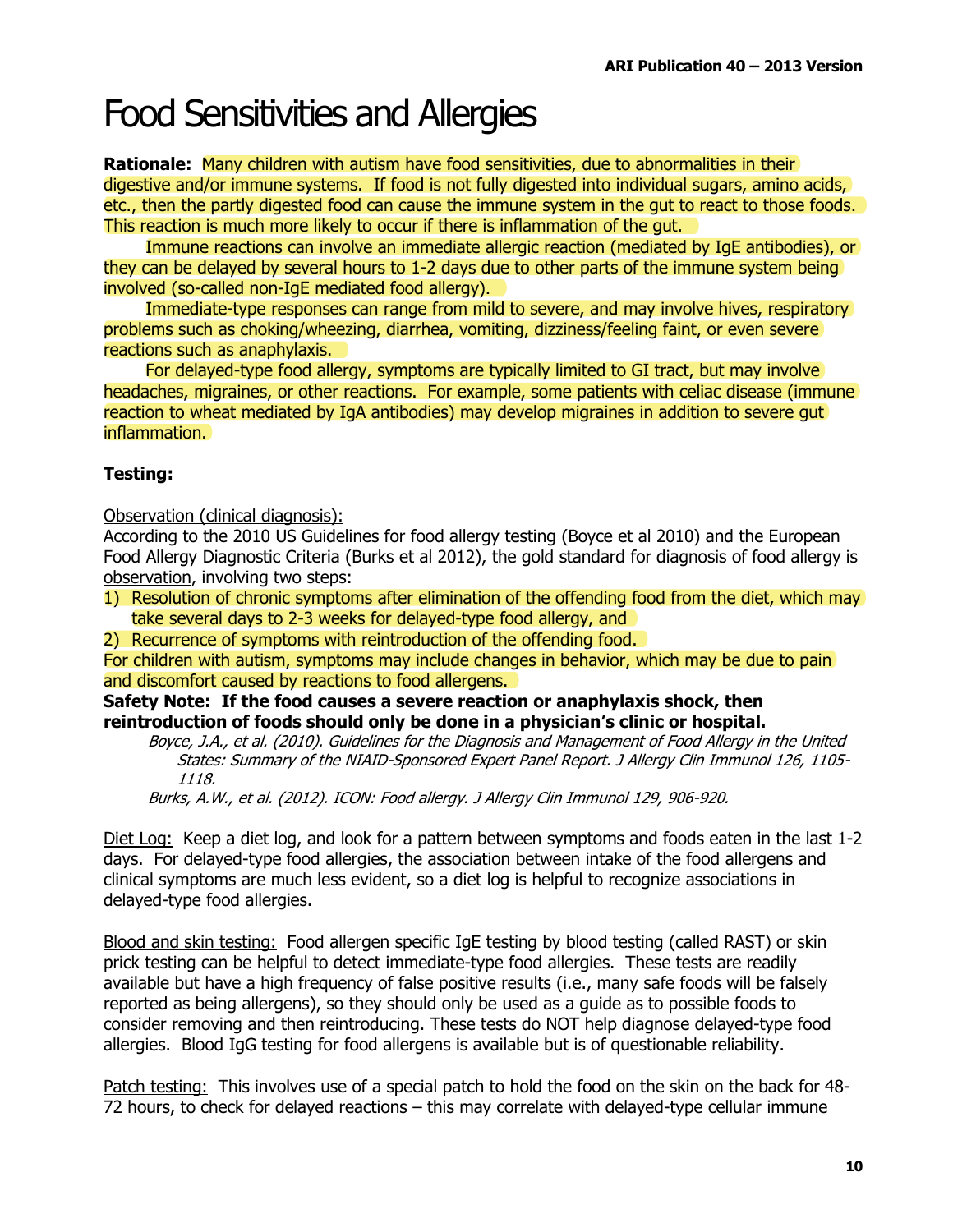### **Food Sensitivities and Allergies**

**Rationale:** Many children with autism have food sensitivities, due to abnormalities in their digestive and/or immune systems. If food is not fully digested into individual sugars, amino acids, etc., then the partly digested food can cause the immune system in the gut to react to those foods. This reaction is much more likely to occur if there is inflammation of the gut.

Immune reactions can involve an immediate allergic reaction (mediated by IqE antibodies), or they can be delayed by several hours to 1-2 days due to other parts of the immune system being involved (so-called non-IqE mediated food allergy).

Immediate-type responses can range from mild to severe, and may involve hives, respiratory problems such as choking/wheezing, diarrhea, vomiting, dizziness/feeling faint, or even severe reactions such as anaphylaxis.

For delayed-type food allergy, symptoms are typically limited to GI tract, but may involve headaches, migraines, or other reactions. For example, some patients with celiac disease (immune) reaction to wheat mediated by IgA antibodies) may develop migraines in addition to severe gut inflammation.

### **Testing:**

Observation (clinical diagnosis):

According to the 2010 US Guidelines for food allergy testing (Boyce et al 2010) and the European Food Allergy Diagnostic Criteria (Burks et al 2012), the gold standard for diagnosis of food allergy is observation, involving two steps:

- 1) Resolution of chronic symptoms after elimination of the offending food from the diet, which may take several days to 2-3 weeks for delayed-type food allergy, and
- 2) Recurrence of symptoms with reintroduction of the offending food.

For children with autism, symptoms may include changes in behavior, which may be due to pain and discomfort caused by reactions to food allergens.

Safety Note: If the food causes a severe reaction or anaphylaxis shock, then reintroduction of foods should only be done in a physician's clinic or hospital.

Boyce, J.A., et al. (2010). Guidelines for the Diagnosis and Management of Food Allergy in the United States: Summary of the NIAID-Sponsored Expert Panel Report. J Allergy Clin Immunol 126, 1105-1118.

Burks, A.W., et al. (2012). ICON: Food allergy. J Allergy Clin Immunol 129, 906-920.

Diet Log: Keep a diet log, and look for a pattern between symptoms and foods eaten in the last 1-2 days. For delayed-type food allergies, the association between intake of the food allergens and clinical symptoms are much less evident, so a diet log is helpful to recognize associations in delayed-type food allergies.

Blood and skin testing: Food allergen specific IgE testing by blood testing (called RAST) or skin prick testing can be helpful to detect immediate-type food allergies. These tests are readily available but have a high frequency of false positive results (i.e., many safe foods will be falsely reported as being allergens), so they should only be used as a guide as to possible foods to consider removing and then reintroducing. These tests do NOT help diagnose delayed-type food allergies. Blood IgG testing for food allergens is available but is of questionable reliability.

Patch testing: This involves use of a special patch to hold the food on the skin on the back for 48-72 hours, to check for delayed reactions – this may correlate with delayed-type cellular immune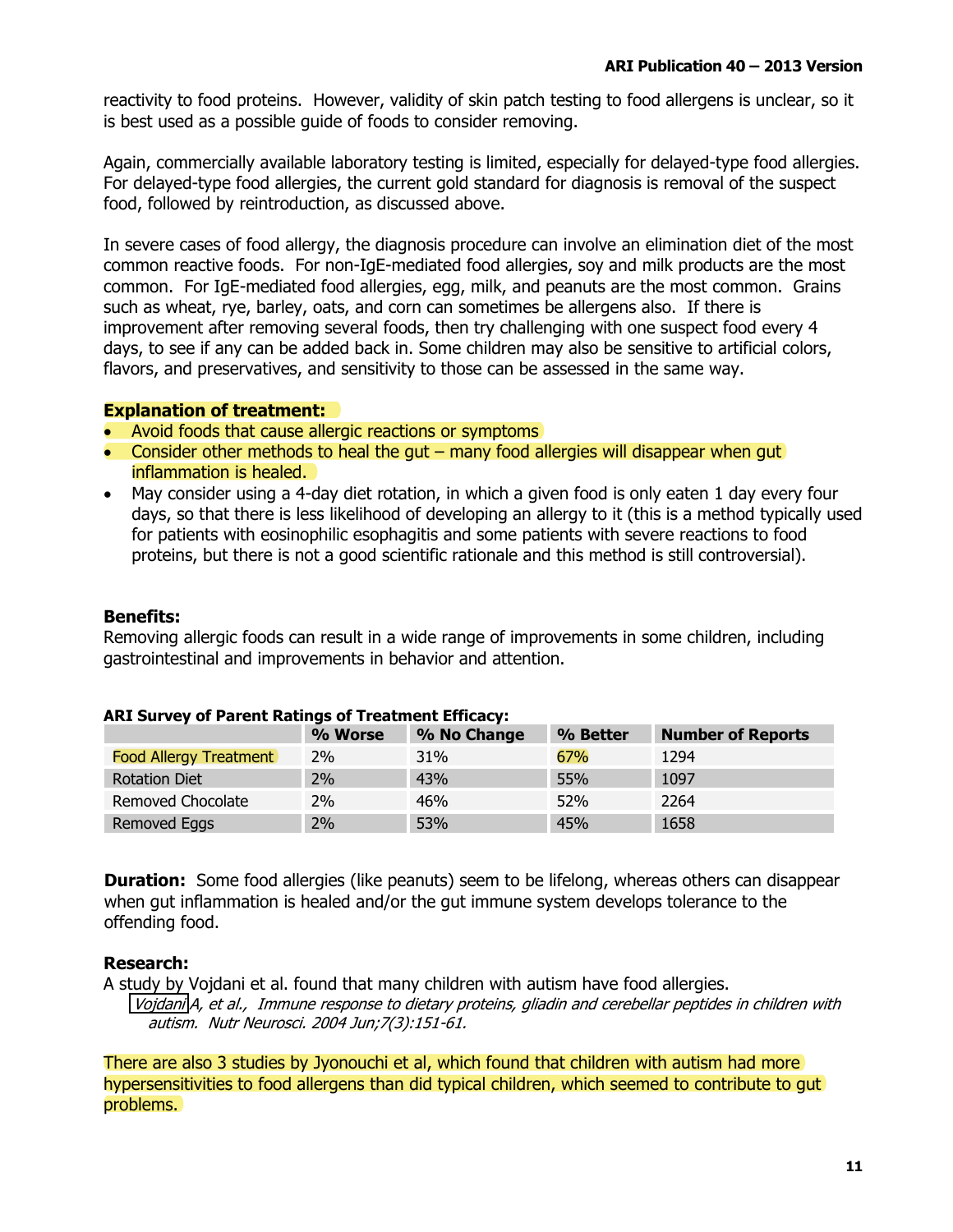reactivity to food proteins. However, validity of skin patch testing to food allergens is unclear, so it is best used as a possible quide of foods to consider removing.

Again, commercially available laboratory testing is limited, especially for delayed-type food allergies. For delayed-type food allergies, the current gold standard for diagnosis is removal of the suspect food, followed by reintroduction, as discussed above.

In severe cases of food allergy, the diagnosis procedure can involve an elimination diet of the most common reactive foods. For non-IgE-mediated food allergies, soy and milk products are the most common. For IgE-mediated food allergies, egg, milk, and peanuts are the most common. Grains such as wheat, rye, barley, oats, and corn can sometimes be allergens also. If there is improvement after removing several foods, then try challenging with one suspect food every 4 days, to see if any can be added back in. Some children may also be sensitive to artificial colors, flavors, and preservatives, and sensitivity to those can be assessed in the same way.

#### **Explanation of treatment:**

- Avoid foods that cause allergic reactions or symptoms
- Consider other methods to heal the gut  $-$  many food allergies will disappear when gut inflammation is healed.
- May consider using a 4-day diet rotation, in which a given food is only eaten 1 day every four days, so that there is less likelihood of developing an allergy to it (this is a method typically used for patients with eosinophilic esophagitis and some patients with severe reactions to food proteins, but there is not a good scientific rationale and this method is still controversial).

#### **Benefits:**

Removing allergic foods can result in a wide range of improvements in some children, including gastrointestinal and improvements in behavior and attention.

|                               | % Worse | % No Change | % Better | <b>Number of Reports</b> |
|-------------------------------|---------|-------------|----------|--------------------------|
| <b>Food Allergy Treatment</b> | 2%      | 31%         | 67%      | 1294                     |
| <b>Rotation Diet</b>          | 2%      | 43%         | 55%      | 1097                     |
| Removed Chocolate             | 2%      | 46%         | 52%      | 2264                     |
| Removed Eggs                  | 2%      | 53%         | 45%      | 1658                     |

#### **ARI Survey of Parent Ratings of Treatment Efficacy:**

**Duration:** Some food allergies (like peanuts) seem to be lifelong, whereas others can disappear when gut inflammation is healed and/or the gut immune system develops tolerance to the offending food.

### **Research:**

A study by Vojdani et al. found that many children with autism have food allergies.

Vojdani A, et al., Immune response to dietary proteins, gliadin and cerebellar peptides in children with autism. Nutr Neurosci. 2004 Jun; 7(3): 151-61.

There are also 3 studies by Jyonouchi et al. which found that children with autism had more hypersensitivities to food allergens than did typical children, which seemed to contribute to gut problems.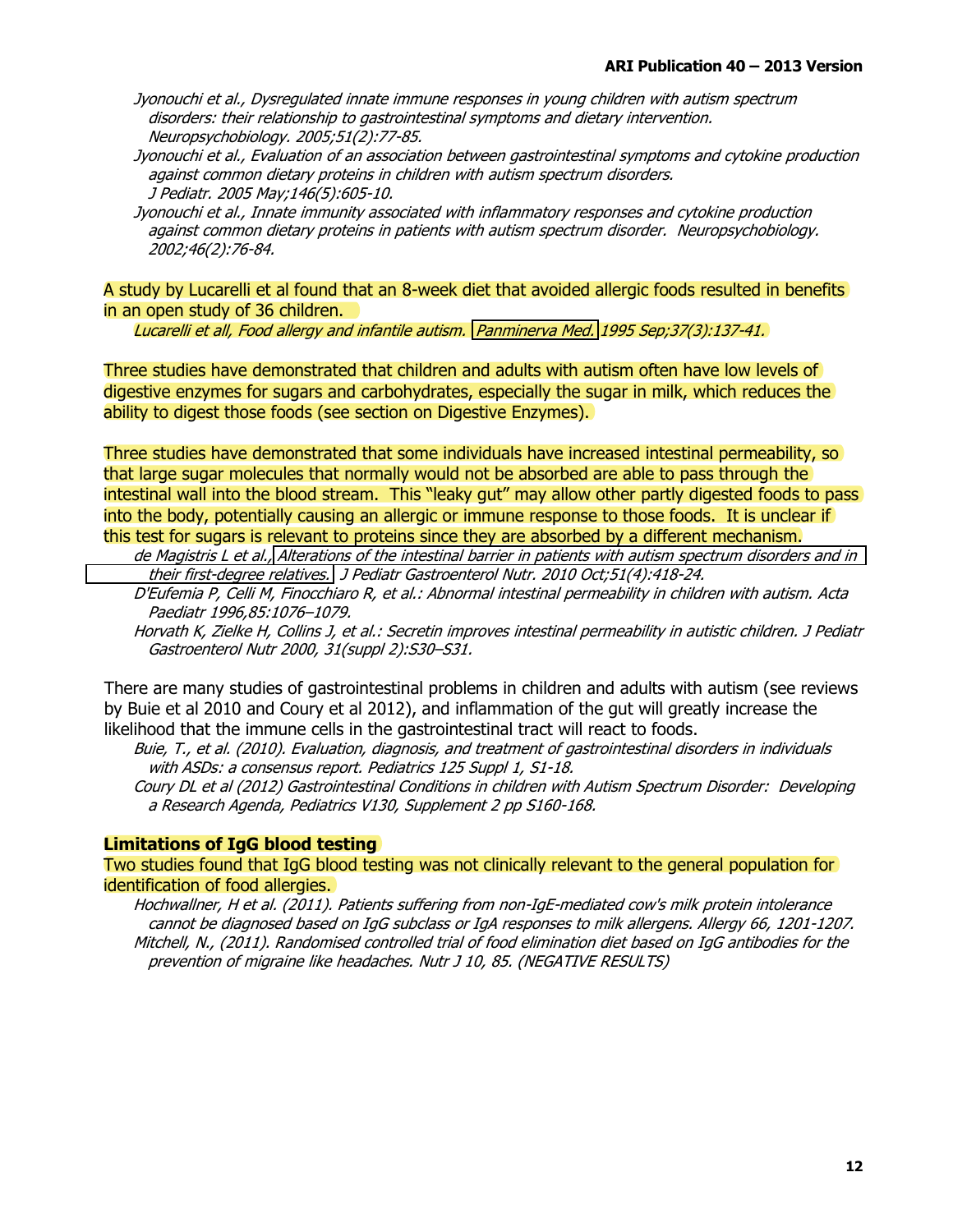- Jyonouchi et al., Dysregulated innate immune responses in young children with autism spectrum disorders: their relationship to gastrointestinal symptoms and dietary intervention. Neuropsychobiology. 2005;51(2):77-85.
- Jyonouchi et al., Evaluation of an association between gastrointestinal symptoms and cytokine production against common dietary proteins in children with autism spectrum disorders. J Pediatr. 2005 May;146(5):605-10.
- Jyonouchi et al., Innate immunity associated with inflammatory responses and cytokine production against common dietary proteins in patients with autism spectrum disorder. Neuropsychobiology. 2002;46(2):76-84.

A study by Lucarelli et al found that an 8-week diet that avoided allergic foods resulted in benefits in an open study of 36 children.

Lucarelli et all, Food allergy and infantile autism. Panminerva Med. 1995 Sep; 37(3):137-41.

Three studies have demonstrated that children and adults with autism often have low levels of digestive enzymes for sugars and carbohydrates, especially the sugar in milk, which reduces the ability to digest those foods (see section on Digestive Enzymes).

Three studies have demonstrated that some individuals have increased intestinal permeability, so that large sugar molecules that normally would not be absorbed are able to pass through the intestinal wall into the blood stream. This "leaky gut" may allow other partly digested foods to pass into the body, potentially causing an allergic or immune response to those foods. It is unclear if this test for sugars is relevant to proteins since they are absorbed by a different mechanism.

de Magistris L et al., Alterations of the intestinal barrier in patients with autism spectrum disorders and in their first-degree relatives. J Pediatr Gastroenterol Nutr. 2010 Oct;51(4):418-24.

D'Eufemia P, Celli M, Finocchiaro R, et al.: Abnormal intestinal permeability in children with autism. Acta Paediatr 1996,85:1076-1079.

Horvath K, Zielke H, Collins J, et al.: Secretin improves intestinal permeability in autistic children. J Pediatr Gastroenterol Nutr 2000, 31(suppl 2):S30-S31.

There are many studies of gastrointestinal problems in children and adults with autism (see reviews by Buie et al 2010 and Coury et al 2012), and inflammation of the gut will greatly increase the likelihood that the immune cells in the gastrointestinal tract will react to foods.

Buie, T., et al. (2010). Evaluation, diagnosis, and treatment of gastrointestinal disorders in individuals with ASDs: a consensus report. Pediatrics 125 Suppl 1, S1-18.

Coury DL et al (2012) Gastrointestinal Conditions in children with Autism Spectrum Disorder: Developing a Research Agenda, Pediatrics V130, Supplement 2 pp S160-168.

#### **Limitations of IgG blood testing**

Two studies found that IgG blood testing was not clinically relevant to the general population for identification of food allergies.

Hochwallner, H et al. (2011). Patients suffering from non-IgE-mediated cow's milk protein intolerance cannot be diagnosed based on IgG subclass or IgA responses to milk allergens. Allergy 66, 1201-1207. Mitchell, N., (2011). Randomised controlled trial of food elimination diet based on IqG antibodies for the prevention of migraine like headaches. Nutr J 10, 85. (NEGATIVE RESULTS)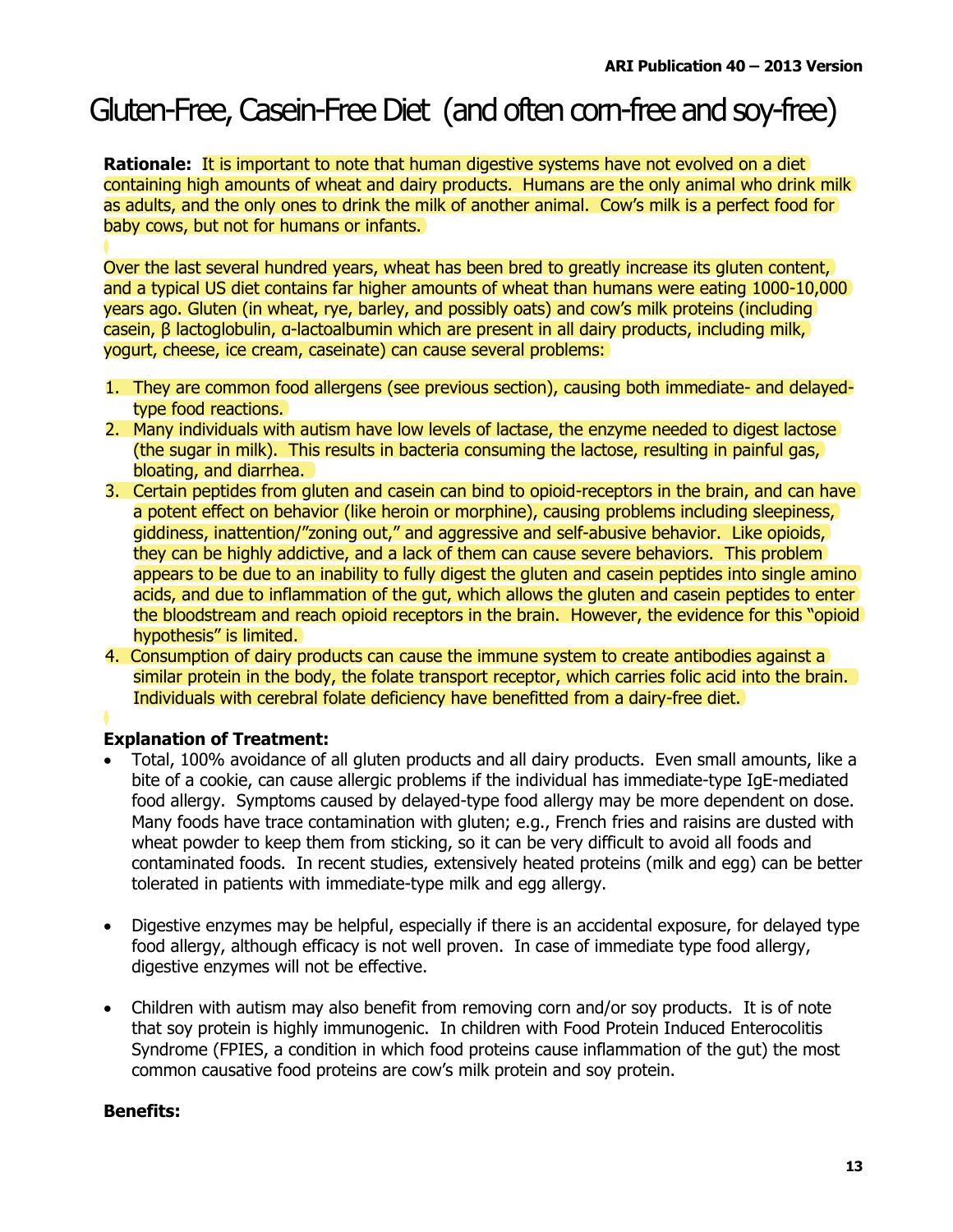### Gluten-Free, Casein-Free Diet (and often com-free and soy-free)

**Rationale: It is important to note that human digestive systems have not evolved on a diet** containing high amounts of wheat and dairy products. Humans are the only animal who drink milk as adults, and the only ones to drink the milk of another animal. Cow's milk is a perfect food for baby cows, but not for humans or infants.

Over the last several hundred years, wheat has been bred to greatly increase its gluten content, and a typical US diet contains far higher amounts of wheat than humans were eating 1000-10,000 years ago. Gluten (in wheat, rye, barley, and possibly oats) and cow's milk proteins (including casein,  $\beta$  lactoglobulin, a-lactoalbumin which are present in all dairy products, including milk, yogurt, cheese, ice cream, caseinate) can cause several problems:

- 1. They are common food allergens (see previous section), causing both immediate- and delayedtype food reactions.
- 2. Many individuals with autism have low levels of lactase, the enzyme needed to digest lactose (the sugar in milk). This results in bacteria consuming the lactose, resulting in painful gas, bloating, and diarrhea.
- 3. Certain peptides from gluten and casein can bind to opioid-receptors in the brain, and can have a potent effect on behavior (like heroin or morphine), causing problems including sleepiness, giddiness, inattention/"zoning out," and aggressive and self-abusive behavior. Like opioids, they can be highly addictive, and a lack of them can cause severe behaviors. This problem appears to be due to an inability to fully digest the gluten and casein peptides into single amino acids, and due to inflammation of the gut, which allows the gluten and casein peptides to enter the bloodstream and reach opioid receptors in the brain. However, the evidence for this "opioid hypothesis" is limited.
- 4. Consumption of dairy products can cause the immune system to create antibodies against a similar protein in the body, the folate transport receptor, which carries folic acid into the brain. Individuals with cerebral folate deficiency have benefitted from a dairy-free diet.

### **Explanation of Treatment:**

- Total, 100% avoidance of all gluten products and all dairy products. Even small amounts, like a bite of a cookie, can cause allergic problems if the individual has immediate-type IgE-mediated food allergy. Symptoms caused by delayed-type food allergy may be more dependent on dose. Many foods have trace contamination with gluten; e.g., French fries and raisins are dusted with wheat powder to keep them from sticking, so it can be very difficult to avoid all foods and contaminated foods. In recent studies, extensively heated proteins (milk and egg) can be better tolerated in patients with immediate-type milk and egg allergy.
- Digestive enzymes may be helpful, especially if there is an accidental exposure, for delayed type food allergy, although efficacy is not well proven. In case of immediate type food allergy, digestive enzymes will not be effective.
- Children with autism may also benefit from removing corn and/or soy products. It is of note that soy protein is highly immunogenic. In children with Food Protein Induced Enterocolitis Syndrome (FPIES, a condition in which food proteins cause inflammation of the gut) the most common causative food proteins are cow's milk protein and soy protein.

### **Benefits:**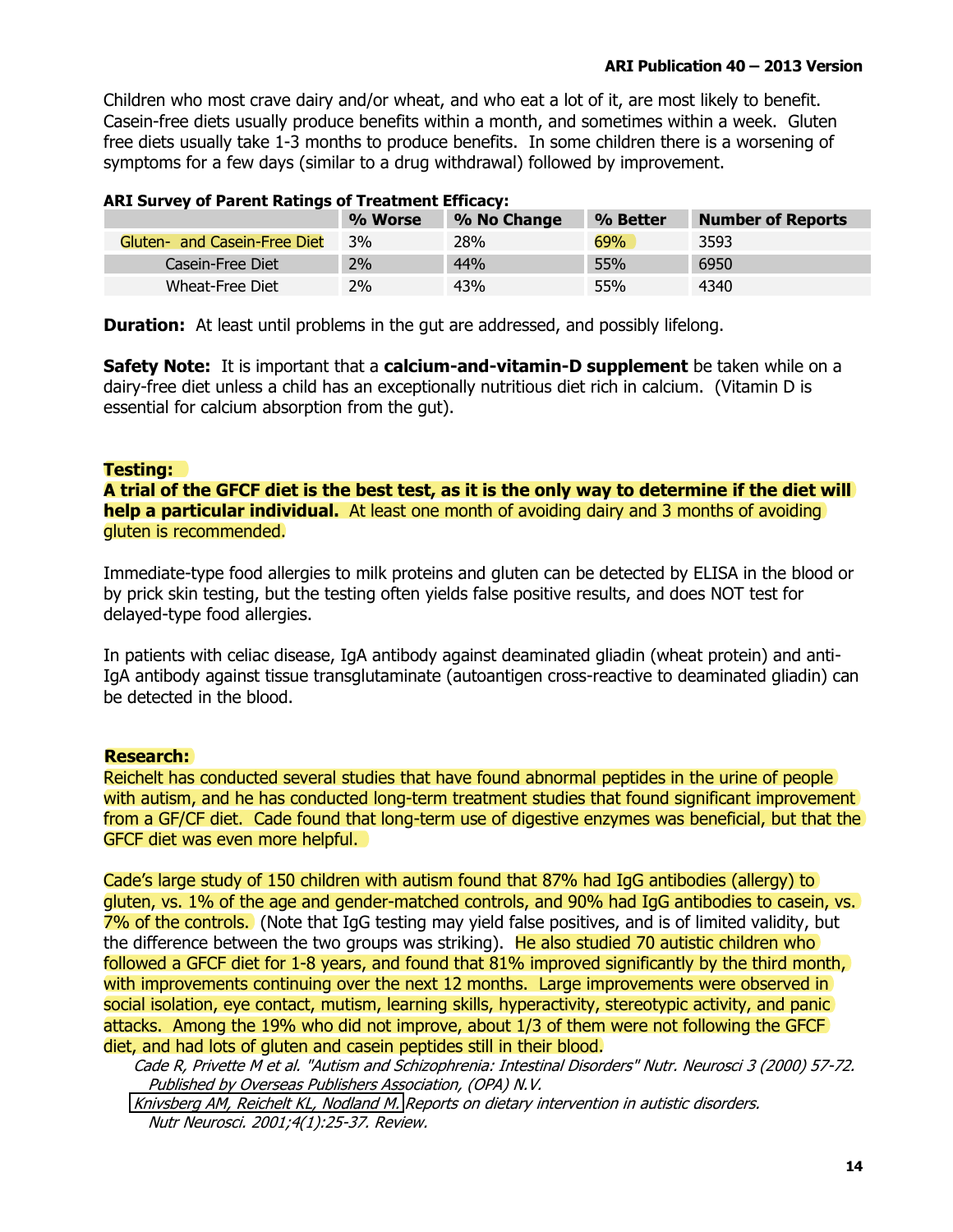Children who most crave dairy and/or wheat, and who eat a lot of it, are most likely to benefit. Casein-free diets usually produce benefits within a month, and sometimes within a week. Gluten free diets usually take 1-3 months to produce benefits. In some children there is a worsening of symptoms for a few days (similar to a drug withdrawal) followed by improvement.

### **ARI Survey of Parent Ratings of Treatment Efficacy:**

|                              | % Worse | % No Change | % Better | <b>Number of Reports</b> |
|------------------------------|---------|-------------|----------|--------------------------|
| Gluten- and Casein-Free Diet | 3%      | 28%         | 69%      | 3593                     |
| Casein-Free Diet             | 2%      | 44%         | 55%      | 6950                     |
| Wheat-Free Diet              | 2%      | 43%         | 55%      | 4340                     |

**Duration:** At least until problems in the gut are addressed, and possibly lifelong.

**Safety Note:** It is important that a **calcium-and-vitamin-D supplement** be taken while on a dairy-free diet unless a child has an exceptionally nutritious diet rich in calcium. (Vitamin D is essential for calcium absorption from the gut).

#### Testing:

A trial of the GFCF diet is the best test, as it is the only way to determine if the diet will help a particular individual. At least one month of avoiding dairy and 3 months of avoiding gluten is recommended.

Immediate-type food allergies to milk proteins and gluten can be detected by ELISA in the blood or by prick skin testing, but the testing often yields false positive results, and does NOT test for delayed-type food allergies.

In patients with celiac disease, IqA antibody against deaminated gliadin (wheat protein) and anti-IgA antibody against tissue transglutaminate (autoantigen cross-reactive to deaminated gliadin) can be detected in the blood.

#### Research:

Reichelt has conducted several studies that have found abnormal peptides in the urine of people with autism, and he has conducted long-term treatment studies that found significant improvement from a GF/CF diet. Cade found that long-term use of digestive enzymes was beneficial, but that the GFCF diet was even more helpful.

Cade's large study of 150 children with autism found that 87% had IgG antibodies (allergy) to gluten, vs. 1% of the age and gender-matched controls, and 90% had IgG antibodies to casein, vs. 7% of the controls. (Note that IgG testing may yield false positives, and is of limited validity, but the difference between the two groups was striking). He also studied 70 autistic children who followed a GFCF diet for 1-8 years, and found that 81% improved significantly by the third month, with improvements continuing over the next 12 months. Large improvements were observed in social isolation, eye contact, mutism, learning skills, hyperactivity, stereotypic activity, and panic attacks. Among the 19% who did not improve, about 1/3 of them were not following the GFCF diet, and had lots of gluten and casein peptides still in their blood.

Cade R, Privette M et al. "Autism and Schizophrenia: Intestinal Disorders" Nutr. Neurosci 3 (2000) 57-72. Published by Overseas Publishers Association, (OPA) N.V.

Knivsberg AM, Reichelt KL, Nodland M. Reports on dietary intervention in autistic disorders. Nutr Neurosci. 2001;4(1):25-37. Review.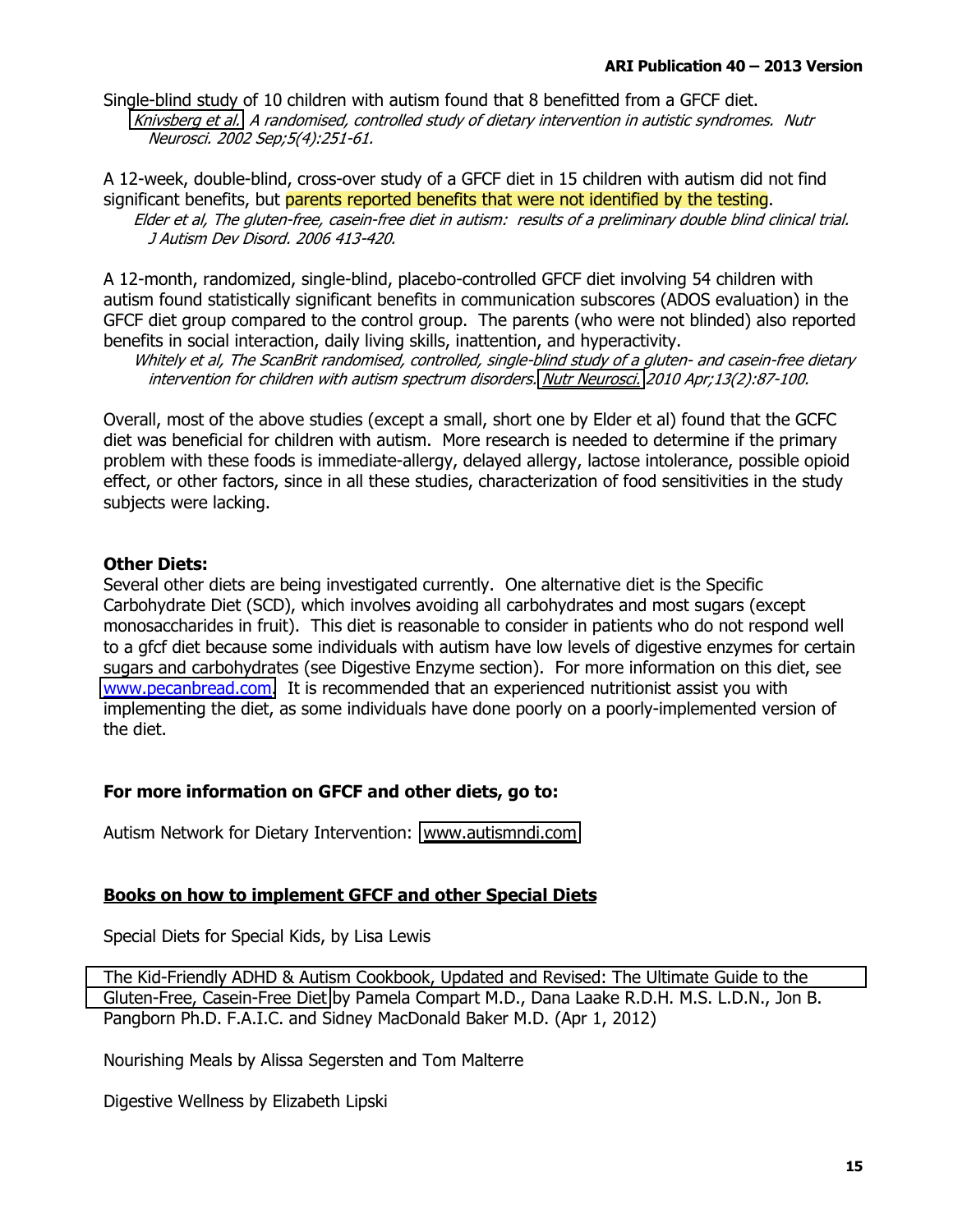Single-blind study of 10 children with autism found that 8 benefitted from a GFCF diet. Knivsberg et al. A randomised, controlled study of dietary intervention in autistic syndromes. Nutr Neurosci. 2002 Sep;5(4):251-61.

A 12-week, double-blind, cross-over study of a GFCF diet in 15 children with autism did not find significant benefits, but parents reported benefits that were not identified by the testing. Elder et al, The gluten-free, casein-free diet in autism: results of a preliminary double blind clinical trial. J Autism Dev Disord. 2006 413-420.

A 12-month, randomized, single-blind, placebo-controlled GFCF diet involving 54 children with autism found statistically significant benefits in communication subscores (ADOS evaluation) in the GFCF diet group compared to the control group. The parents (who were not blinded) also reported benefits in social interaction, daily living skills, inattention, and hyperactivity.

Whitely et al, The ScanBrit randomised, controlled, single-blind study of a gluten- and casein-free dietary intervention for children with autism spectrum disorders. Nutr Neurosci. 2010 Apr;13(2):87-100.

Overall, most of the above studies (except a small, short one by Elder et al) found that the GCFC diet was beneficial for children with autism. More research is needed to determine if the primary problem with these foods is immediate-allergy, delayed allergy, lactose intolerance, possible opioid effect, or other factors, since in all these studies, characterization of food sensitivities in the study subjects were lacking.

### **Other Diets:**

Several other diets are being investigated currently. One alternative diet is the Specific Carbohydrate Diet (SCD), which involves avoiding all carbohydrates and most sugars (except monosaccharides in fruit). This diet is reasonable to consider in patients who do not respond well to a gfcf diet because some individuals with autism have low levels of digestive enzymes for certain sugars and carbohydrates (see Digestive Enzyme section). For more information on this diet, see www.pecanbread.com. It is recommended that an experienced nutritionist assist you with implementing the diet, as some individuals have done poorly on a poorly-implemented version of the diet.

#### For more information on GFCF and other diets, go to:

Autism Network for Dietary Intervention: www.autismndi.com

### Books on how to implement GFCF and other Special Diets

Special Diets for Special Kids, by Lisa Lewis

The Kid-Friendly ADHD & Autism Cookbook, Updated and Revised: The Ultimate Guide to the Gluten-Free, Casein-Free Diet by Pamela Compart M.D., Dana Laake R.D.H. M.S. L.D.N., Jon B. Pangborn Ph.D. F.A.I.C. and Sidney MacDonald Baker M.D. (Apr 1, 2012)

Nourishing Meals by Alissa Segersten and Tom Malterre

Digestive Wellness by Elizabeth Lipski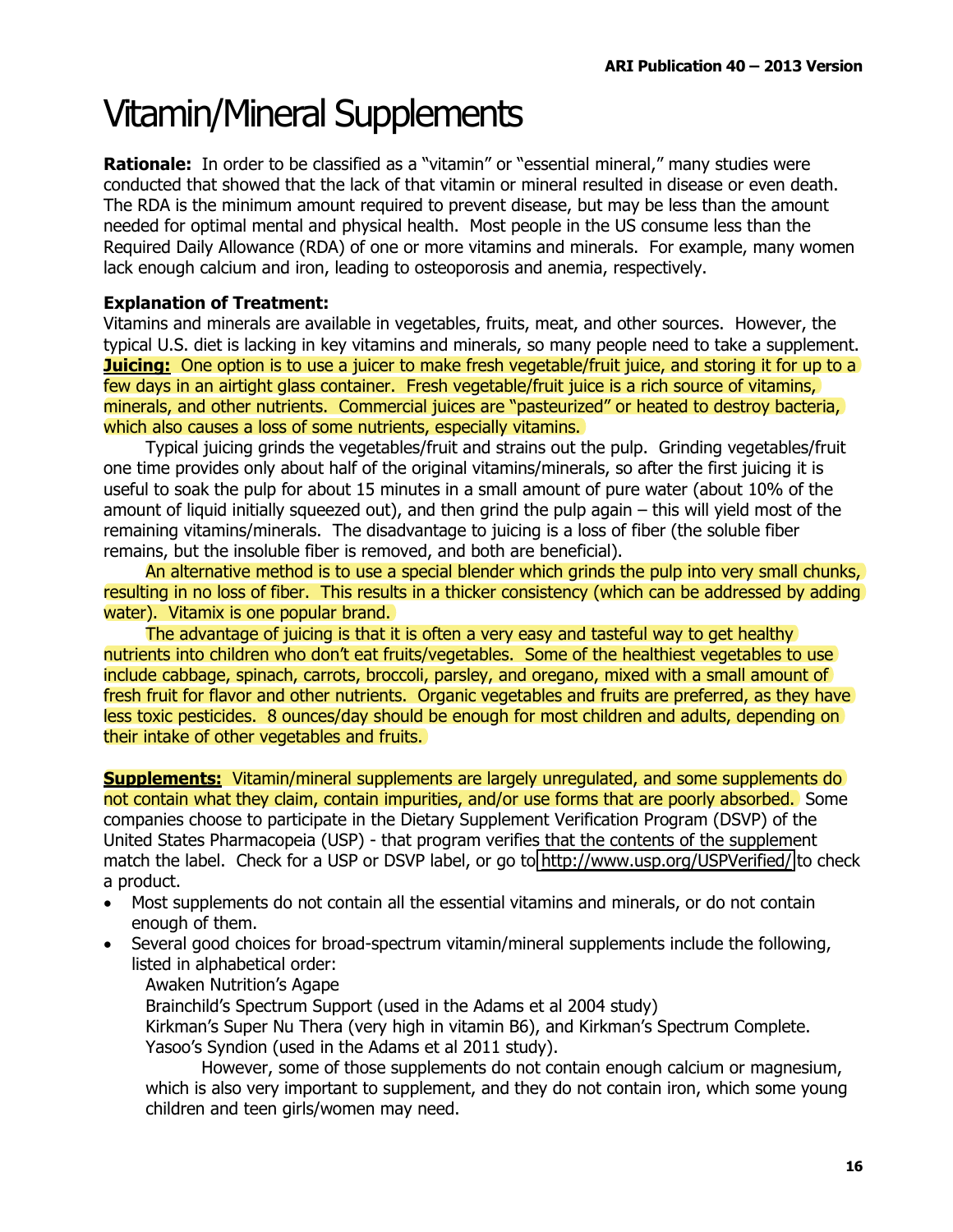### **Vitamin/Mineral Supplements**

**Rationale:** In order to be classified as a "vitamin" or "essential mineral," many studies were conducted that showed that the lack of that vitamin or mineral resulted in disease or even death. The RDA is the minimum amount required to prevent disease, but may be less than the amount needed for optimal mental and physical health. Most people in the US consume less than the Required Daily Allowance (RDA) of one or more vitamins and minerals. For example, many women lack enough calcium and iron, leading to osteoporosis and anemia, respectively.

### **Explanation of Treatment:**

Vitamins and minerals are available in vegetables, fruits, meat, and other sources. However, the typical U.S. diet is lacking in key vitamins and minerals, so many people need to take a supplement. **Juicing:** One option is to use a juicer to make fresh vegetable/fruit juice, and storing it for up to a few days in an airtight glass container. Fresh vegetable/fruit juice is a rich source of vitamins, minerals, and other nutrients. Commercial juices are "pasteurized" or heated to destroy bacteria, which also causes a loss of some nutrients, especially vitamins.

Typical juicing grinds the vegetables/fruit and strains out the pulp. Grinding vegetables/fruit one time provides only about half of the original vitamins/minerals, so after the first juicing it is useful to soak the pulp for about 15 minutes in a small amount of pure water (about 10% of the amount of liquid initially squeezed out), and then grind the pulp again – this will yield most of the remaining vitamins/minerals. The disadvantage to juicing is a loss of fiber (the soluble fiber remains, but the insoluble fiber is removed, and both are beneficial).

An alternative method is to use a special blender which grinds the pulp into very small chunks, resulting in no loss of fiber. This results in a thicker consistency (which can be addressed by adding) water). Vitamix is one popular brand.

The advantage of juicing is that it is often a very easy and tasteful way to get healthy nutrients into children who don't eat fruits/vegetables. Some of the healthiest vegetables to use include cabbage, spinach, carrots, broccoli, parsley, and oregano, mixed with a small amount of fresh fruit for flavor and other nutrients. Organic vegetables and fruits are preferred, as they have less toxic pesticides. 8 ounces/day should be enough for most children and adults, depending on their intake of other vegetables and fruits.

**Supplements:** Vitamin/mineral supplements are largely unregulated, and some supplements do not contain what they claim, contain impurities, and/or use forms that are poorly absorbed. Some companies choose to participate in the Dietary Supplement Verification Program (DSVP) of the United States Pharmacopeia (USP) - that program verifies that the contents of the supplement match the label. Check for a USP or DSVP label, or go to http://www.usp.org/USPVerified/ to check a product.

- Most supplements do not contain all the essential vitamins and minerals, or do not contain enough of them.
- Several good choices for broad-spectrum vitamin/mineral supplements include the following, listed in alphabetical order:
	- **Awaken Nutrition's Agape**

Brainchild's Spectrum Support (used in the Adams et al 2004 study)

Kirkman's Super Nu Thera (very high in vitamin B6), and Kirkman's Spectrum Complete. Yasoo's Syndion (used in the Adams et al 2011 study).

However, some of those supplements do not contain enough calcium or magnesium, which is also very important to supplement, and they do not contain iron, which some young children and teen girls/women may need.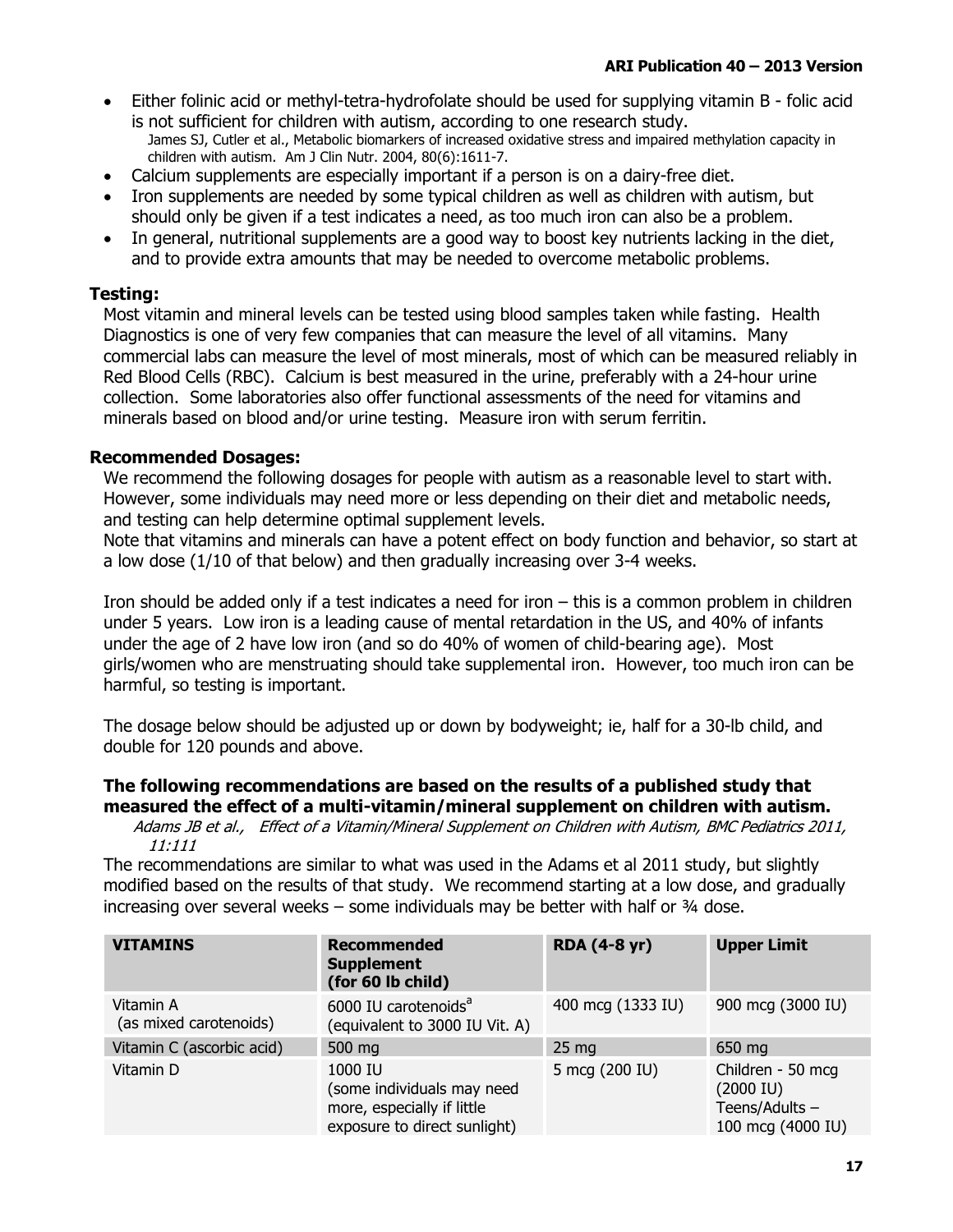- Either folinic acid or methyl-tetra-hydrofolate should be used for supplying vitamin B folic acid is not sufficient for children with autism, according to one research study. James SJ. Cutler et al., Metabolic biomarkers of increased oxidative stress and impaired methylation capacity in children with autism. Am J Clin Nutr. 2004, 80(6):1611-7.
- Calcium supplements are especially important if a person is on a dairy-free diet.
- Iron supplements are needed by some typical children as well as children with autism, but should only be given if a test indicates a need, as too much iron can also be a problem.
- In general, nutritional supplements are a good way to boost key nutrients lacking in the diet, and to provide extra amounts that may be needed to overcome metabolic problems.

### **Testina:**

Most vitamin and mineral levels can be tested using blood samples taken while fasting. Health Diagnostics is one of very few companies that can measure the level of all vitamins. Many commercial labs can measure the level of most minerals, most of which can be measured reliably in Red Blood Cells (RBC). Calcium is best measured in the urine, preferably with a 24-hour urine collection. Some laboratories also offer functional assessments of the need for vitamins and minerals based on blood and/or urine testing. Measure iron with serum ferritin.

### **Recommended Dosages:**

We recommend the following dosages for people with autism as a reasonable level to start with. However, some individuals may need more or less depending on their diet and metabolic needs, and testing can help determine optimal supplement levels.

Note that vitamins and minerals can have a potent effect on body function and behavior, so start at a low dose (1/10 of that below) and then gradually increasing over 3-4 weeks.

Iron should be added only if a test indicates a need for iron  $-$  this is a common problem in children under 5 years. Low iron is a leading cause of mental retardation in the US, and 40% of infants under the age of 2 have low iron (and so do 40% of women of child-bearing age). Most girls/women who are menstruating should take supplemental iron. However, too much iron can be harmful, so testing is important.

The dosage below should be adjusted up or down by bodyweight; ie, half for a 30-lb child, and double for 120 pounds and above.

### The following recommendations are based on the results of a published study that measured the effect of a multi-vitamin/mineral supplement on children with autism.

Adams JB et al., Effect of a Vitamin/Mineral Supplement on Children with Autism, BMC Pediatrics 2011,  $11:111$ 

The recommendations are similar to what was used in the Adams et al 2011 study, but slightly modified based on the results of that study. We recommend starting at a low dose, and gradually increasing over several weeks  $-$  some individuals may be better with half or  $\frac{3}{4}$  dose.

| <b>VITAMINS</b>                     | <b>Recommended</b><br><b>Supplement</b><br>(for 60 lb child)                                        | <b>RDA (4-8 yr)</b> |                                                                                   |
|-------------------------------------|-----------------------------------------------------------------------------------------------------|---------------------|-----------------------------------------------------------------------------------|
| Vitamin A<br>(as mixed carotenoids) | 6000 IU carotenoids <sup>a</sup><br>(equivalent to 3000 IU Vit. A)                                  | 400 mcg (1333 IU)   | 900 mcg (3000 IU)                                                                 |
| Vitamin C (ascorbic acid)           | 500 mg                                                                                              | 25 <sub>mg</sub>    | 650 mg                                                                            |
| Vitamin D                           | 1000 IU<br>(some individuals may need<br>more, especially if little<br>exposure to direct sunlight) | 5 mcg (200 IU)      | Children - 50 mcg<br>$(2000 \, \text{IU})$<br>Teens/Adults -<br>100 mcg (4000 IU) |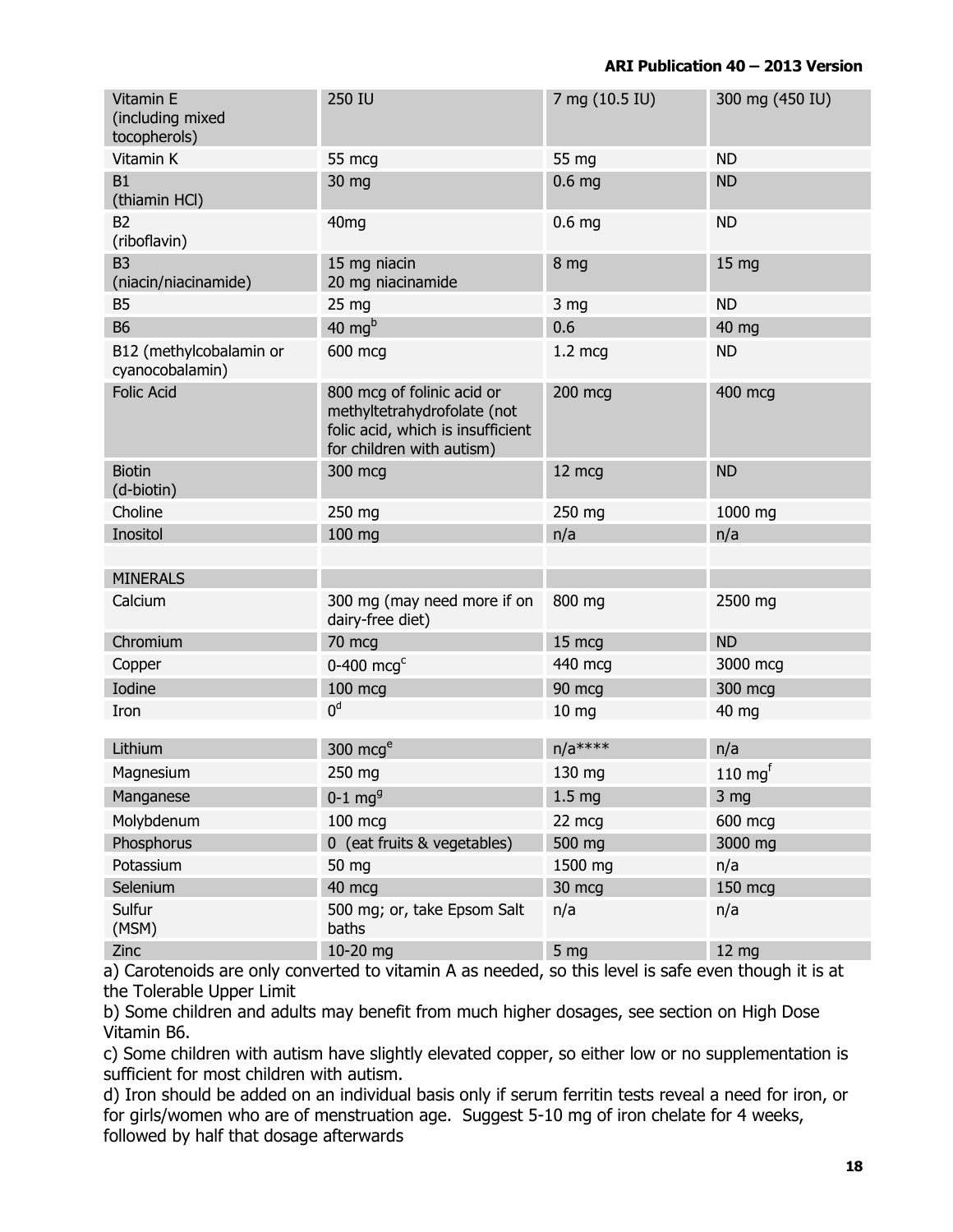| Vitamin E<br>(including mixed<br>tocopherols) | 250 IU                                                                                                                      | 7 mg (10.5 IU)    | 300 mg (450 IU)    |
|-----------------------------------------------|-----------------------------------------------------------------------------------------------------------------------------|-------------------|--------------------|
| Vitamin K                                     | 55 mcg                                                                                                                      | 55 mg             | <b>ND</b>          |
| <b>B1</b><br>(thiamin HCl)                    | 30 mg                                                                                                                       | 0.6 <sub>mg</sub> | <b>ND</b>          |
| B <sub>2</sub><br>(riboflavin)                | 40 <sub>mg</sub>                                                                                                            | 0.6 <sub>mg</sub> | <b>ND</b>          |
| B <sub>3</sub><br>(niacin/niacinamide)        | 15 mg niacin<br>20 mg niacinamide                                                                                           | 8 mg              | 15 mg              |
| <b>B5</b>                                     | 25 <sub>mg</sub>                                                                                                            | 3 <sub>mg</sub>   | <b>ND</b>          |
| <b>B6</b>                                     | 40 mg $b$                                                                                                                   | 0.6               | 40 mg              |
| B12 (methylcobalamin or<br>cyanocobalamin)    | 600 mcg                                                                                                                     | $1.2 \text{ mcg}$ | <b>ND</b>          |
| <b>Folic Acid</b>                             | 800 mcg of folinic acid or<br>methyltetrahydrofolate (not<br>folic acid, which is insufficient<br>for children with autism) | 200 mcg           | 400 mcg            |
| <b>Biotin</b><br>(d-biotin)                   | 300 mcg                                                                                                                     | 12 mcg            | <b>ND</b>          |
| Choline                                       | 250 mg                                                                                                                      | 250 mg            | 1000 mg            |
| Inositol                                      | 100 mg                                                                                                                      | n/a               | n/a                |
|                                               |                                                                                                                             |                   |                    |
| <b>MINERALS</b>                               |                                                                                                                             |                   |                    |
| Calcium                                       | 300 mg (may need more if on<br>dairy-free diet)                                                                             | 800 mg            | 2500 mg            |
| Chromium                                      | 70 mcg                                                                                                                      | 15 mcg            | <b>ND</b>          |
| Copper                                        | 0-400 $mcgc$                                                                                                                | 440 mcg           | 3000 mcg           |
| Iodine                                        | 100 mcg                                                                                                                     | 90 mcg            | 300 mcg            |
| Iron                                          | 0 <sup>d</sup>                                                                                                              | 10 <sub>mg</sub>  | 40 mg              |
|                                               |                                                                                                                             |                   |                    |
| Lithium                                       | 300 $mcge$                                                                                                                  | $n/a^{****}$      | n/a                |
| Magnesium                                     | 250 mg                                                                                                                      | 130 mg            | $110 \text{ mg}^f$ |
| Manganese                                     | $0-1$ mg <sup>g</sup>                                                                                                       | 1.5 <sub>mg</sub> | 3 <sub>mg</sub>    |
| Molybdenum                                    | 100 mcg                                                                                                                     | 22 mcg            | 600 mcg            |
| Phosphorus                                    | 0 (eat fruits & vegetables)                                                                                                 | 500 mg            | 3000 mg            |
| Potassium                                     | 50 mg                                                                                                                       | 1500 mg           | n/a                |
| Selenium                                      | 40 mcg                                                                                                                      | 30 mcg            | 150 mcg            |
| Sulfur<br>(MSM)                               | 500 mg; or, take Epsom Salt<br>baths                                                                                        | n/a               | n/a                |
| <b>Zinc</b>                                   | $10-20$ ma                                                                                                                  | 5 <sub>ma</sub>   | 12 <sub>ma</sub>   |

a) Carotenoids are only converted to vitamin A as needed, so this level is safe even though it is at the Tolerable Upper Limit

b) Some children and adults may benefit from much higher dosages, see section on High Dose Vitamin B6.

c) Some children with autism have slightly elevated copper, so either low or no supplementation is sufficient for most children with autism.

d) Iron should be added on an individual basis only if serum ferritin tests reveal a need for iron, or for girls/women who are of menstruation age. Suggest 5-10 mg of iron chelate for 4 weeks, followed by half that dosage afterwards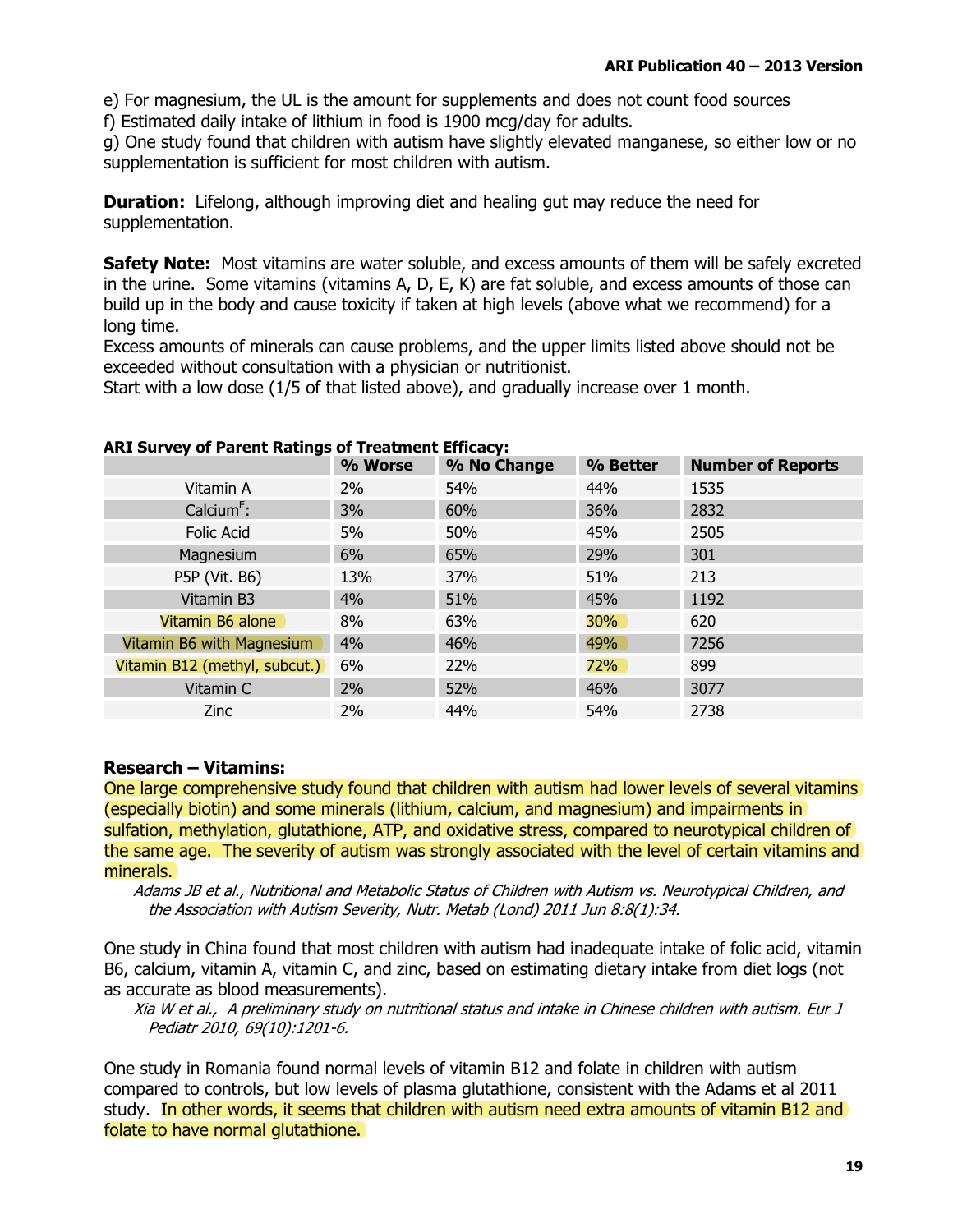e) For magnesium, the UL is the amount for supplements and does not count food sources f) Estimated daily intake of lithium in food is 1900 mcg/day for adults.

g) One study found that children with autism have slightly elevated manganese, so either low or no supplementation is sufficient for most children with autism.

**Duration:** Lifelong, although improving diet and healing gut may reduce the need for supplementation.

**Safety Note:** Most vitamins are water soluble, and excess amounts of them will be safely excreted in the urine. Some vitamins (vitamins A, D, E, K) are fat soluble, and excess amounts of those can build up in the body and cause toxicity if taken at high levels (above what we recommend) for a long time.

Excess amounts of minerals can cause problems, and the upper limits listed above should not be exceeded without consultation with a physician or nutritionist.

Start with a low dose (1/5 of that listed above), and gradually increase over 1 month.

|                               | % Worse | % No Change | % Better | <b>Number of Reports</b> |
|-------------------------------|---------|-------------|----------|--------------------------|
| Vitamin A                     | $2\%$   | 54%         | 44%      | 1535                     |
| Calcium $E$ :                 | 3%      | 60%         | 36%      | 2832                     |
| Folic Acid                    | 5%      | 50%         | 45%      | 2505                     |
| Magnesium                     | 6%      | 65%         | 29%      | 301                      |
| P5P (Vit. B6)                 | 13%     | 37%         | 51%      | 213                      |
| Vitamin B3                    | 4%      | 51%         | 45%      | 1192                     |
| Vitamin B6 alone              | 8%      | 63%         | 30%      | 620                      |
| Vitamin B6 with Magnesium     | 4%      | 46%         | 49%      | 7256                     |
| Vitamin B12 (methyl, subcut.) | 6%      | 22%         | 72%      | 899                      |
| Vitamin C                     | 2%      | 52%         | 46%      | 3077                     |
| <b>Zinc</b>                   | 2%      | 44%         | 54%      | 2738                     |

#### **ART Survey of Parent Ratings of Treatment Efficacy:**

#### **Research - Vitamins:**

One large comprehensive study found that children with autism had lower levels of several vitamins (especially biotin) and some minerals (lithium, calcium, and magnesium) and impairments in sulfation, methylation, glutathione, ATP, and oxidative stress, compared to neurotypical children of the same age. The severity of autism was strongly associated with the level of certain vitamins and minerals.

Adams JB et al., Nutritional and Metabolic Status of Children with Autism vs. Neurotypical Children, and the Association with Autism Severity, Nutr. Metab (Lond) 2011 Jun 8:8(1):34.

One study in China found that most children with autism had inadequate intake of folic acid, vitamin B6, calcium, vitamin A, vitamin C, and zinc, based on estimating dietary intake from diet logs (not as accurate as blood measurements).

Xia W et al., A preliminary study on nutritional status and intake in Chinese children with autism. Eur J Pediatr 2010, 69(10):1201-6.

One study in Romania found normal levels of vitamin B12 and folate in children with autism compared to controls, but low levels of plasma glutathione, consistent with the Adams et al 2011 study. In other words, it seems that children with autism need extra amounts of vitamin B12 and folate to have normal glutathione.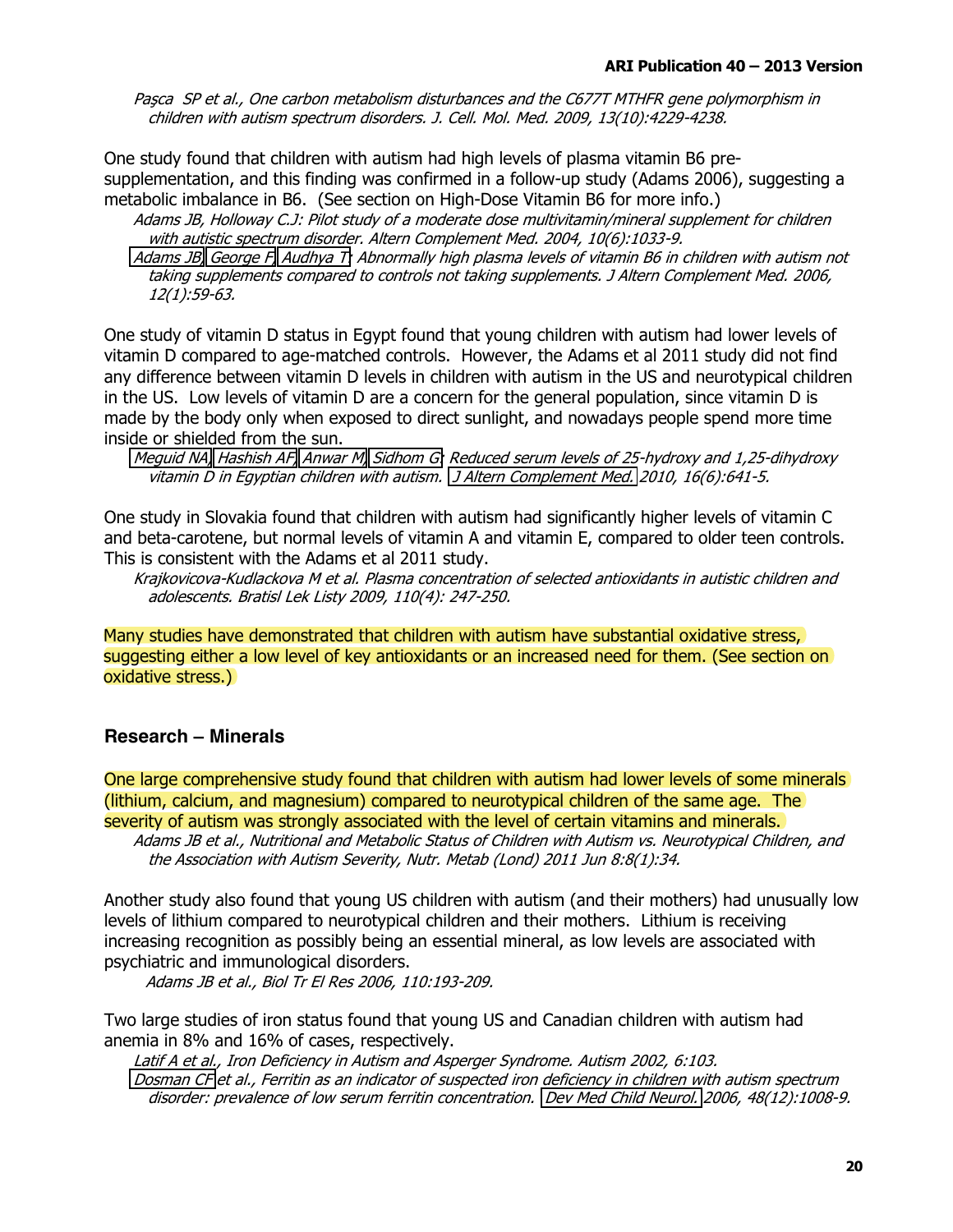Pasca SP et al., One carbon metabolism disturbances and the C677T MTHFR gene polymorphism in children with autism spectrum disorders. J. Cell. Mol. Med. 2009, 13(10):4229-4238.

One study found that children with autism had high levels of plasma vitamin B6 presupplementation, and this finding was confirmed in a follow-up study (Adams 2006), suggesting a metabolic imbalance in B6. (See section on High-Dose Vitamin B6 for more info.)

Adams JB, Holloway C.J: Pilot study of a moderate dose multivitamin/mineral supplement for children with autistic spectrum disorder. Altern Complement Med. 2004, 10(6):1033-9.

Adams JB, George F, Audhya T: Abnormally high plasma levels of vitamin B6 in children with autism not taking supplements compared to controls not taking supplements. J Altern Complement Med. 2006, 12(1):59-63.

One study of vitamin D status in Egypt found that young children with autism had lower levels of vitamin D compared to age-matched controls. However, the Adams et al 2011 study did not find any difference between vitamin D levels in children with autism in the US and neurotypical children in the US. Low levels of vitamin D are a concern for the general population, since vitamin D is made by the body only when exposed to direct sunlight, and nowadays people spend more time inside or shielded from the sun.

Meguid NA, Hashish AF, Anwar M, Sidhom G: Reduced serum levels of 25-hydroxy and 1,25-dihydroxy vitamin D in Egyptian children with autism. J Altern Complement Med. 2010, 16(6):641-5.

One study in Slovakia found that children with autism had significantly higher levels of vitamin C and beta-carotene, but normal levels of vitamin A and vitamin E, compared to older teen controls. This is consistent with the Adams et al 2011 study.

Krajkovicova-Kudlackova M et al. Plasma concentration of selected antioxidants in autistic children and adolescents. Bratisl Lek Listy 2009, 110(4): 247-250.

Many studies have demonstrated that children with autism have substantial oxidative stress. suggesting either a low level of key antioxidants or an increased need for them. (See section on oxidative stress.)

### **Research - Minerals**

One large comprehensive study found that children with autism had lower levels of some minerals (lithium, calcium, and magnesium) compared to neurotypical children of the same age. The severity of autism was strongly associated with the level of certain vitamins and minerals.

Adams JB et al., Nutritional and Metabolic Status of Children with Autism vs. Neurotypical Children, and the Association with Autism Severity, Nutr. Metab (Lond) 2011 Jun 8:8(1):34.

Another study also found that young US children with autism (and their mothers) had unusually low levels of lithium compared to neurotypical children and their mothers. Lithium is receiving increasing recognition as possibly being an essential mineral, as low levels are associated with psychiatric and immunological disorders.

Adams JB et al., Biol Tr El Res 2006, 110:193-209.

Two large studies of iron status found that young US and Canadian children with autism had anemia in 8% and 16% of cases, respectively.

Latif A et al., Iron Deficiency in Autism and Asperger Syndrome. Autism 2002, 6:103. Dosman CF et al., Ferritin as an indicator of suspected iron deficiency in children with autism spectrum disorder: prevalence of low serum ferritin concentration. Dev Med Child Neurol. 2006, 48(12):1008-9.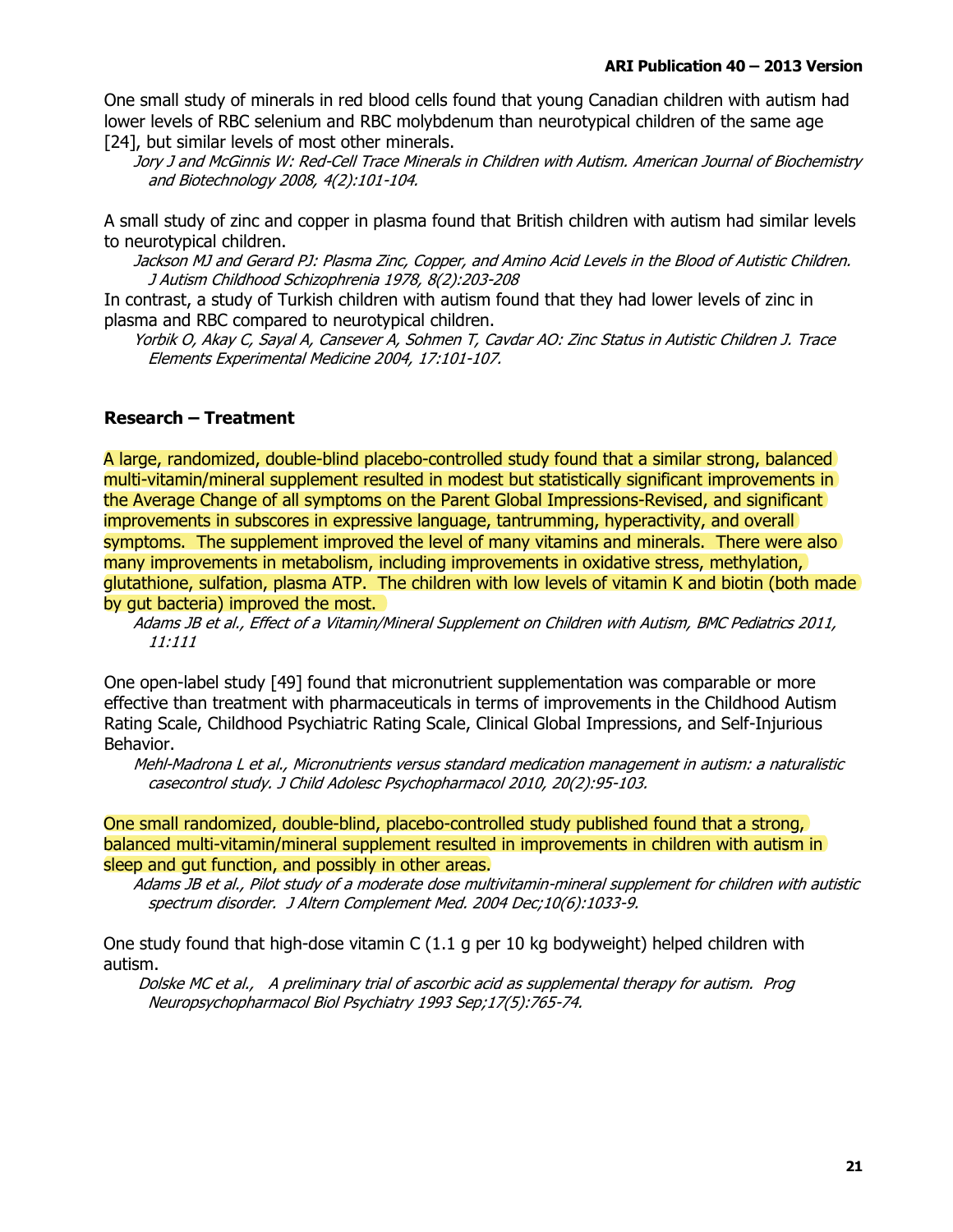One small study of minerals in red blood cells found that young Canadian children with autism had lower levels of RBC selenium and RBC molybdenum than neurotypical children of the same age [24], but similar levels of most other minerals.

Jory J and McGinnis W: Red-Cell Trace Minerals in Children with Autism. American Journal of Biochemistry and Biotechnology 2008, 4(2):101-104.

A small study of zinc and copper in plasma found that British children with autism had similar levels to neurotypical children.

Jackson MJ and Gerard PJ: Plasma Zinc, Copper, and Amino Acid Levels in the Blood of Autistic Children. J Autism Childhood Schizophrenia 1978, 8(2):203-208

In contrast, a study of Turkish children with autism found that they had lower levels of zinc in plasma and RBC compared to neurotypical children.

Yorbik O, Akay C, Sayal A, Cansever A, Sohmen T, Cavdar AO: Zinc Status in Autistic Children J. Trace Elements Experimental Medicine 2004, 17:101-107.

### **Research - Treatment**

A large, randomized, double-blind placebo-controlled study found that a similar strong, balanced multi-vitamin/mineral supplement resulted in modest but statistically significant improvements in the Average Change of all symptoms on the Parent Global Impressions-Revised, and significant improvements in subscores in expressive language, tantrumming, hyperactivity, and overall symptoms. The supplement improved the level of many vitamins and minerals. There were also many improvements in metabolism, including improvements in oxidative stress, methylation, glutathione, sulfation, plasma ATP. The children with low levels of vitamin K and biotin (both made) by gut bacteria) improved the most.

Adams JB et al., Effect of a Vitamin/Mineral Supplement on Children with Autism, BMC Pediatrics 2011,  $11:111$ 

One open-label study [49] found that micronutrient supplementation was comparable or more effective than treatment with pharmaceuticals in terms of improvements in the Childhood Autism Rating Scale, Childhood Psychiatric Rating Scale, Clinical Global Impressions, and Self-Injurious Behavior.

Mehl-Madrona L et al., Micronutrients versus standard medication management in autism: a naturalistic casecontrol study. J Child Adolesc Psychopharmacol 2010, 20(2):95-103.

One small randomized, double-blind, placebo-controlled study published found that a strong, balanced multi-vitamin/mineral supplement resulted in improvements in children with autism in sleep and gut function, and possibly in other areas.

Adams JB et al., Pilot study of a moderate dose multivitamin-mineral supplement for children with autistic spectrum disorder. J Altern Complement Med. 2004 Dec;10(6):1033-9.

One study found that high-dose vitamin C (1.1 g per 10 kg bodyweight) helped children with autism.

Dolske MC et al., A preliminary trial of ascorbic acid as supplemental therapy for autism. Prog Neuropsychopharmacol Biol Psychiatry 1993 Sep;17(5):765-74.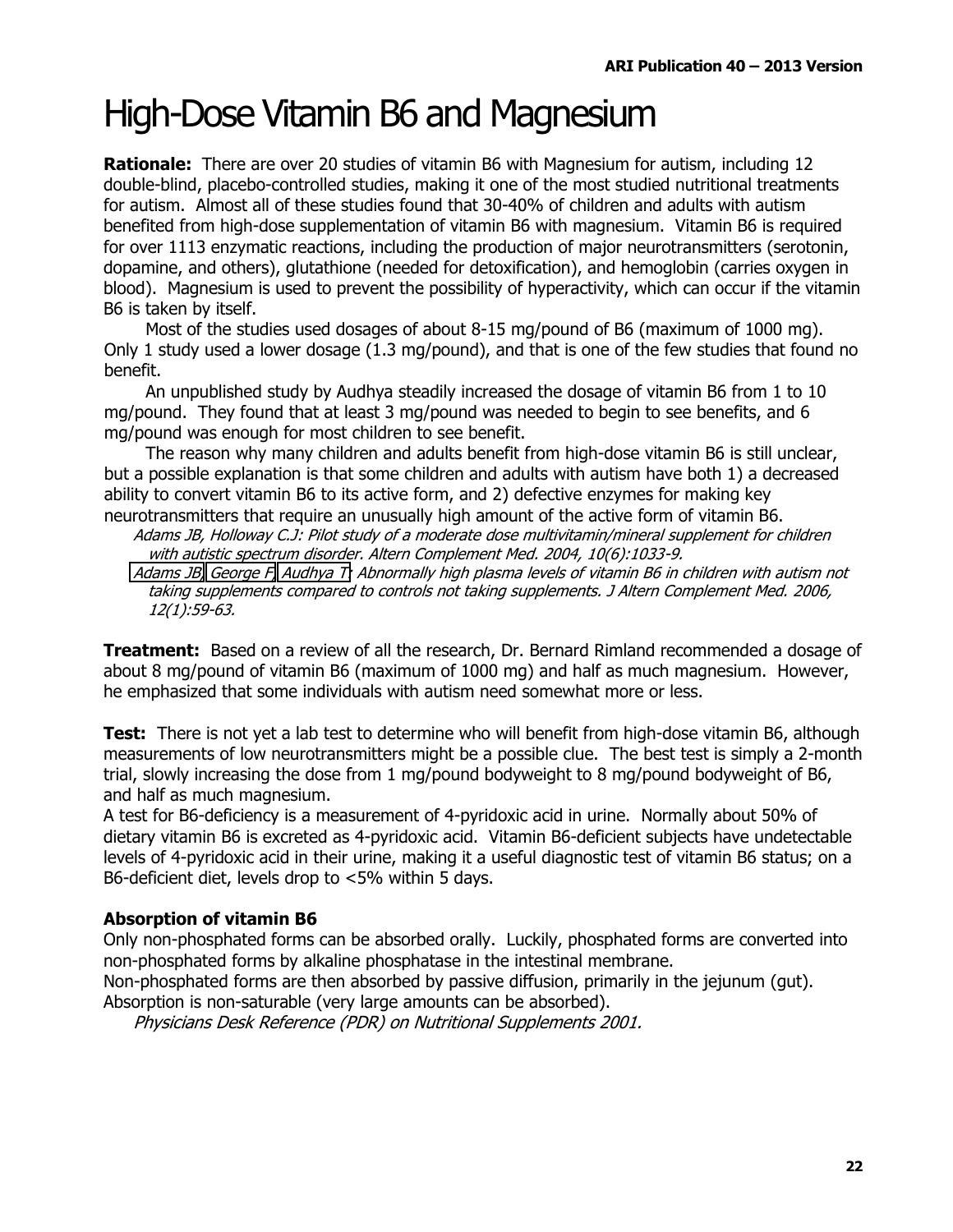### **High-Dose Vitamin B6 and Magnesium**

**Rationale:** There are over 20 studies of vitamin B6 with Magnesium for autism, including 12 double-blind, placebo-controlled studies, making it one of the most studied nutritional treatments for autism. Almost all of these studies found that 30-40% of children and adults with autism benefited from high-dose supplementation of vitamin B6 with magnesium. Vitamin B6 is required for over 1113 enzymatic reactions, including the production of major neurotransmitters (serotonin, dopamine, and others), glutathione (needed for detoxification), and hemoglobin (carries oxygen in blood). Magnesium is used to prevent the possibility of hyperactivity, which can occur if the vitamin B6 is taken by itself.

Most of the studies used dosages of about 8-15 mg/pound of B6 (maximum of 1000 mg). Only 1 study used a lower dosage (1.3 mg/pound), and that is one of the few studies that found no benefit.

An unpublished study by Audhya steadily increased the dosage of vitamin B6 from 1 to 10 mg/pound. They found that at least 3 mg/pound was needed to begin to see benefits, and 6 mg/pound was enough for most children to see benefit.

The reason why many children and adults benefit from high-dose vitamin B6 is still unclear, but a possible explanation is that some children and adults with autism have both 1) a decreased ability to convert vitamin B6 to its active form, and 2) defective enzymes for making key neurotransmitters that require an unusually high amount of the active form of vitamin B6.

Adams JB, Holloway C.J: Pilot study of a moderate dose multivitamin/mineral supplement for children with autistic spectrum disorder. Altern Complement Med. 2004, 10(6):1033-9. Adams JB, George F, Audhya T: Abnormally high plasma levels of vitamin B6 in children with autism not

taking supplements compared to controls not taking supplements. J Altern Complement Med. 2006, 12(1):59-63.

**Treatment:** Based on a review of all the research, Dr. Bernard Rimland recommended a dosage of about 8 mg/pound of vitamin B6 (maximum of 1000 mg) and half as much magnesium. However, he emphasized that some individuals with autism need somewhat more or less.

Test: There is not yet a lab test to determine who will benefit from high-dose vitamin B6, although measurements of low neurotransmitters might be a possible clue. The best test is simply a 2-month trial, slowly increasing the dose from 1 mg/pound bodyweight to 8 mg/pound bodyweight of B6, and half as much magnesium.

A test for B6-deficiency is a measurement of 4-pyridoxic acid in urine. Normally about 50% of dietary vitamin B6 is excreted as 4-pyridoxic acid. Vitamin B6-deficient subjects have undetectable levels of 4-pyridoxic acid in their urine, making it a useful diagnostic test of vitamin B6 status; on a B6-deficient diet, levels drop to <5% within 5 days.

### **Absorption of vitamin B6**

Only non-phosphated forms can be absorbed orally. Luckily, phosphated forms are converted into non-phosphated forms by alkaline phosphatase in the intestinal membrane.

Non-phosphated forms are then absorbed by passive diffusion, primarily in the jejunum (qut). Absorption is non-saturable (very large amounts can be absorbed).

Physicians Desk Reference (PDR) on Nutritional Supplements 2001.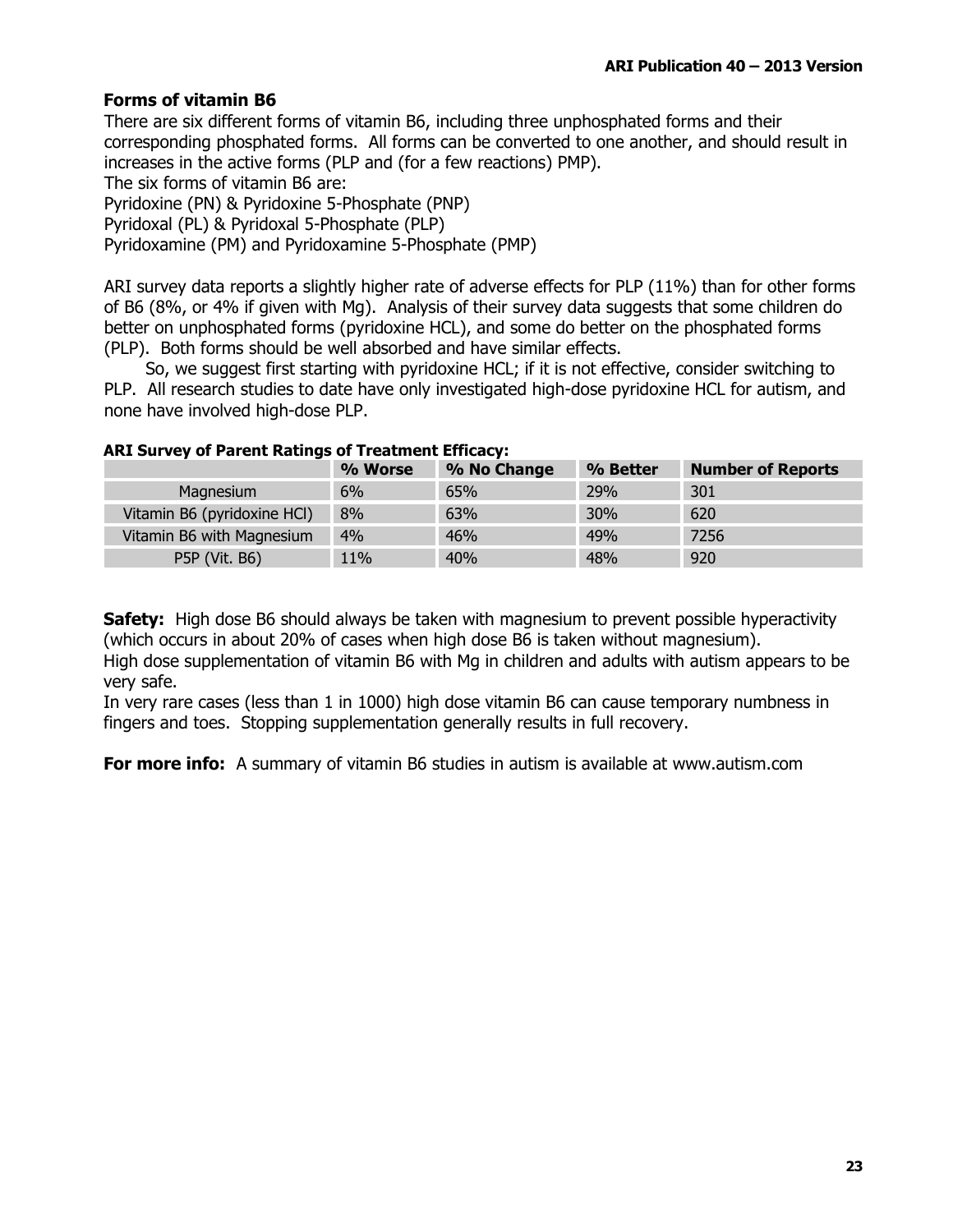### **Forms of vitamin B6**

There are six different forms of vitamin B6, including three unphosphated forms and their corresponding phosphated forms. All forms can be converted to one another, and should result in increases in the active forms (PLP and (for a few reactions) PMP).

The six forms of vitamin B6 are:

Pyridoxine (PN) & Pyridoxine 5-Phosphate (PNP)

Pyridoxal (PL) & Pyridoxal 5-Phosphate (PLP)

Pyridoxamine (PM) and Pyridoxamine 5-Phosphate (PMP)

ARI survey data reports a slightly higher rate of adverse effects for PLP (11%) than for other forms of B6 (8%, or 4% if given with Mg). Analysis of their survey data suggests that some children do better on unphosphated forms (pyridoxine HCL), and some do better on the phosphated forms (PLP). Both forms should be well absorbed and have similar effects.

So, we suggest first starting with pyridoxine HCL; if it is not effective, consider switching to PLP. All research studies to date have only investigated high-dose pyridoxine HCL for autism, and none have involved high-dose PLP.

|                             | % Worse | % No Change | % Better | <b>Number of Reports</b> |
|-----------------------------|---------|-------------|----------|--------------------------|
| Magnesium                   | 6%      | 65%         | 29%      | 301                      |
| Vitamin B6 (pyridoxine HCI) | 8%      | 63%         | 30%      | 620                      |
| Vitamin B6 with Magnesium   | 4%      | 46%         | 49%      | 7256                     |
| P5P (Vit. B6)               | 11%     | 40%         | 48%      | 920                      |

#### **ARI Survey of Parent Ratings of Treatment Efficacy:**

Safety: High dose B6 should always be taken with magnesium to prevent possible hyperactivity (which occurs in about 20% of cases when high dose B6 is taken without magnesium). High dose supplementation of vitamin B6 with Mg in children and adults with autism appears to be very safe.

In very rare cases (less than 1 in 1000) high dose vitamin B6 can cause temporary numbness in fingers and toes. Stopping supplementation generally results in full recovery.

**For more info:** A summary of vitamin B6 studies in autism is available at www.autism.com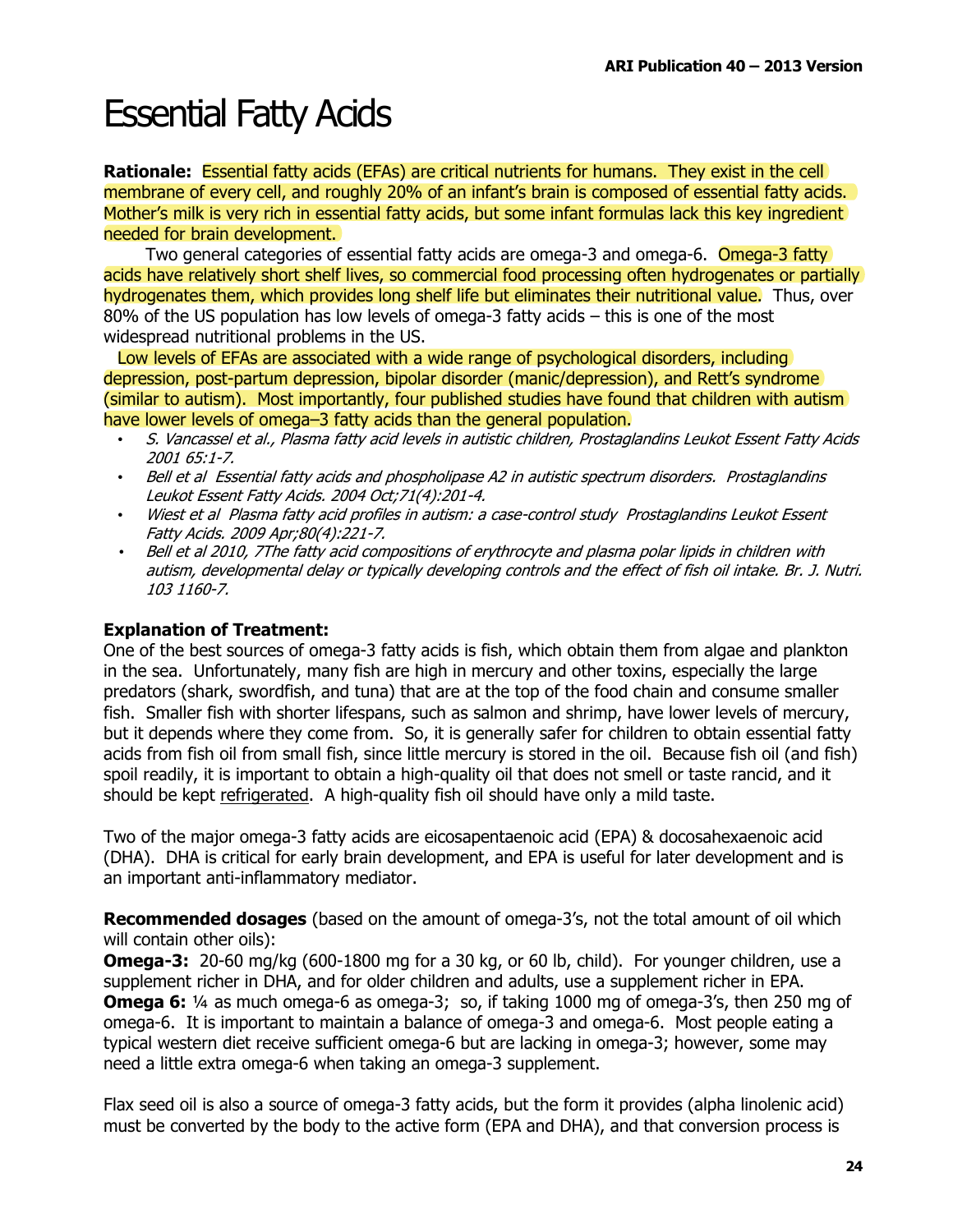### **Essential Fatty Acids**

Rationale: Essential fatty acids (EFAs) are critical nutrients for humans. They exist in the cell membrane of every cell, and roughly 20% of an infant's brain is composed of essential fatty acids. Mother's milk is very rich in essential fatty acids, but some infant formulas lack this key ingredient needed for brain development.

Two general categories of essential fatty acids are omega-3 and omega-6. Omega-3 fatty acids have relatively short shelf lives, so commercial food processing often hydrogenates or partially hydrogenates them, which provides long shelf life but eliminates their nutritional value. Thus, over 80% of the US population has low levels of omega-3 fatty acids - this is one of the most widespread nutritional problems in the US.

Low levels of EFAs are associated with a wide range of psychological disorders, including depression, post-partum depression, bipolar disorder (manic/depression), and Rett's syndrome (similar to autism). Most importantly, four published studies have found that children with autism) have lower levels of omega-3 fatty acids than the general population.

- S. Vancassel et al., Plasma fatty acid levels in autistic children, Prostaglandins Leukot Essent Fatty Acids 2001 65:1-7.
- Bell et al Essential fatty acids and phospholipase A2 in autistic spectrum disorders. Prostaglandins Leukot Essent Fatty Acids. 2004 Oct; 71(4): 201-4.
- Wiest et al Plasma fatty acid profiles in autism: a case-control study Prostaglandins Leukot Essent Fatty Acids, 2009 Apr:80(4):221-7.
- Bell et al 2010, 7The fatty acid compositions of erythrocyte and plasma polar lipids in children with autism, developmental delay or typically developing controls and the effect of fish oil intake. Br. J. Nutri. 103 1160-7.

### **Explanation of Treatment:**

One of the best sources of omega-3 fatty acids is fish, which obtain them from algae and plankton in the sea. Unfortunately, many fish are high in mercury and other toxins, especially the large predators (shark, swordfish, and tuna) that are at the top of the food chain and consume smaller fish. Smaller fish with shorter lifespans, such as salmon and shrimp, have lower levels of mercury, but it depends where they come from. So, it is generally safer for children to obtain essential fatty acids from fish oil from small fish, since little mercury is stored in the oil. Because fish oil (and fish) spoil readily, it is important to obtain a high-quality oil that does not smell or taste rancid, and it should be kept refrigerated. A high-quality fish oil should have only a mild taste.

Two of the major omega-3 fatty acids are eicosapentaenoic acid (EPA) & docosahexaenoic acid (DHA). DHA is critical for early brain development, and EPA is useful for later development and is an important anti-inflammatory mediator.

**Recommended dosages** (based on the amount of omega-3's, not the total amount of oil which will contain other oils):

**Omega-3:** 20-60 mg/kg (600-1800 mg for a 30 kg, or 60 lb, child). For younger children, use a supplement richer in DHA, and for older children and adults, use a supplement richer in EPA. **Omega 6:** 1/4 as much omega-6 as omega-3; so, if taking 1000 mg of omega-3's, then 250 mg of omega-6. It is important to maintain a balance of omega-3 and omega-6. Most people eating a typical western diet receive sufficient omega-6 but are lacking in omega-3; however, some may need a little extra omega-6 when taking an omega-3 supplement.

Flax seed oil is also a source of omega-3 fatty acids, but the form it provides (alpha linolenic acid) must be converted by the body to the active form (EPA and DHA), and that conversion process is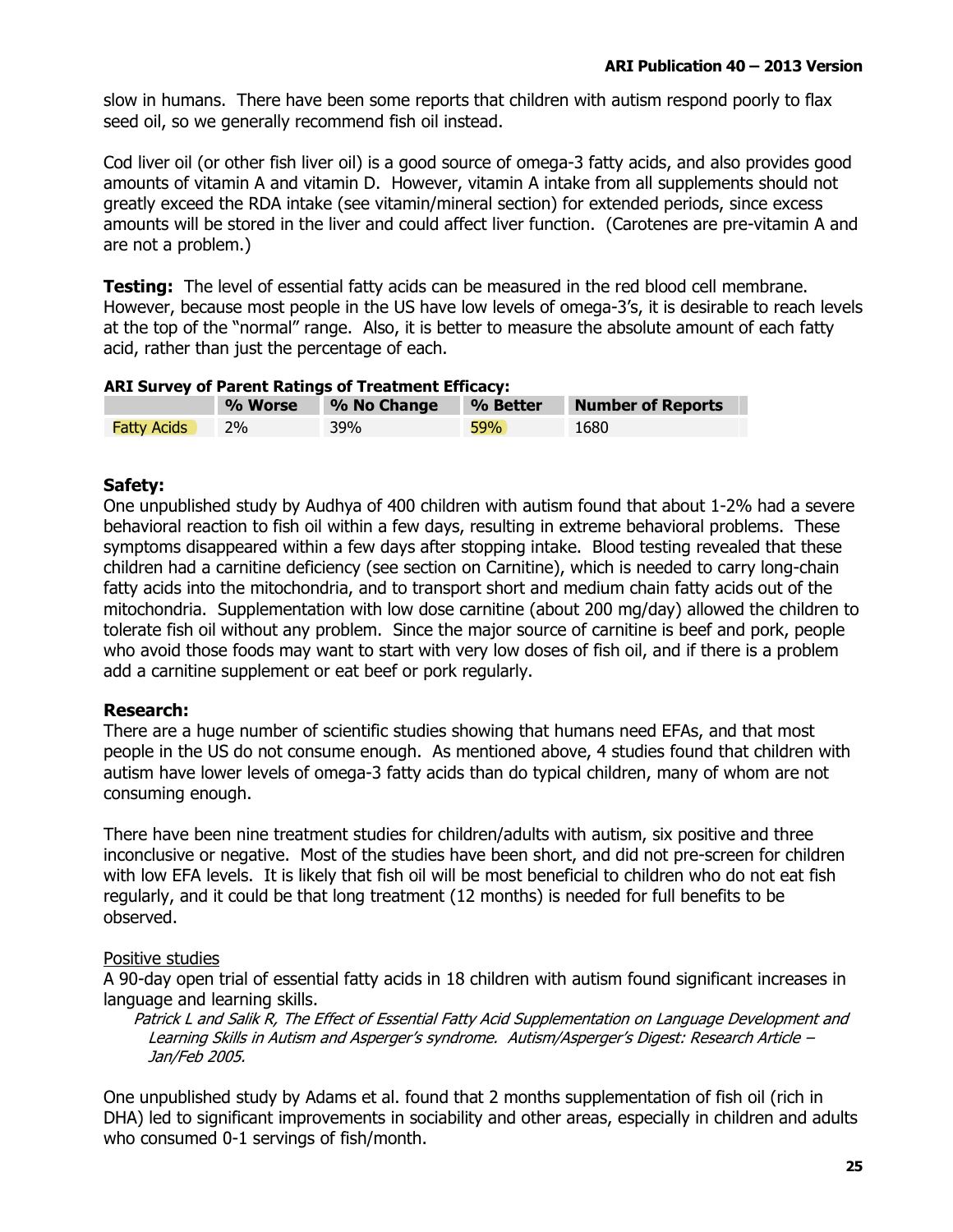slow in humans. There have been some reports that children with autism respond poorly to flax seed oil, so we generally recommend fish oil instead.

Cod liver oil (or other fish liver oil) is a good source of omega-3 fatty acids, and also provides good amounts of vitamin A and vitamin D. However, vitamin A intake from all supplements should not greatly exceed the RDA intake (see vitamin/mineral section) for extended periods, since excess amounts will be stored in the liver and could affect liver function. (Carotenes are pre-vitamin A and are not a problem.)

**Testing:** The level of essential fatty acids can be measured in the red blood cell membrane. However, because most people in the US have low levels of omega-3's, it is desirable to reach levels at the top of the "normal" range. Also, it is better to measure the absolute amount of each fatty acid, rather than just the percentage of each.

| <b>ARI Survey of Parent Ratings of Treatment Efficacy:</b> |                                                                |     |       |      |  |  |
|------------------------------------------------------------|----------------------------------------------------------------|-----|-------|------|--|--|
|                                                            | <b>Number of Reports</b><br>% No Change<br>% Better<br>% Worse |     |       |      |  |  |
| <b>Fatty Acids</b>                                         | <b>2%</b>                                                      | 39% | 59% l | 1680 |  |  |

### Safety:

One unpublished study by Audhya of 400 children with autism found that about 1-2% had a severe behavioral reaction to fish oil within a few days, resulting in extreme behavioral problems. These symptoms disappeared within a few days after stopping intake. Blood testing revealed that these children had a carnitine deficiency (see section on Carnitine), which is needed to carry long-chain fatty acids into the mitochondria, and to transport short and medium chain fatty acids out of the mitochondria. Supplementation with low dose carnitine (about 200 mg/day) allowed the children to tolerate fish oil without any problem. Since the major source of carnitine is beef and pork, people who avoid those foods may want to start with very low doses of fish oil, and if there is a problem add a carnitine supplement or eat beef or pork regularly.

### **Research:**

There are a huge number of scientific studies showing that humans need EFAs, and that most people in the US do not consume enough. As mentioned above, 4 studies found that children with autism have lower levels of omega-3 fatty acids than do typical children, many of whom are not consuming enough.

There have been nine treatment studies for children/adults with autism, six positive and three inconclusive or negative. Most of the studies have been short, and did not pre-screen for children with low EFA levels. It is likely that fish oil will be most beneficial to children who do not eat fish regularly, and it could be that long treatment (12 months) is needed for full benefits to be observed.

### Positive studies

A 90-day open trial of essential fatty acids in 18 children with autism found significant increases in language and learning skills.

Patrick L and Salik R, The Effect of Essential Fatty Acid Supplementation on Language Development and Learning Skills in Autism and Asperger's syndrome. Autism/Asperger's Digest: Research Article -Jan/Feb 2005.

One unpublished study by Adams et al. found that 2 months supplementation of fish oil (rich in DHA) led to significant improvements in sociability and other areas, especially in children and adults who consumed 0-1 servings of fish/month.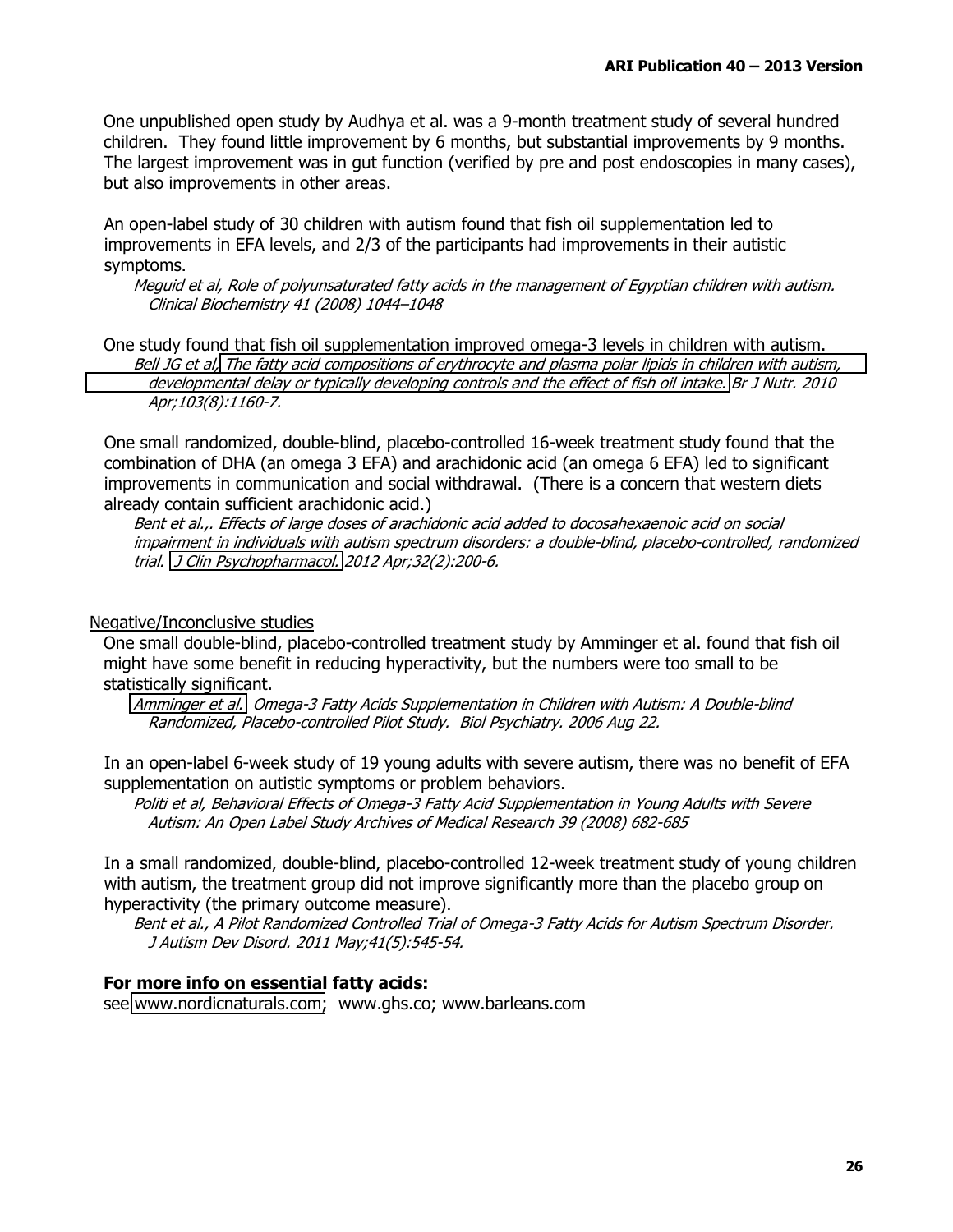One unpublished open study by Audhya et al. was a 9-month treatment study of several hundred children. They found little improvement by 6 months, but substantial improvements by 9 months. The largest improvement was in gut function (verified by pre and post endoscopies in many cases), but also improvements in other areas.

An open-label study of 30 children with autism found that fish oil supplementation led to improvements in EFA levels, and 2/3 of the participants had improvements in their autistic symptoms.

Mequid et al, Role of polyunsaturated fatty acids in the management of Egyptian children with autism. Clinical Biochemistry 41 (2008) 1044-1048

One study found that fish oil supplementation improved omega-3 levels in children with autism. Bell JG et al, The fatty acid compositions of erythrocyte and plasma polar lipids in children with autism, developmental delay or typically developing controls and the effect of fish oil intake. Br J Nutr. 2010 Apr;103(8):1160-7.

One small randomized, double-blind, placebo-controlled 16-week treatment study found that the combination of DHA (an omega 3 EFA) and arachidonic acid (an omega 6 EFA) led to significant improvements in communication and social withdrawal. (There is a concern that western diets already contain sufficient arachidonic acid.)

Bent et al... Effects of large doses of arachidonic acid added to docosahexaenoic acid on social impairment in individuals with autism spectrum disorders: a double-blind, placebo-controlled, randomized trial. J Clin Psychopharmacol. 2012 Apr;32(2):200-6.

Negative/Inconclusive studies

One small double-blind, placebo-controlled treatment study by Amminger et al. found that fish oil might have some benefit in reducing hyperactivity, but the numbers were too small to be statistically significant.

Amminger et al. Omega-3 Fatty Acids Supplementation in Children with Autism: A Double-blind Randomized, Placebo-controlled Pilot Study. Biol Psychiatry. 2006 Aug 22.

In an open-label 6-week study of 19 young adults with severe autism, there was no benefit of EFA supplementation on autistic symptoms or problem behaviors.

Politi et al, Behavioral Effects of Omega-3 Fatty Acid Supplementation in Young Adults with Severe Autism: An Open Label Study Archives of Medical Research 39 (2008) 682-685

In a small randomized, double-blind, placebo-controlled 12-week treatment study of young children with autism, the treatment group did not improve significantly more than the placebo group on hyperactivity (the primary outcome measure).

Bent et al., A Pilot Randomized Controlled Trial of Omega-3 Fatty Acids for Autism Spectrum Disorder. J Autism Dev Disord. 2011 May;41(5):545-54.

#### For more info on essential fatty acids:

see www.nordicnaturals.com; www.ghs.co; www.barleans.com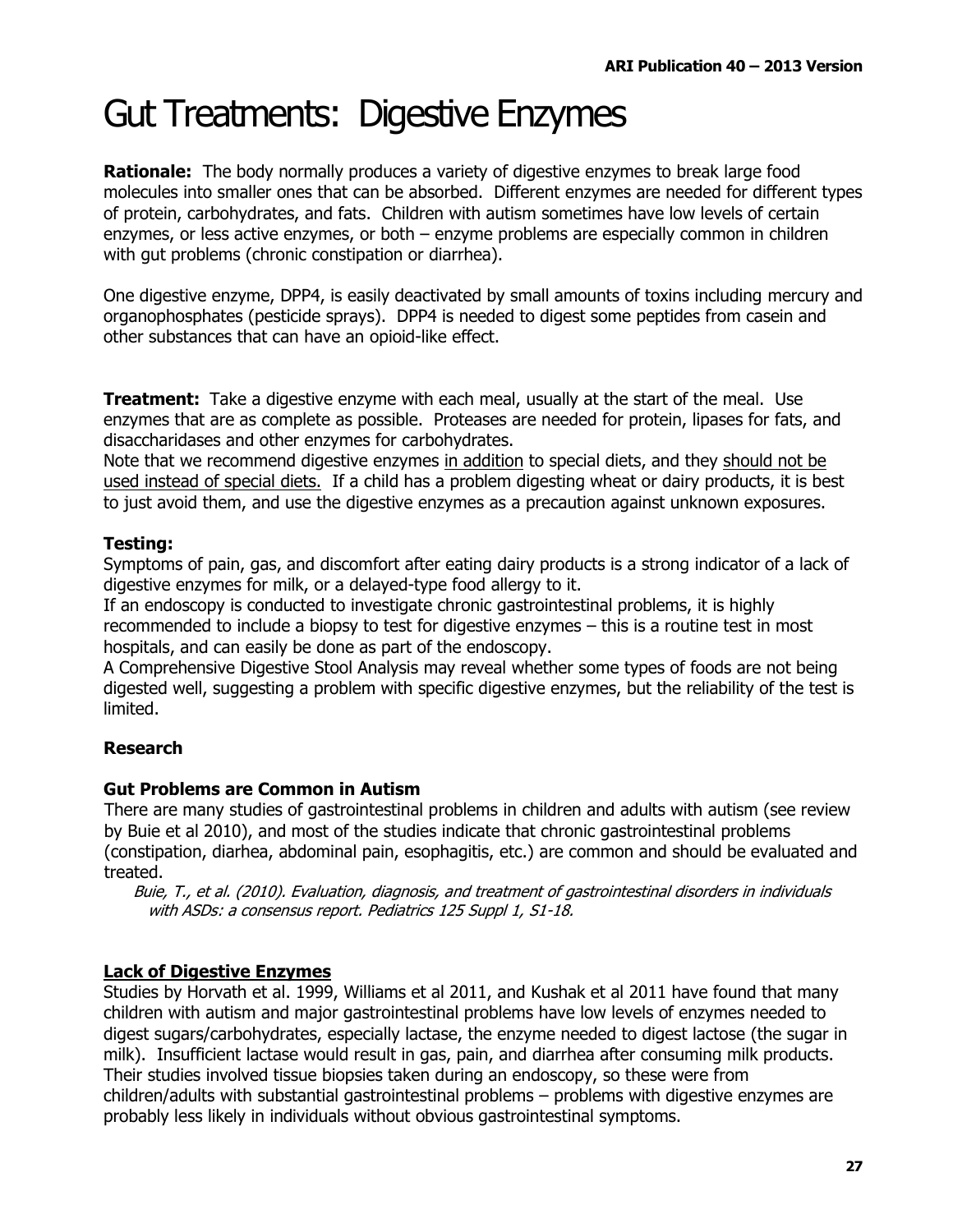### **Gut Treatments: Digestive Enzymes**

**Rationale:** The body normally produces a variety of digestive enzymes to break large food molecules into smaller ones that can be absorbed. Different enzymes are needed for different types of protein, carbohydrates, and fats. Children with autism sometimes have low levels of certain enzymes, or less active enzymes, or both  $-$  enzyme problems are especially common in children with gut problems (chronic constipation or diarrhea).

One digestive enzyme, DPP4, is easily deactivated by small amounts of toxins including mercury and organophosphates (pesticide sprays). DPP4 is needed to digest some peptides from casein and other substances that can have an opioid-like effect.

**Treatment:** Take a digestive enzyme with each meal, usually at the start of the meal. Use enzymes that are as complete as possible. Proteases are needed for protein, lipases for fats, and disaccharidases and other enzymes for carbohydrates.

Note that we recommend digestive enzymes in addition to special diets, and they should not be used instead of special diets. If a child has a problem digesting wheat or dairy products, it is best to just avoid them, and use the digestive enzymes as a precaution against unknown exposures.

### **Testina:**

Symptoms of pain, gas, and discomfort after eating dairy products is a strong indicator of a lack of digestive enzymes for milk, or a delayed-type food allergy to it.

If an endoscopy is conducted to investigate chronic gastrointestinal problems, it is highly recommended to include a biopsy to test for digestive enzymes - this is a routine test in most hospitals, and can easily be done as part of the endoscopy.

A Comprehensive Digestive Stool Analysis may reveal whether some types of foods are not being digested well, suggesting a problem with specific digestive enzymes, but the reliability of the test is limited.

### **Research**

### **Gut Problems are Common in Autism**

There are many studies of gastrointestinal problems in children and adults with autism (see review by Buie et al 2010), and most of the studies indicate that chronic gastrointestinal problems (constipation, diarhea, abdominal pain, esophagitis, etc.) are common and should be evaluated and treated.

Buie, T., et al. (2010). Evaluation, diagnosis, and treatment of gastrointestinal disorders in individuals with ASDs: a consensus report. Pediatrics 125 Suppl 1, S1-18.

### **Lack of Digestive Enzymes**

Studies by Horvath et al. 1999, Williams et al 2011, and Kushak et al 2011 have found that many children with autism and major gastrointestinal problems have low levels of enzymes needed to digest sugars/carbohydrates, especially lactase, the enzyme needed to digest lactose (the sugar in milk). Insufficient lactase would result in gas, pain, and diarrhea after consuming milk products. Their studies involved tissue biopsies taken during an endoscopy, so these were from children/adults with substantial gastrointestinal problems – problems with digestive enzymes are probably less likely in individuals without obvious gastrointestinal symptoms.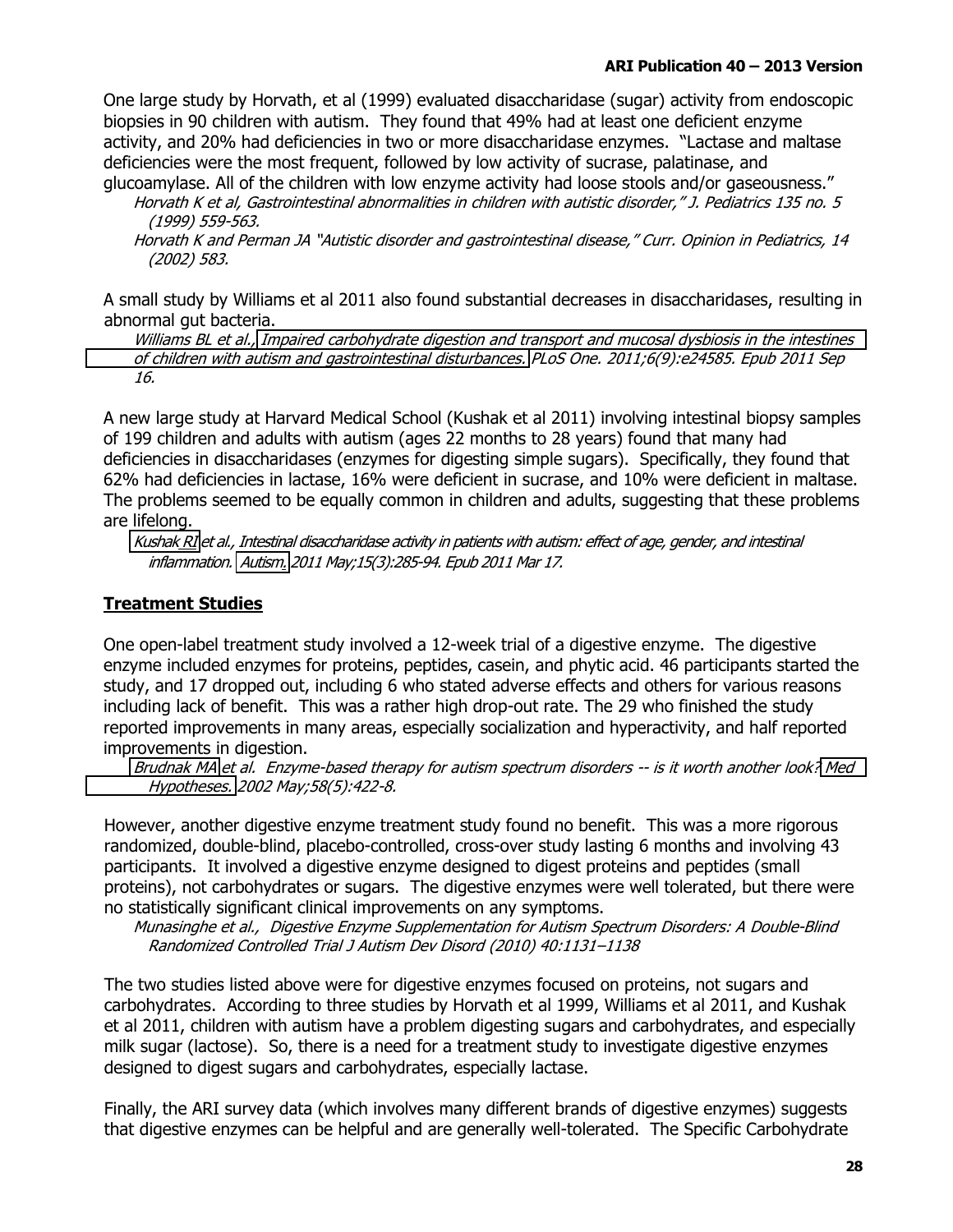One large study by Horvath, et al (1999) evaluated disaccharidase (sugar) activity from endoscopic biopsies in 90 children with autism. They found that 49% had at least one deficient enzyme activity, and 20% had deficiencies in two or more disaccharidase enzymes. "Lactase and maltase deficiencies were the most frequent, followed by low activity of sucrase, palatinase, and glucoamylase. All of the children with low enzyme activity had loose stools and/or gaseousness."

Horvath K et al, Gastrointestinal abnormalities in children with autistic disorder," J. Pediatrics 135 no. 5 (1999) 559-563.

Horvath K and Perman JA "Autistic disorder and gastrointestinal disease," Curr. Opinion in Pediatrics, 14  $(2002)$  583.

A small study by Williams et al 2011 also found substantial decreases in disaccharidases, resulting in abnormal qut bacteria.

Williams BL et al., Impaired carbohydrate digestion and transport and mucosal dysbiosis in the intestines of children with autism and gastrointestinal disturbances. PLoS One. 2011;6(9):e24585. Epub 2011 Sep 16.

A new large study at Harvard Medical School (Kushak et al 2011) involving intestinal biopsy samples of 199 children and adults with autism (ages 22 months to 28 years) found that many had deficiencies in disaccharidases (enzymes for digesting simple sugars). Specifically, they found that 62% had deficiencies in lactase, 16% were deficient in sucrase, and 10% were deficient in maltase. The problems seemed to be equally common in children and adults, suggesting that these problems are lifelong.

Kushak RI et al., Intestinal disaccharidase activity in patients with autism: effect of age, gender, and intestinal inflammation. Autism. 2011 May;15(3):285-94. Epub 2011 Mar 17.

### **Treatment Studies**

One open-label treatment study involved a 12-week trial of a digestive enzyme. The digestive enzyme included enzymes for proteins, peptides, casein, and phytic acid. 46 participants started the study, and 17 dropped out, including 6 who stated adverse effects and others for various reasons including lack of benefit. This was a rather high drop-out rate. The 29 who finished the study reported improvements in many areas, especially socialization and hyperactivity, and half reported improvements in digestion.

Brudnak MA et al. Enzyme-based therapy for autism spectrum disorders -- is it worth another look? Med Hypotheses. 2002 May; 58(5): 422-8.

However, another digestive enzyme treatment study found no benefit. This was a more rigorous randomized, double-blind, placebo-controlled, cross-over study lasting 6 months and involving 43 participants. It involved a digestive enzyme designed to digest proteins and peptides (small proteins), not carbohydrates or sugars. The digestive enzymes were well tolerated, but there were no statistically significant clinical improvements on any symptoms.

Munasinghe et al., Digestive Enzyme Supplementation for Autism Spectrum Disorders: A Double-Blind Randomized Controlled Trial J Autism Dev Disord (2010) 40:1131-1138

The two studies listed above were for digestive enzymes focused on proteins, not sugars and carbohydrates. According to three studies by Horvath et al 1999, Williams et al 2011, and Kushak et al 2011, children with autism have a problem digesting sugars and carbohydrates, and especially milk sugar (lactose). So, there is a need for a treatment study to investigate digestive enzymes designed to digest sugars and carbohydrates, especially lactase.

Finally, the ARI survey data (which involves many different brands of digestive enzymes) suggests that digestive enzymes can be helpful and are generally well-tolerated. The Specific Carbohydrate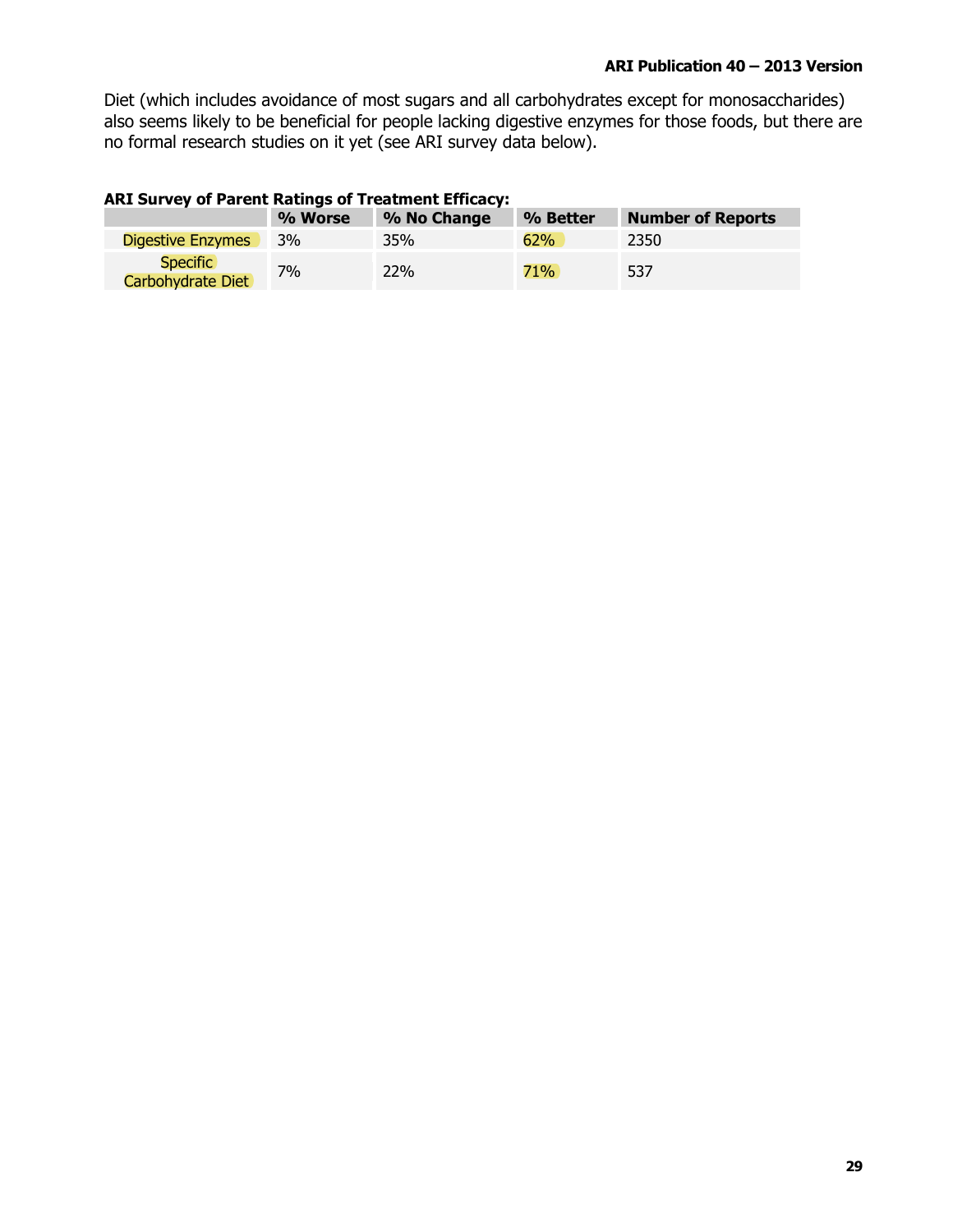Diet (which includes avoidance of most sugars and all carbohydrates except for monosaccharides) also seems likely to be beneficial for people lacking digestive enzymes for those foods, but there are no formal research studies on it yet (see ARI survey data below).

### **ARI Survey of Parent Ratings of Treatment Efficacy:**

|                                      | % Worse | % No Change | % Better | <b>Number of Reports</b> |
|--------------------------------------|---------|-------------|----------|--------------------------|
| <b>Digestive Enzymes</b>             | 3%      | 35%         | 62%      | 2350                     |
| <b>Specific</b><br>Carbohydrate Diet | $7\%$   | 22%         | 71%      | 537                      |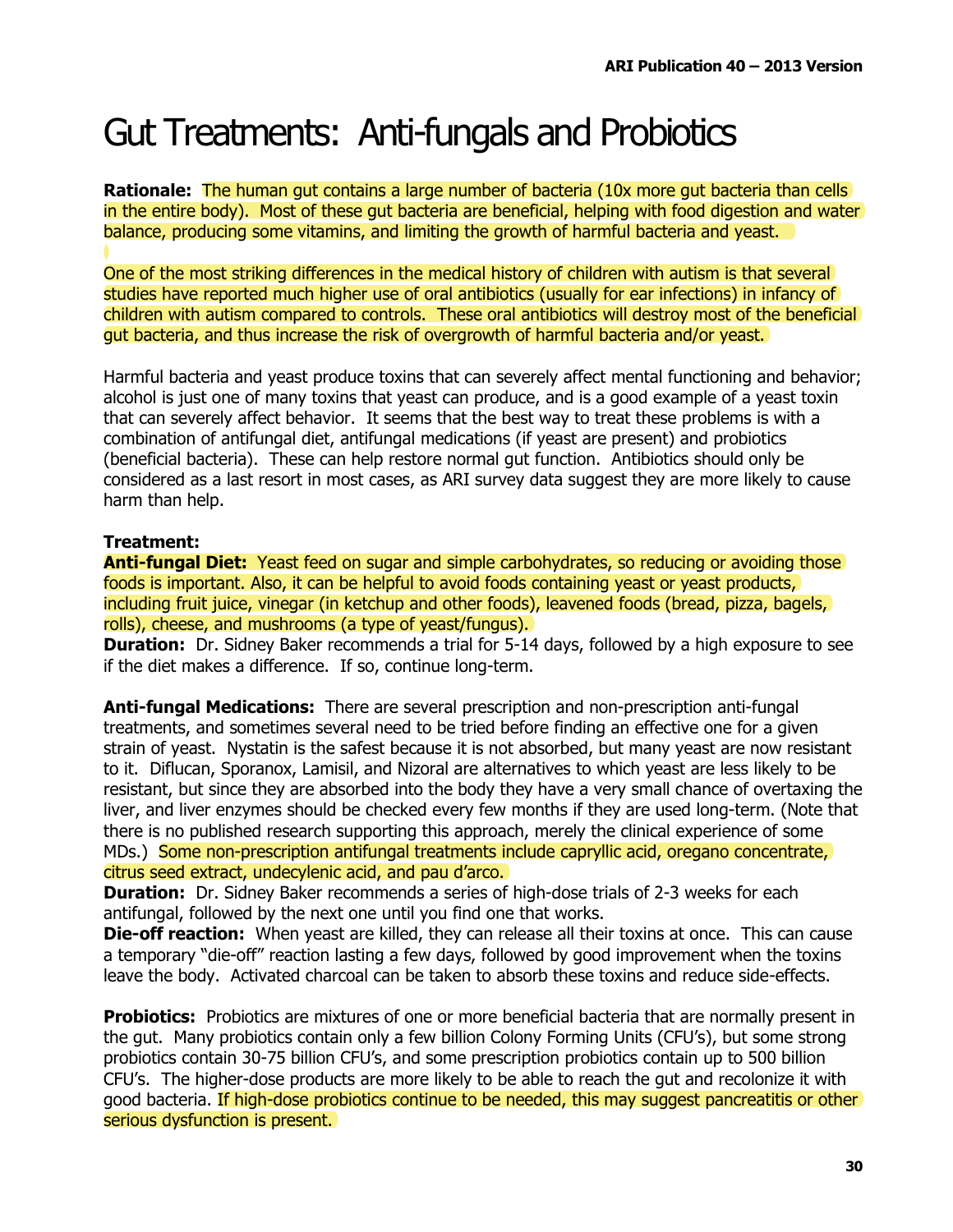### Gut Treatments: Anti-fungals and Probiotics

**Rationale:** The human gut contains a large number of bacteria (10x more gut bacteria than cells) in the entire body). Most of these gut bacteria are beneficial, helping with food digestion and water balance, producing some vitamins, and limiting the growth of harmful bacteria and yeast.

One of the most striking differences in the medical history of children with autism is that several studies have reported much higher use of oral antibiotics (usually for ear infections) in infancy of children with autism compared to controls. These oral antibiotics will destroy most of the beneficial gut bacteria, and thus increase the risk of overgrowth of harmful bacteria and/or yeast.

Harmful bacteria and yeast produce toxins that can severely affect mental functioning and behavior; alcohol is just one of many toxins that yeast can produce, and is a good example of a yeast toxin that can severely affect behavior. It seems that the best way to treat these problems is with a combination of antifungal diet, antifungal medications (if yeast are present) and probiotics (beneficial bacteria). These can help restore normal qut function. Antibiotics should only be considered as a last resort in most cases, as ARI survey data suggest they are more likely to cause harm than help.

### **Treatment:**

**Anti-fungal Diet:** Yeast feed on sugar and simple carbohydrates, so reducing or avoiding those foods is important. Also, it can be helpful to avoid foods containing yeast or yeast products, including fruit juice, vinegar (in ketchup and other foods), leavened foods (bread, pizza, bagels, rolls), cheese, and mushrooms (a type of yeast/fungus).

**Duration:** Dr. Sidney Baker recommends a trial for 5-14 days, followed by a high exposure to see if the diet makes a difference. If so, continue long-term.

**Anti-fungal Medications:** There are several prescription and non-prescription anti-fungal treatments, and sometimes several need to be tried before finding an effective one for a given strain of yeast. Nystatin is the safest because it is not absorbed, but many yeast are now resistant to it. Diflucan, Sporanox, Lamisil, and Nizoral are alternatives to which yeast are less likely to be resistant, but since they are absorbed into the body they have a very small chance of overtaxing the liver, and liver enzymes should be checked every few months if they are used long-term. (Note that there is no published research supporting this approach, merely the clinical experience of some MDs.) Some non-prescription antifungal treatments include capryllic acid, oregano concentrate, citrus seed extract, undecylenic acid, and pau d'arco.

**Duration:** Dr. Sidney Baker recommends a series of high-dose trials of 2-3 weeks for each antifungal, followed by the next one until you find one that works.

**Die-off reaction:** When yeast are killed, they can release all their toxins at once. This can cause a temporary "die-off" reaction lasting a few days, followed by good improvement when the toxins leave the body. Activated charcoal can be taken to absorb these toxins and reduce side-effects.

**Probiotics:** Probiotics are mixtures of one or more beneficial bacteria that are normally present in the gut. Many probiotics contain only a few billion Colony Forming Units (CFU's), but some strong probiotics contain 30-75 billion CFU's, and some prescription probiotics contain up to 500 billion CFU's. The higher-dose products are more likely to be able to reach the gut and recolonize it with good bacteria. If high-dose probiotics continue to be needed, this may suggest pancreatitis or other serious dysfunction is present.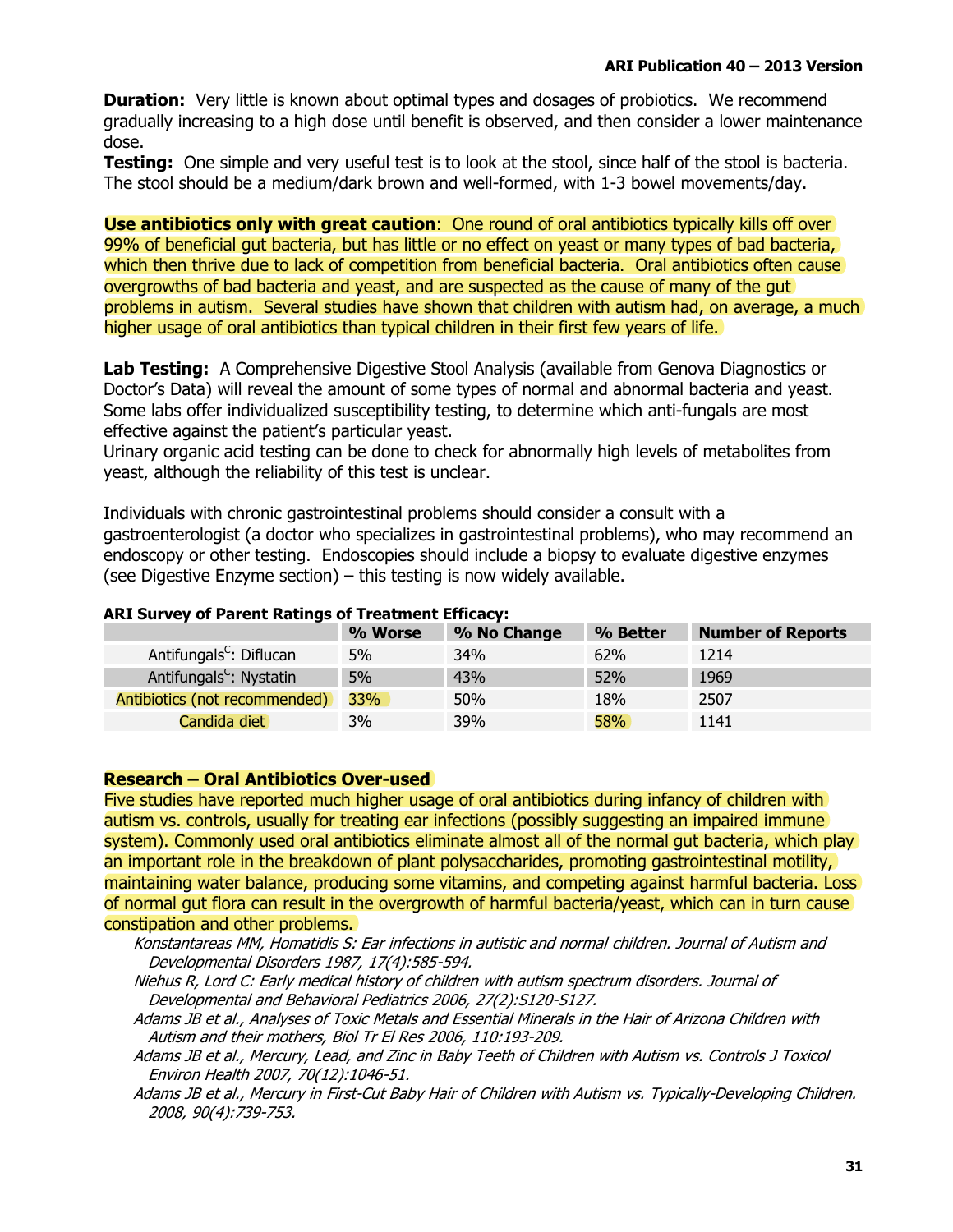**Duration:** Very little is known about optimal types and dosages of probiotics. We recommend gradually increasing to a high dose until benefit is observed, and then consider a lower maintenance dose.

Testing: One simple and very useful test is to look at the stool, since half of the stool is bacteria. The stool should be a medium/dark brown and well-formed, with 1-3 bowel movements/day.

**Use antibiotics only with great caution:** One round of oral antibiotics typically kills off over 99% of beneficial gut bacteria, but has little or no effect on yeast or many types of bad bacteria, which then thrive due to lack of competition from beneficial bacteria. Oral antibiotics often cause overgrowths of bad bacteria and yeast, and are suspected as the cause of many of the qut problems in autism. Several studies have shown that children with autism had, on average, a much higher usage of oral antibiotics than typical children in their first few years of life.

Lab Testing: A Comprehensive Digestive Stool Analysis (available from Genova Diagnostics or Doctor's Data) will reveal the amount of some types of normal and abnormal bacteria and yeast. Some labs offer individualized susceptibility testing, to determine which anti-fungals are most effective against the patient's particular yeast.

Urinary organic acid testing can be done to check for abnormally high levels of metabolites from yeast, although the reliability of this test is unclear.

Individuals with chronic gastrointestinal problems should consider a consult with a gastroenterologist (a doctor who specializes in gastrointestinal problems), who may recommend an endoscopy or other testing. Endoscopies should include a biopsy to evaluate digestive enzymes (see Digestive Enzyme section) - this testing is now widely available.

|                                     | % Worse | % No Change | % Better   | <b>Number of Reports</b> |
|-------------------------------------|---------|-------------|------------|--------------------------|
| Antifungals <sup>C</sup> : Diflucan | 5%      | <b>34%</b>  | 62%        | 1214                     |
| Antifungals <sup>C</sup> : Nystatin | 5%      | 43%         | 52%        | 1969                     |
| Antibiotics (not recommended)       | 33%     | 50%         | 18%        | 2507                     |
| Candida diet                        | 3%      | 39%         | <b>58%</b> | 1141                     |

### **ARI Survev of Parent Ratings of Treatment Efficacy:**

#### **Research - Oral Antibiotics Over-used**

Five studies have reported much higher usage of oral antibiotics during infancy of children with autism vs. controls, usually for treating ear infections (possibly suggesting an impaired immune system). Commonly used oral antibiotics eliminate almost all of the normal gut bacteria, which play an important role in the breakdown of plant polysaccharides, promoting gastrointestinal motility, maintaining water balance, producing some vitamins, and competing against harmful bacteria. Loss of normal gut flora can result in the overgrowth of harmful bacteria/yeast, which can in turn cause constipation and other problems.

Konstantareas MM, Homatidis S: Ear infections in autistic and normal children. Journal of Autism and Developmental Disorders 1987, 17(4):585-594.

Niehus R, Lord C: Early medical history of children with autism spectrum disorders. Journal of Developmental and Behavioral Pediatrics 2006, 27(2):S120-S127.

Adams JB et al., Analyses of Toxic Metals and Essential Minerals in the Hair of Arizona Children with Autism and their mothers, Biol Tr El Res 2006, 110:193-209.

Adams JB et al., Mercury, Lead, and Zinc in Baby Teeth of Children with Autism vs. Controls J Toxicol Environ Health 2007, 70(12):1046-51.

Adams JB et al., Mercury in First-Cut Baby Hair of Children with Autism vs. Typically-Developing Children. 2008, 90(4):739-753.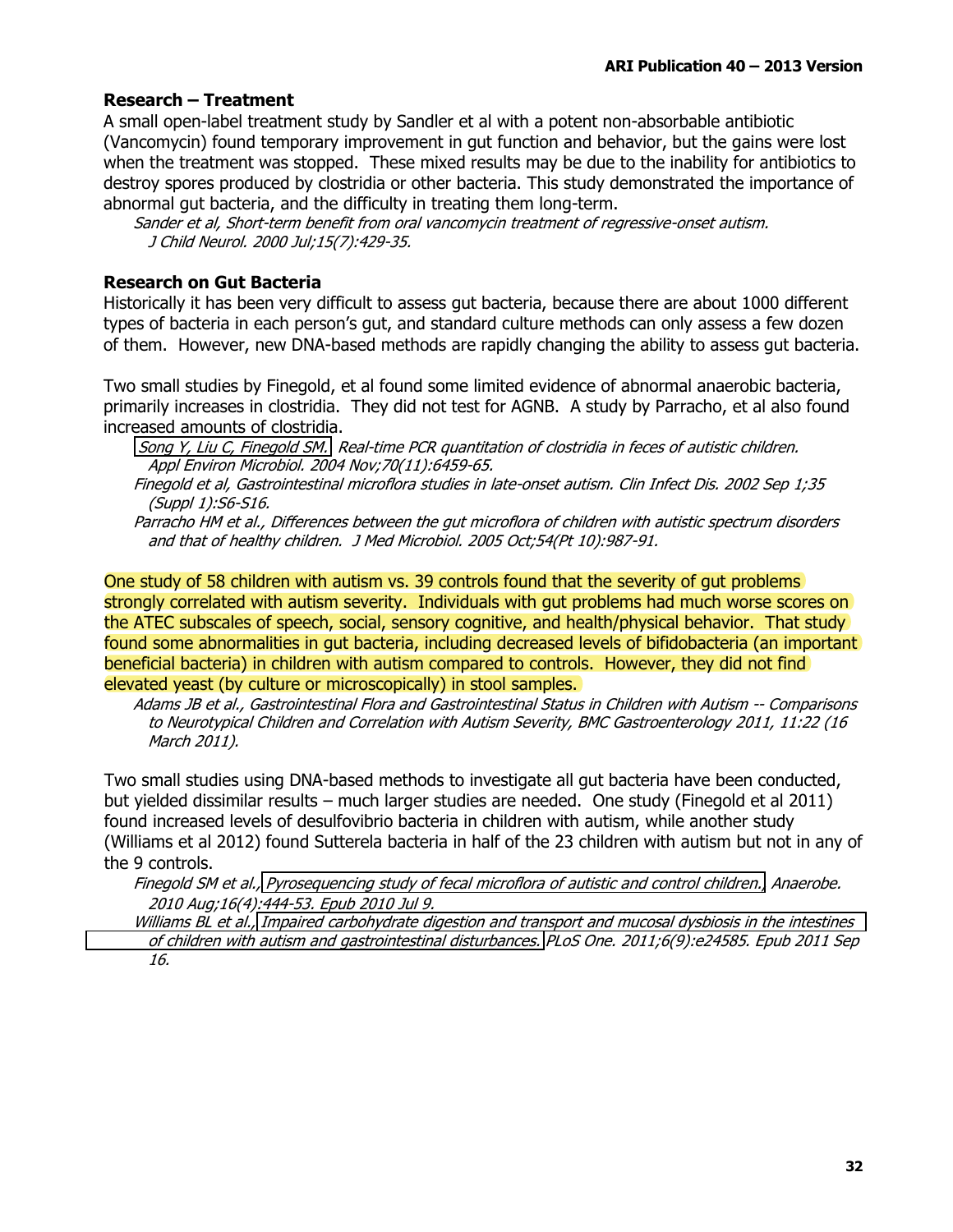### **Research - Treatment**

A small open-label treatment study by Sandler et al with a potent non-absorbable antibiotic (Vancomycin) found temporary improvement in gut function and behavior, but the gains were lost when the treatment was stopped. These mixed results may be due to the inability for antibiotics to destroy spores produced by clostridia or other bacteria. This study demonstrated the importance of abnormal gut bacteria, and the difficulty in treating them long-term.

Sander et al, Short-term benefit from oral vancomycin treatment of regressive-onset autism. J Child Neurol. 2000 Jul;15(7):429-35.

### **Research on Gut Bacteria**

Historically it has been very difficult to assess gut bacteria, because there are about 1000 different types of bacteria in each person's gut, and standard culture methods can only assess a few dozen of them. However, new DNA-based methods are rapidly changing the ability to assess gut bacteria.

Two small studies by Finegold, et al found some limited evidence of abnormal anaerobic bacteria, primarily increases in clostridia. They did not test for AGNB. A study by Parracho, et al also found increased amounts of clostridia.

Song Y, Liu C, Finegold SM, Real-time PCR quantitation of clostridia in feces of autistic children. Appl Environ Microbiol. 2004 Nov; 70(11): 6459-65.

Finegold et al, Gastrointestinal microflora studies in late-onset autism. Clin Infect Dis. 2002 Sep 1;35 (Suppl 1):S6-S16.

Parracho HM et al., Differences between the qut microflora of children with autistic spectrum disorders and that of healthy children. J Med Microbiol. 2005 Oct; 54(Pt 10): 987-91.

One study of 58 children with autism vs. 39 controls found that the severity of gut problems strongly correlated with autism severity. Individuals with gut problems had much worse scores on the ATEC subscales of speech, social, sensory cognitive, and health/physical behavior. That study found some abnormalities in gut bacteria, including decreased levels of bifidobacteria (an important) beneficial bacteria) in children with autism compared to controls. However, they did not find elevated yeast (by culture or microscopically) in stool samples.

Adams JB et al., Gastrointestinal Flora and Gastrointestinal Status in Children with Autism -- Comparisons to Neurotypical Children and Correlation with Autism Severity, BMC Gastroenterology 2011, 11:22 (16 March 2011).

Two small studies using DNA-based methods to investigate all gut bacteria have been conducted, but yielded dissimilar results – much larger studies are needed. One study (Finegold et al 2011) found increased levels of desulfovibrio bacteria in children with autism, while another study (Williams et al 2012) found Sutterela bacteria in half of the 23 children with autism but not in any of the 9 controls.

Finegold SM et al., Pyrosequencing study of fecal microflora of autistic and control children., Anaerobe. 2010 Aug:16(4):444-53. Epub 2010 Jul 9.

Williams BL et al., Impaired carbohydrate digestion and transport and mucosal dysbiosis in the intestines of children with autism and gastrointestinal disturbances. PLoS One. 2011;6(9):e24585. Epub 2011 Sep 16.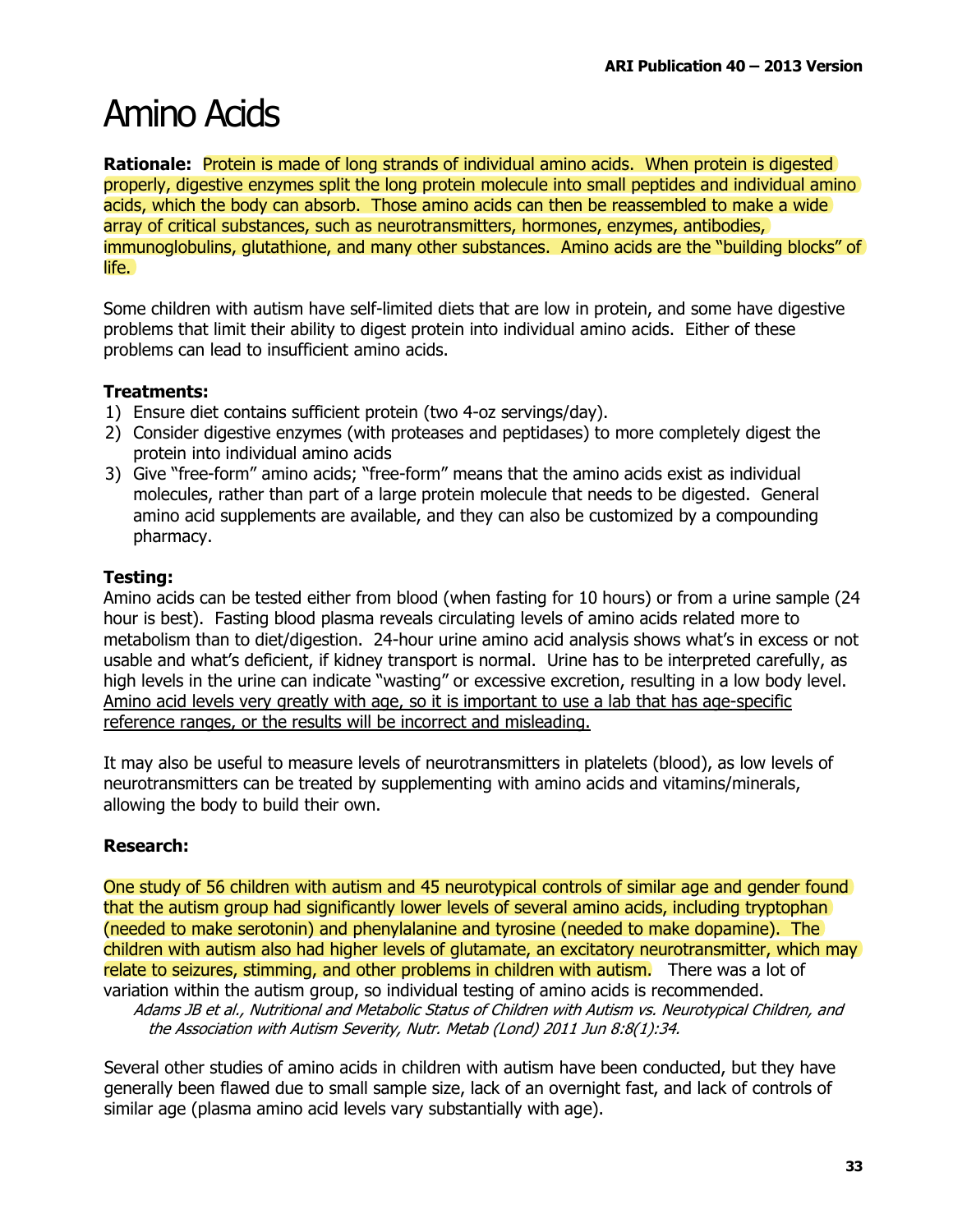### **Amino Acids**

**Rationale:** Protein is made of long strands of individual amino acids. When protein is digested properly, digestive enzymes split the long protein molecule into small peptides and individual amino acids, which the body can absorb. Those amino acids can then be reassembled to make a wide array of critical substances, such as neurotransmitters, hormones, enzymes, antibodies, immunoglobulins, glutathione, and many other substances. Amino acids are the "building blocks" of life.

Some children with autism have self-limited diets that are low in protein, and some have digestive problems that limit their ability to digest protein into individual amino acids. Either of these problems can lead to insufficient amino acids.

### **Treatments:**

- 1) Ensure diet contains sufficient protein (two 4-oz servings/day).
- 2) Consider digestive enzymes (with proteases and peptidases) to more completely digest the protein into individual amino acids
- 3) Give "free-form" amino acids; "free-form" means that the amino acids exist as individual molecules, rather than part of a large protein molecule that needs to be digested. General amino acid supplements are available, and they can also be customized by a compounding pharmacy.

### **Testing:**

Amino acids can be tested either from blood (when fasting for 10 hours) or from a urine sample (24 hour is best). Fasting blood plasma reveals circulating levels of amino acids related more to metabolism than to diet/digestion. 24-hour urine amino acid analysis shows what's in excess or not usable and what's deficient, if kidney transport is normal. Urine has to be interpreted carefully, as high levels in the urine can indicate "wasting" or excessive excretion, resulting in a low body level. Amino acid levels very greatly with age, so it is important to use a lab that has age-specific reference ranges, or the results will be incorrect and misleading.

It may also be useful to measure levels of neurotransmitters in platelets (blood), as low levels of neurotransmitters can be treated by supplementing with amino acids and vitamins/minerals, allowing the body to build their own.

### **Research:**

One study of 56 children with autism and 45 neurotypical controls of similar age and gender found that the autism group had significantly lower levels of several amino acids, including tryptophan (needed to make serotonin) and phenylalanine and tyrosine (needed to make dopamine). The children with autism also had higher levels of glutamate, an excitatory neurotransmitter, which may relate to seizures, stimming, and other problems in children with autism. There was a lot of variation within the autism group, so individual testing of amino acids is recommended.

Adams JB et al., Nutritional and Metabolic Status of Children with Autism vs. Neurotypical Children, and the Association with Autism Severity, Nutr. Metab (Lond) 2011 Jun 8:8(1):34.

Several other studies of amino acids in children with autism have been conducted, but they have generally been flawed due to small sample size, lack of an overnight fast, and lack of controls of similar age (plasma amino acid levels vary substantially with age).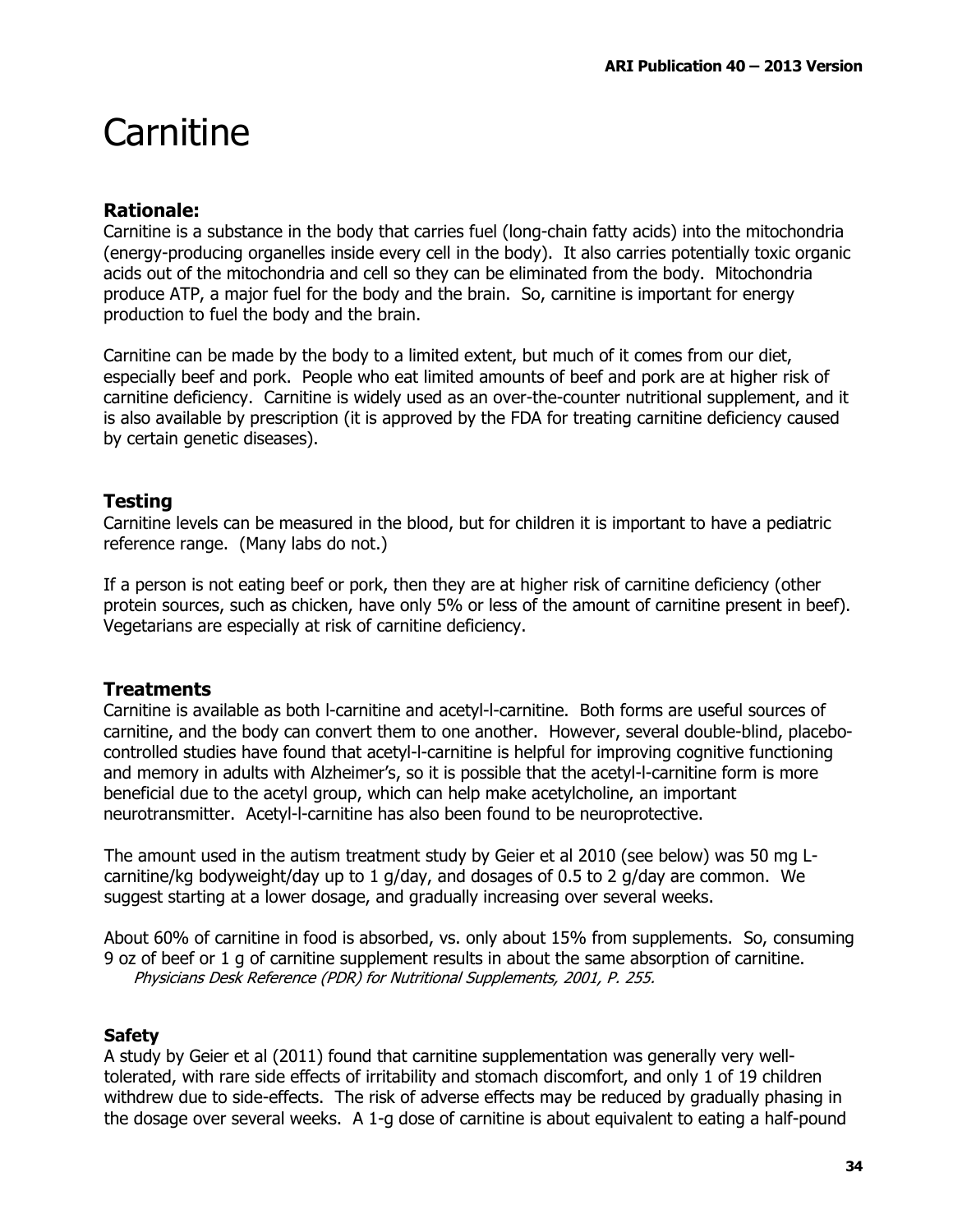### Carnitine

### **Rationale:**

Carnitine is a substance in the body that carries fuel (long-chain fatty acids) into the mitochondria (energy-producing organelles inside every cell in the body). It also carries potentially toxic organic acids out of the mitochondria and cell so they can be eliminated from the body. Mitochondria produce ATP, a major fuel for the body and the brain. So, carnitine is important for energy production to fuel the body and the brain.

Carnitine can be made by the body to a limited extent, but much of it comes from our diet, especially beef and pork. People who eat limited amounts of beef and pork are at higher risk of carnitine deficiency. Carnitine is widely used as an over-the-counter nutritional supplement, and it is also available by prescription (it is approved by the FDA for treating carnitine deficiency caused by certain genetic diseases).

### **Testing**

Carnitine levels can be measured in the blood, but for children it is important to have a pediatric reference range. (Many labs do not.)

If a person is not eating beef or pork, then they are at higher risk of carnitine deficiency (other protein sources, such as chicken, have only 5% or less of the amount of carnitine present in beef). Vegetarians are especially at risk of carnitine deficiency.

### **Treatments**

Carnitine is available as both I-carnitine and acetyl-I-carnitine. Both forms are useful sources of carnitine, and the body can convert them to one another. However, several double-blind, placebocontrolled studies have found that acetyl-l-carnitine is helpful for improving cognitive functioning and memory in adults with Alzheimer's, so it is possible that the acetyl-I-carnitine form is more beneficial due to the acetyl group, which can help make acetylcholine, an important neurotransmitter. Acetyl-I-carnitine has also been found to be neuroprotective.

The amount used in the autism treatment study by Geier et al 2010 (see below) was 50 mg Lcarnitine/kg bodyweight/day up to 1 g/day, and dosages of 0.5 to 2 g/day are common. We suggest starting at a lower dosage, and gradually increasing over several weeks.

About 60% of carnitine in food is absorbed, vs. only about 15% from supplements. So, consuming 9 oz of beef or 1 g of carnitine supplement results in about the same absorption of carnitine. Physicians Desk Reference (PDR) for Nutritional Supplements, 2001, P. 255.

### **Safety**

A study by Geier et al (2011) found that carnitine supplementation was generally very welltolerated, with rare side effects of irritability and stomach discomfort, and only 1 of 19 children withdrew due to side-effects. The risk of adverse effects may be reduced by gradually phasing in the dosage over several weeks. A 1-g dose of carnitine is about equivalent to eating a half-pound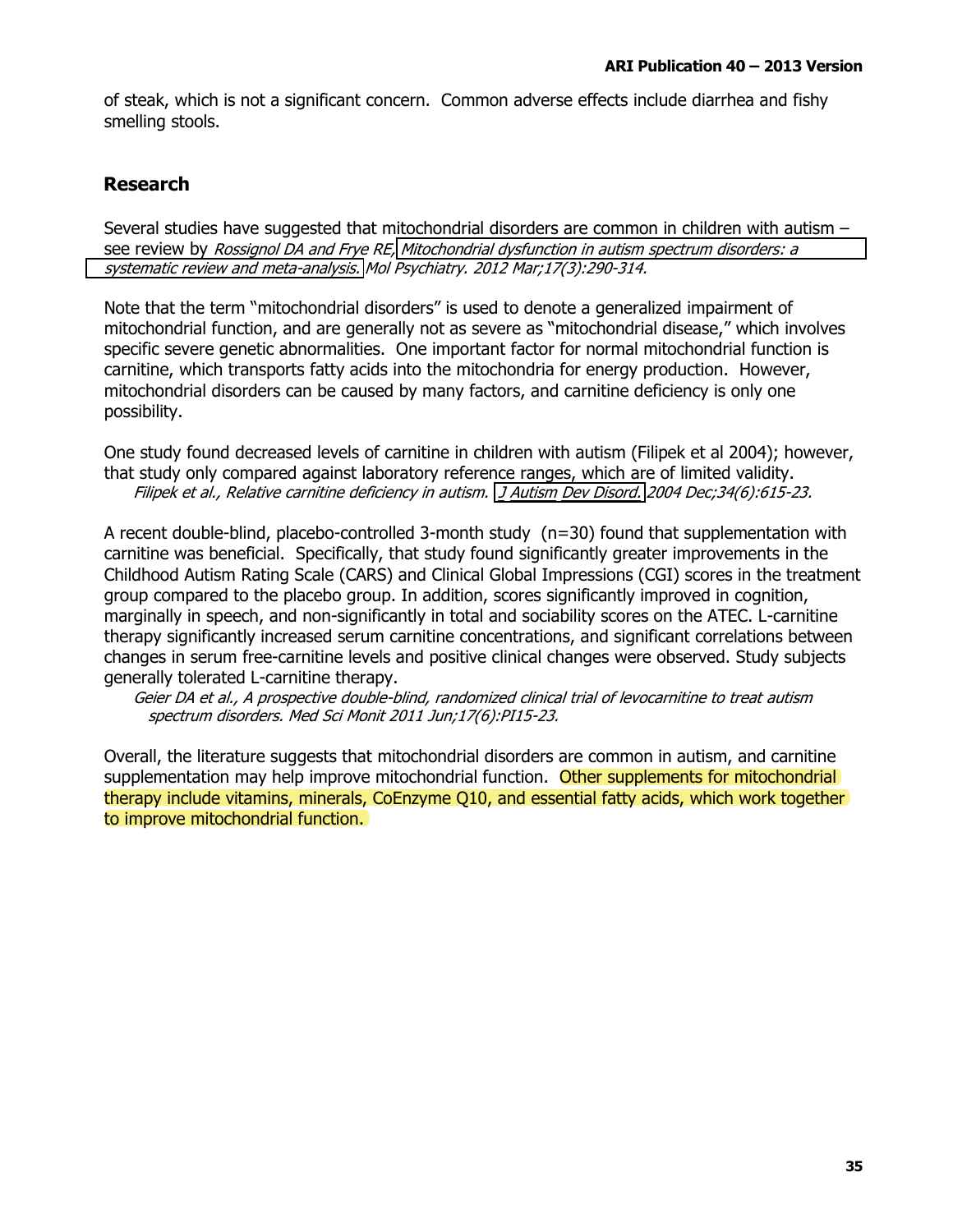of steak, which is not a significant concern. Common adverse effects include diarrhea and fishy smelling stools.

### **Research**

Several studies have suggested that mitochondrial disorders are common in children with autism see review by Rossignol DA and Frye RE, Mitochondrial dysfunction in autism spectrum disorders: a systematic review and meta-analysis. Mol Psychiatry. 2012 Mar;17(3):290-314.

Note that the term "mitochondrial disorders" is used to denote a generalized impairment of mitochondrial function, and are generally not as severe as "mitochondrial disease," which involves specific severe genetic abnormalities. One important factor for normal mitochondrial function is carnitine, which transports fatty acids into the mitochondria for energy production. However, mitochondrial disorders can be caused by many factors, and carnitine deficiency is only one possibility.

One study found decreased levels of carnitine in children with autism (Filipek et al 2004); however, that study only compared against laboratory reference ranges, which are of limited validity. Filipek et al., Relative carnitine deficiency in autism. J Autism Dev Disord. 2004 Dec;34(6):615-23.

A recent double-blind, placebo-controlled 3-month study  $(n=30)$  found that supplementation with carnitine was beneficial. Specifically, that study found significantly greater improvements in the Childhood Autism Rating Scale (CARS) and Clinical Global Impressions (CGI) scores in the treatment group compared to the placebo group. In addition, scores significantly improved in cognition, marginally in speech, and non-significantly in total and sociability scores on the ATEC. L-carnitine therapy significantly increased serum carnitine concentrations, and significant correlations between changes in serum free-carnitine levels and positive clinical changes were observed. Study subjects generally tolerated L-carnitine therapy.

Geier DA et al., A prospective double-blind, randomized clinical trial of levocarnitine to treat autism spectrum disorders. Med Sci Monit 2011 Jun;17(6):PI15-23.

Overall, the literature suggests that mitochondrial disorders are common in autism, and carnitine supplementation may help improve mitochondrial function. Other supplements for mitochondrial therapy include vitamins, minerals, CoEnzyme 010, and essential fatty acids, which work together to improve mitochondrial function.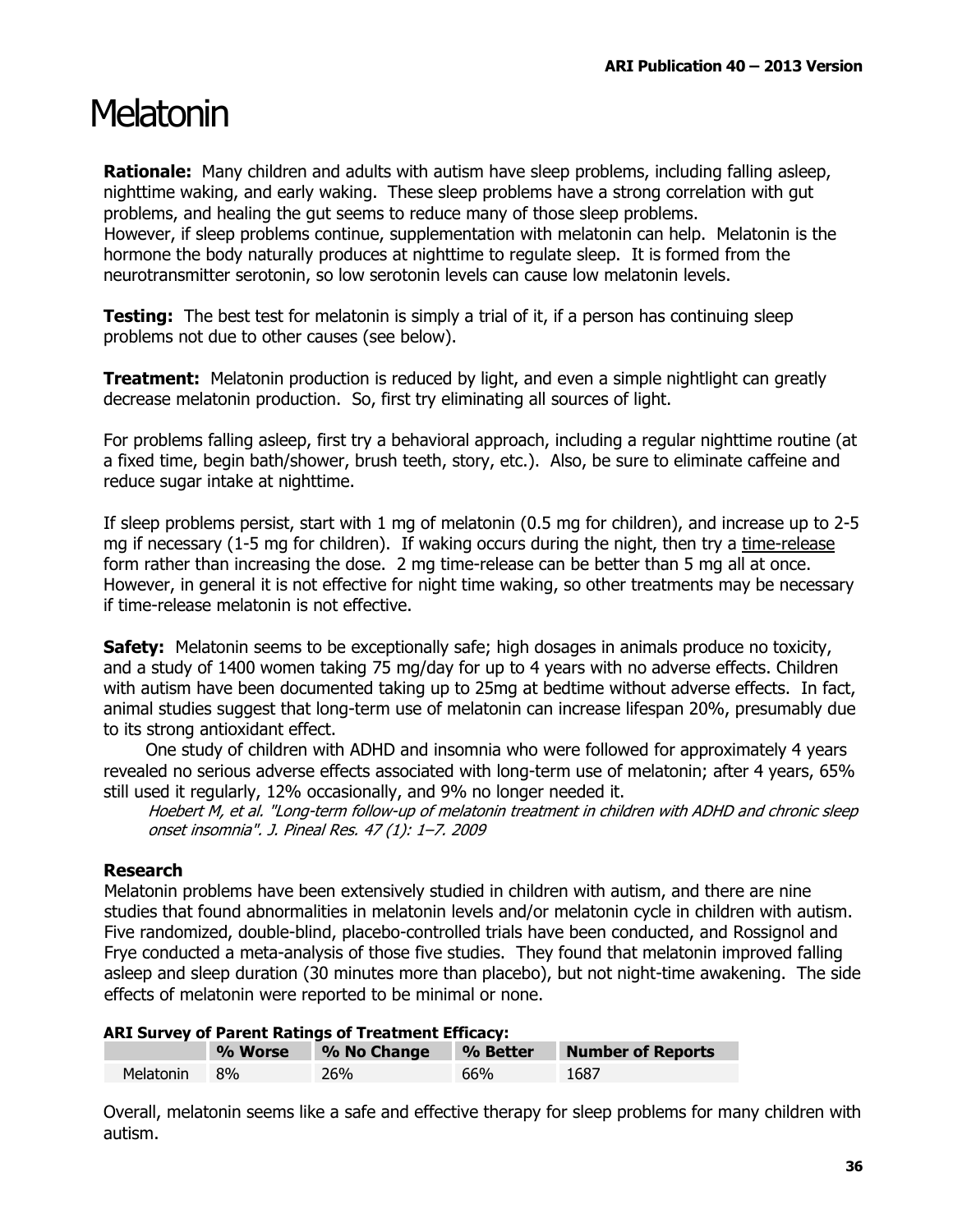### Melatonin

**Rationale:** Many children and adults with autism have sleep problems, including falling asleep, nighttime waking, and early waking. These sleep problems have a strong correlation with gut problems, and healing the gut seems to reduce many of those sleep problems. However, if sleep problems continue, supplementation with melatonin can help. Melatonin is the hormone the body naturally produces at nighttime to regulate sleep. It is formed from the neurotransmitter serotonin, so low serotonin levels can cause low melatonin levels.

**Testing:** The best test for melatonin is simply a trial of it, if a person has continuing sleep problems not due to other causes (see below).

**Treatment:** Melatonin production is reduced by light, and even a simple nightlight can greatly decrease melatonin production. So, first try eliminating all sources of light.

For problems falling asleep, first try a behavioral approach, including a regular nighttime routine (at a fixed time, begin bath/shower, brush teeth, story, etc.). Also, be sure to eliminate caffeine and reduce sugar intake at nighttime.

If sleep problems persist, start with 1 mg of melatonin (0.5 mg for children), and increase up to 2-5 mg if necessary (1-5 mg for children). If waking occurs during the night, then try a time-release form rather than increasing the dose. 2 mg time-release can be better than 5 mg all at once. However, in general it is not effective for night time waking, so other treatments may be necessary if time-release melatonin is not effective.

**Safety:** Melatonin seems to be exceptionally safe; high dosages in animals produce no toxicity, and a study of 1400 women taking 75 mg/day for up to 4 years with no adverse effects. Children with autism have been documented taking up to 25mg at bedtime without adverse effects. In fact, animal studies suggest that long-term use of melatonin can increase lifespan 20%, presumably due to its strong antioxidant effect.

One study of children with ADHD and insomnia who were followed for approximately 4 years revealed no serious adverse effects associated with long-term use of melatonin; after 4 years, 65% still used it regularly, 12% occasionally, and 9% no longer needed it.

Hoebert M, et al. "Long-term follow-up of melatonin treatment in children with ADHD and chronic sleep onset insomnia". J. Pineal Res. 47 (1): 1-7. 2009

### **Research**

Melatonin problems have been extensively studied in children with autism, and there are nine studies that found abnormalities in melatonin levels and/or melatonin cycle in children with autism. Five randomized, double-blind, placebo-controlled trials have been conducted, and Rossignol and Frye conducted a meta-analysis of those five studies. They found that melatonin improved falling asleep and sleep duration (30 minutes more than placebo), but not night-time awakening. The side effects of melatonin were reported to be minimal or none.

| ANI SUIVEY OF FAIRIL NAUTHS OF FIRALITETIC ETHCALY. |  |                              |                          |      |  |
|-----------------------------------------------------|--|------------------------------|--------------------------|------|--|
|                                                     |  | % Worse % No Change % Better | <b>Number of Reports</b> |      |  |
| Melatonin 8%                                        |  | 26%                          | 66%                      | 1687 |  |

#### ADT Cuncoy of Daront Datings of Treatment Efficacy

Overall, melatonin seems like a safe and effective therapy for sleep problems for many children with autism.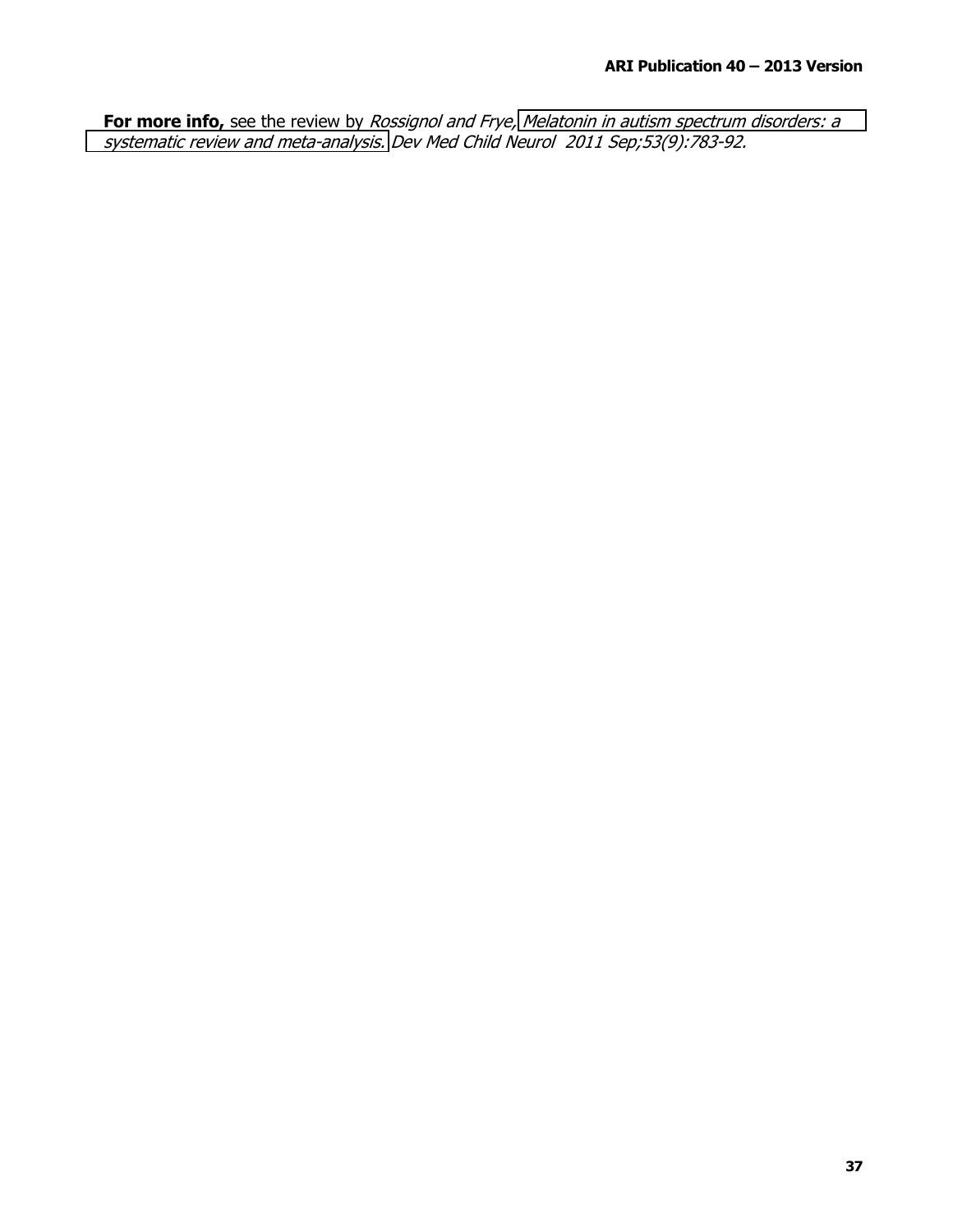For more info, see the review by Rossignol and Frye, Melatonin in autism spectrum disorders: a systematic review and meta-analysis. Dev Med Child Neurol 2011 Sep;53(9):783-92.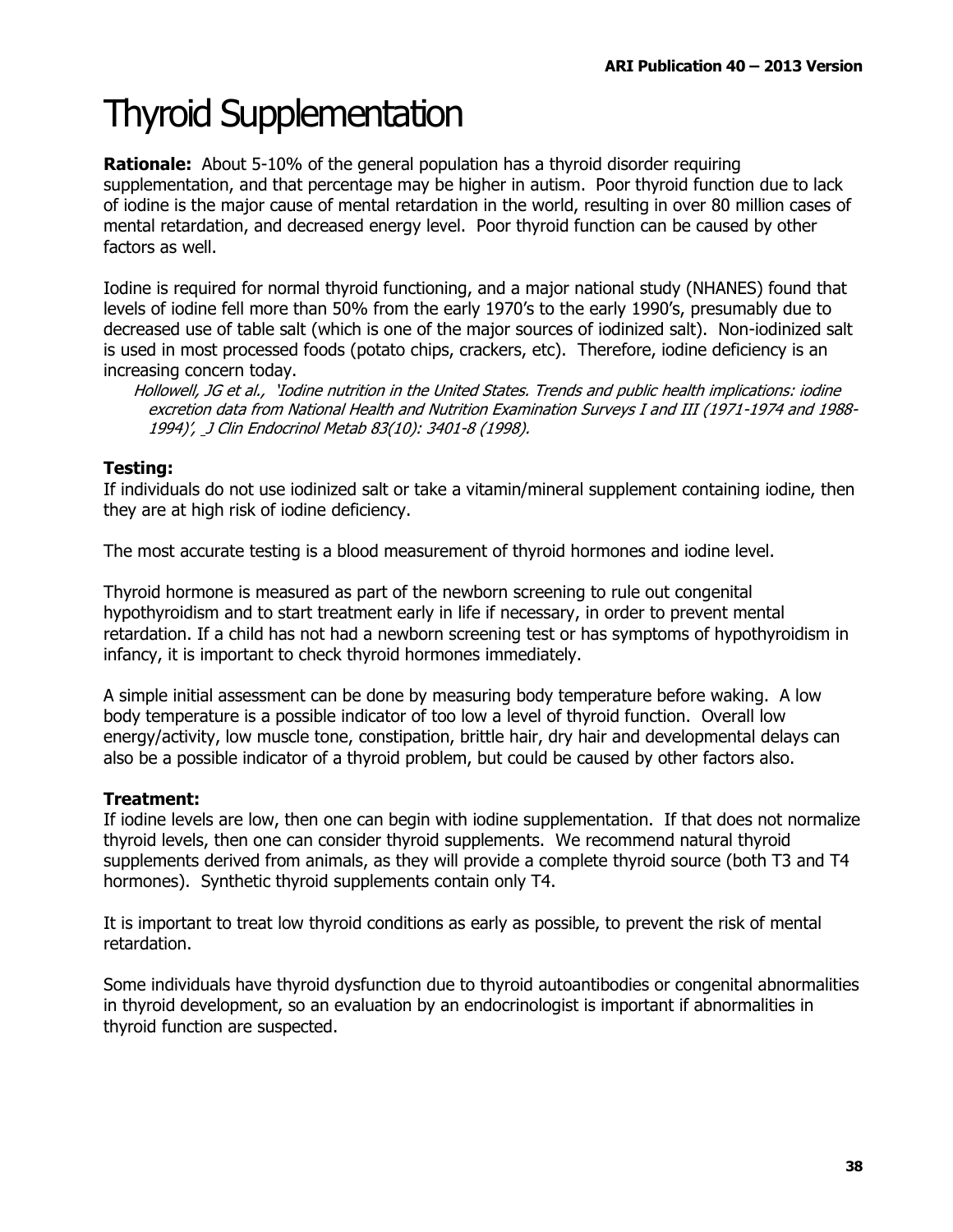# **Thyroid Supplementation**

**Rationale:** About 5-10% of the general population has a thyroid disorder requiring supplementation, and that percentage may be higher in autism. Poor thyroid function due to lack of iodine is the major cause of mental retardation in the world, resulting in over 80 million cases of mental retardation, and decreased energy level. Poor thyroid function can be caused by other factors as well.

Iodine is required for normal thyroid functioning, and a major national study (NHANES) found that levels of iodine fell more than 50% from the early 1970's to the early 1990's, presumably due to decreased use of table salt (which is one of the major sources of iodinized salt). Non-iodinized salt is used in most processed foods (potato chips, crackers, etc). Therefore, iodine deficiency is an increasing concern today.

Hollowell, JG et al., 'Iodine nutrition in the United States. Trends and public health implications: iodine excretion data from National Health and Nutrition Examination Surveys I and III (1971-1974 and 1988-1994)', J Clin Endocrinol Metab 83(10): 3401-8 (1998).

### Testing:

If individuals do not use iodinized salt or take a vitamin/mineral supplement containing iodine, then they are at high risk of iodine deficiency.

The most accurate testing is a blood measurement of thyroid hormones and iodine level.

Thyroid hormone is measured as part of the newborn screening to rule out congenital hypothyroidism and to start treatment early in life if necessary, in order to prevent mental retardation. If a child has not had a newborn screening test or has symptoms of hypothyroidism in infancy, it is important to check thyroid hormones immediately.

A simple initial assessment can be done by measuring body temperature before waking. A low body temperature is a possible indicator of too low a level of thyroid function. Overall low energy/activity, low muscle tone, constipation, brittle hair, dry hair and developmental delays can also be a possible indicator of a thyroid problem, but could be caused by other factors also.

### **Treatment:**

If iodine levels are low, then one can begin with iodine supplementation. If that does not normalize thyroid levels, then one can consider thyroid supplements. We recommend natural thyroid supplements derived from animals, as they will provide a complete thyroid source (both T3 and T4 hormones). Synthetic thyroid supplements contain only T4.

It is important to treat low thyroid conditions as early as possible, to prevent the risk of mental retardation.

Some individuals have thyroid dysfunction due to thyroid autoantibodies or congenital abnormalities in thyroid development, so an evaluation by an endocrinologist is important if abnormalities in thyroid function are suspected.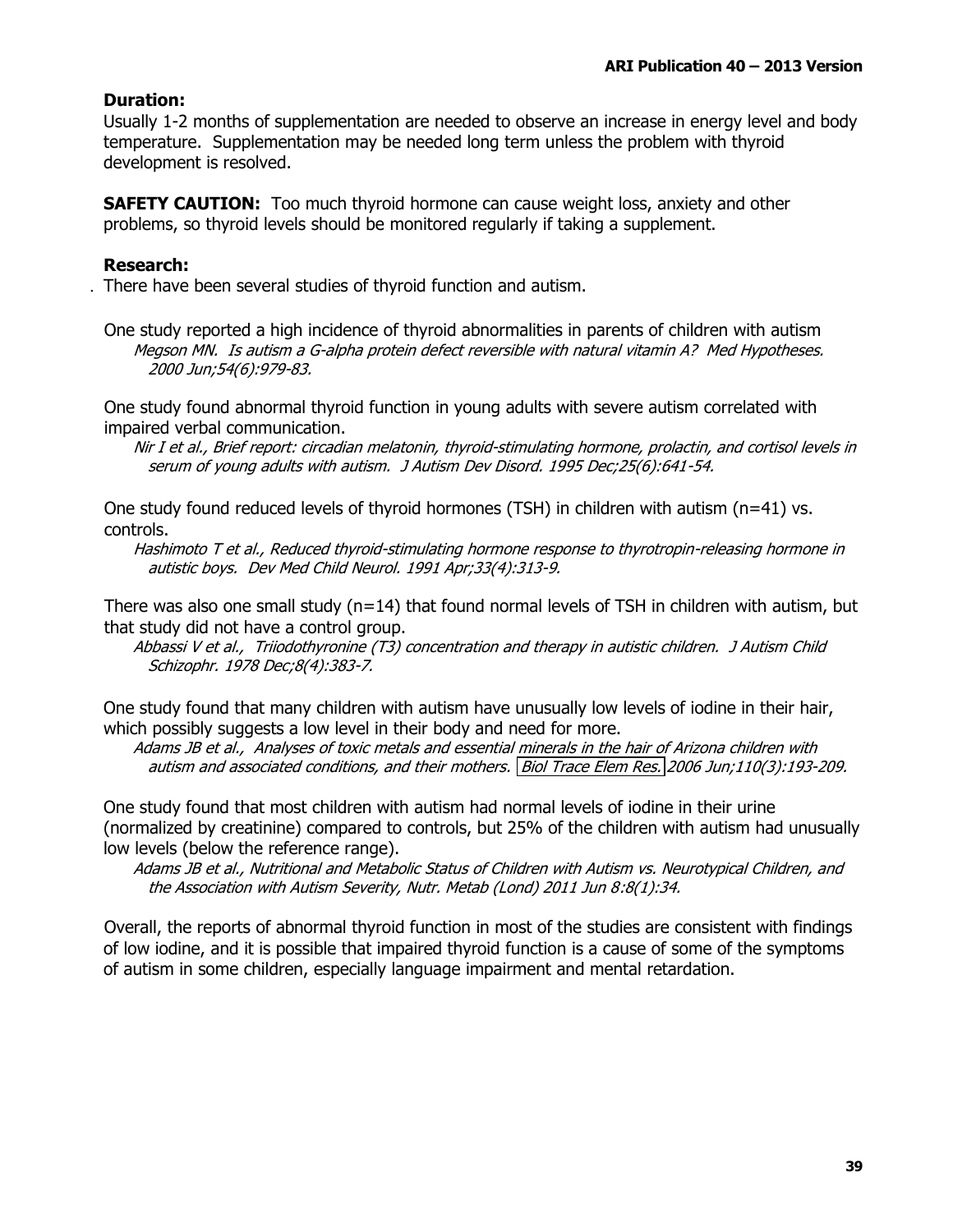#### **Duration:**

Usually 1-2 months of supplementation are needed to observe an increase in energy level and body temperature. Supplementation may be needed long term unless the problem with thyroid development is resolved.

**SAFETY CAUTION:** Too much thyroid hormone can cause weight loss, anxiety and other problems, so thyroid levels should be monitored regularly if taking a supplement.

### **Research:**

. There have been several studies of thyroid function and autism.

One study reported a high incidence of thyroid abnormalities in parents of children with autism Megson MN. Is autism a G-alpha protein defect reversible with natural vitamin A? Med Hypotheses. 2000 Jun;54(6):979-83.

One study found abnormal thyroid function in young adults with severe autism correlated with impaired verbal communication.

Nir I et al., Brief report: circadian melatonin, thyroid-stimulating hormone, prolactin, and cortisol levels in serum of young adults with autism. J Autism Dev Disord. 1995 Dec; 25(6):641-54.

One study found reduced levels of thyroid hormones (TSH) in children with autism (n=41) vs. controls.

Hashimoto T et al., Reduced thyroid-stimulating hormone response to thyrotropin-releasing hormone in autistic boys. Dev Med Child Neurol. 1991 Apr;33(4):313-9.

There was also one small study ( $n=14$ ) that found normal levels of TSH in children with autism, but that study did not have a control group.

Abbassi V et al., Triiodothyronine (T3) concentration and therapy in autistic children. J Autism Child Schizophr. 1978 Dec;8(4):383-7.

One study found that many children with autism have unusually low levels of iodine in their hair, which possibly suggests a low level in their body and need for more.

Adams JB et al., Analyses of toxic metals and essential minerals in the hair of Arizona children with autism and associated conditions, and their mothers. Biol Trace Elem Res. 2006 Jun;110(3):193-209.

One study found that most children with autism had normal levels of iodine in their urine (normalized by creatinine) compared to controls, but 25% of the children with autism had unusually low levels (below the reference range).

Adams JB et al., Nutritional and Metabolic Status of Children with Autism vs. Neurotypical Children, and the Association with Autism Severity, Nutr. Metab (Lond) 2011 Jun 8:8(1):34.

Overall, the reports of abnormal thyroid function in most of the studies are consistent with findings of low iodine, and it is possible that impaired thyroid function is a cause of some of the symptoms of autism in some children, especially language impairment and mental retardation.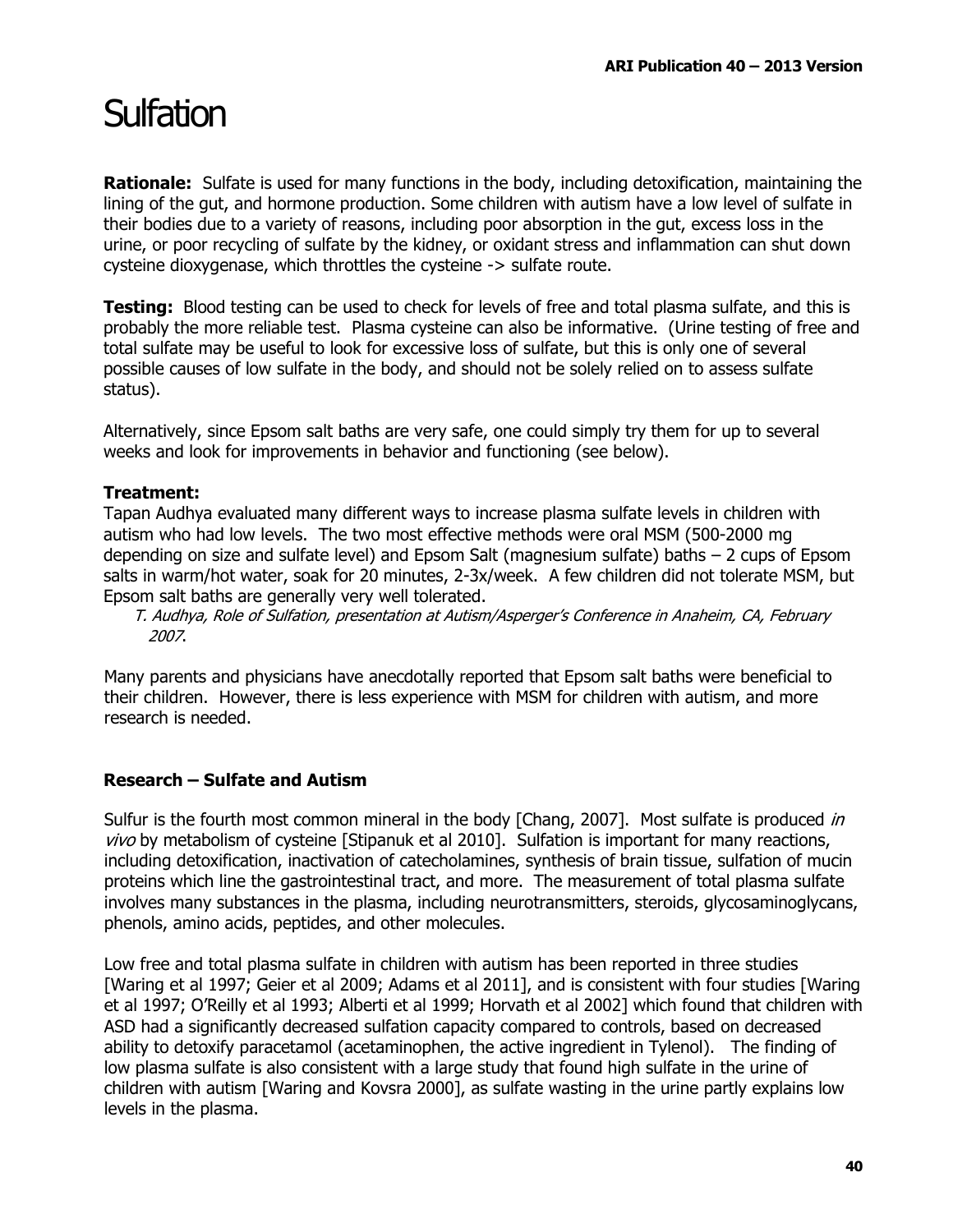### Sulfation

**Rationale:** Sulfate is used for many functions in the body, including detoxification, maintaining the lining of the gut, and hormone production. Some children with autism have a low level of sulfate in their bodies due to a variety of reasons, including poor absorption in the gut, excess loss in the urine, or poor recycling of sulfate by the kidney, or oxidant stress and inflammation can shut down cysteine dioxygenase, which throttles the cysteine -> sulfate route.

**Testing:** Blood testing can be used to check for levels of free and total plasma sulfate, and this is probably the more reliable test. Plasma cysteine can also be informative. (Urine testing of free and total sulfate may be useful to look for excessive loss of sulfate, but this is only one of several possible causes of low sulfate in the body, and should not be solely relied on to assess sulfate status).

Alternatively, since Epsom salt baths are very safe, one could simply try them for up to several weeks and look for improvements in behavior and functioning (see below).

### Treatment:

Tapan Audhya evaluated many different ways to increase plasma sulfate levels in children with autism who had low levels. The two most effective methods were oral MSM (500-2000 mg) depending on size and sulfate level) and Epsom Salt (magnesium sulfate) baths  $-2$  cups of Epsom salts in warm/hot water, soak for 20 minutes, 2-3x/week. A few children did not tolerate MSM, but Epsom salt baths are generally very well tolerated.

T. Audhya, Role of Sulfation, presentation at Autism/Asperger's Conference in Anaheim, CA, February 2007.

Many parents and physicians have anecdotally reported that Epsom salt baths were beneficial to their children. However, there is less experience with MSM for children with autism, and more research is needed.

### Research – Sulfate and Autism

Sulfur is the fourth most common mineral in the body [Chang, 2007]. Most sulfate is produced in vivo by metabolism of cysteine [Stipanuk et al 2010]. Sulfation is important for many reactions, including detoxification, inactivation of catecholamines, synthesis of brain tissue, sulfation of mucin proteins which line the gastrointestinal tract, and more. The measurement of total plasma sulfate involves many substances in the plasma, including neurotransmitters, steroids, glycosaminoglycans, phenols, amino acids, peptides, and other molecules.

Low free and total plasma sulfate in children with autism has been reported in three studies [Waring et al 1997; Geier et al 2009; Adams et al 2011], and is consistent with four studies [Waring et al 1997; O'Reilly et al 1993; Alberti et al 1999; Horvath et al 2002] which found that children with ASD had a significantly decreased sulfation capacity compared to controls, based on decreased ability to detoxify paracetamol (acetaminophen, the active ingredient in Tylenol). The finding of low plasma sulfate is also consistent with a large study that found high sulfate in the urine of children with autism [Waring and Koysra 2000], as sulfate wasting in the urine partly explains low levels in the plasma.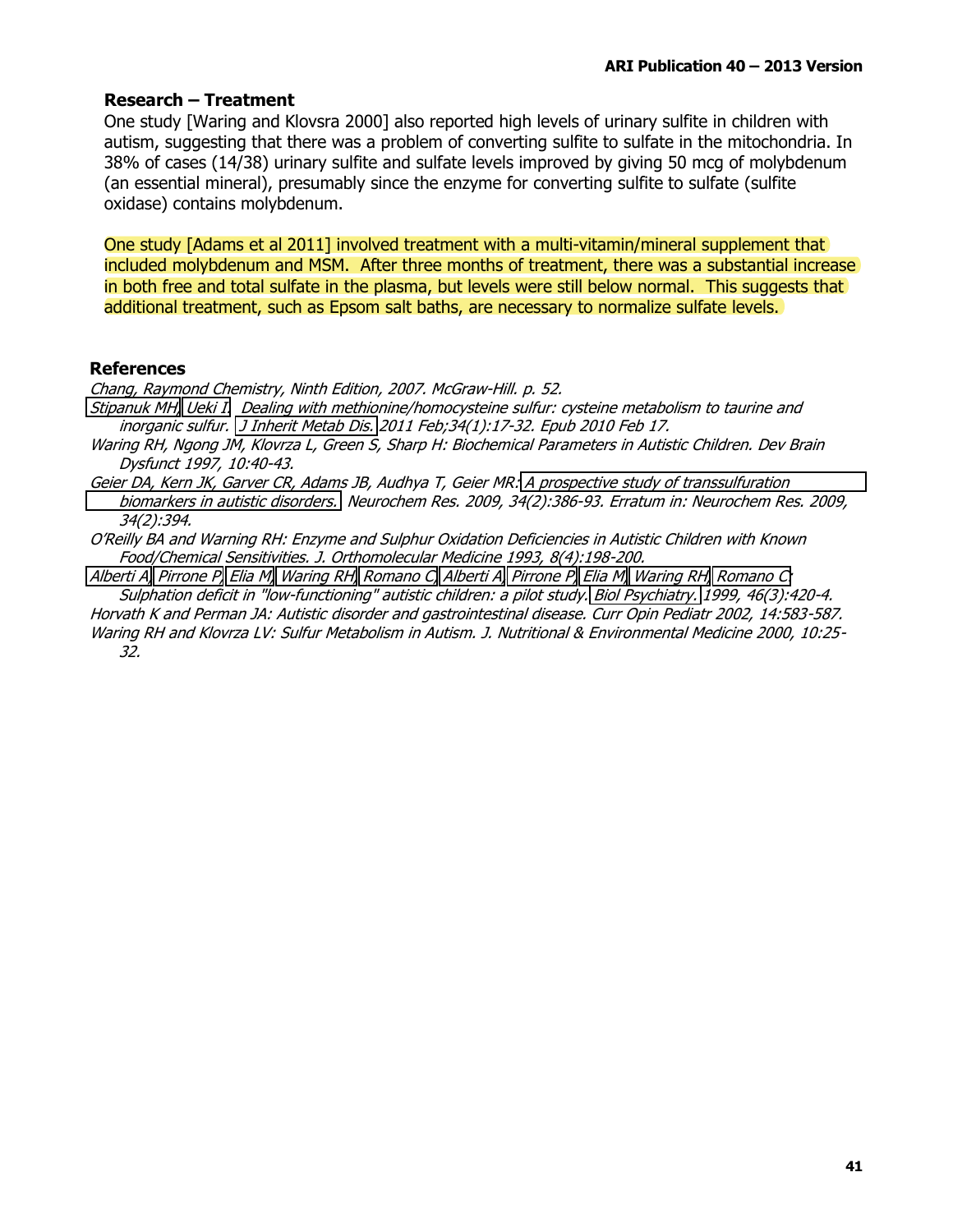#### **Research - Treatment**

One study [Waring and Klovsra 2000] also reported high levels of urinary sulfite in children with autism, suggesting that there was a problem of converting sulfite to sulfate in the mitochondria. In 38% of cases (14/38) urinary sulfite and sulfate levels improved by giving 50 mcg of molybdenum (an essential mineral), presumably since the enzyme for converting sulfite to sulfate (sulfite oxidase) contains molybdenum.

One study [Adams et al 2011] involved treatment with a multi-vitamin/mineral supplement that included molybdenum and MSM. After three months of treatment, there was a substantial increase in both free and total sulfate in the plasma, but levels were still below normal. This suggests that additional treatment, such as Epsom salt baths, are necessary to normalize sulfate levels.

#### **References**

Chang, Raymond Chemistry, Ninth Edition, 2007. McGraw-Hill. p. 52.

Stipanuk MH, Ueki I. Dealing with methionine/homocysteine sulfur: cysteine metabolism to taurine and inorganic sulfur. J Inherit Metab Dis. 2011 Feb; 34(1):17-32. Epub 2010 Feb 17.

- Waring RH, Ngong JM, Klovrza L, Green S, Sharp H: Biochemical Parameters in Autistic Children. Dev Brain Dysfunct 1997, 10:40-43.
- Geier DA, Kern JK, Garver CR, Adams JB, Audhya T, Geier MR: A prospective study of transsulfuration biomarkers in autistic disorders. Neurochem Res. 2009, 34(2):386-93. Erratum in: Neurochem Res. 2009, 34(2):394.

O'Reilly BA and Warning RH: Enzyme and Sulphur Oxidation Deficiencies in Autistic Children with Known Food/Chemical Sensitivities. J. Orthomolecular Medicine 1993, 8(4):198-200.

Alberti A, Pirrone P, Elia M, Waring RH, Romano C, Alberti A, Pirrone P, Elia M, Waring RH, Romano C: Sulphation deficit in "low-functioning" autistic children: a pilot study, Biol Psychiatry, 1999, 46(3):420-4,

Horvath K and Perman JA: Autistic disorder and gastrointestinal disease. Curr Opin Pediatr 2002, 14:583-587.

Waring RH and Klovrza LV: Sulfur Metabolism in Autism. J. Nutritional & Environmental Medicine 2000, 10:25- $32.$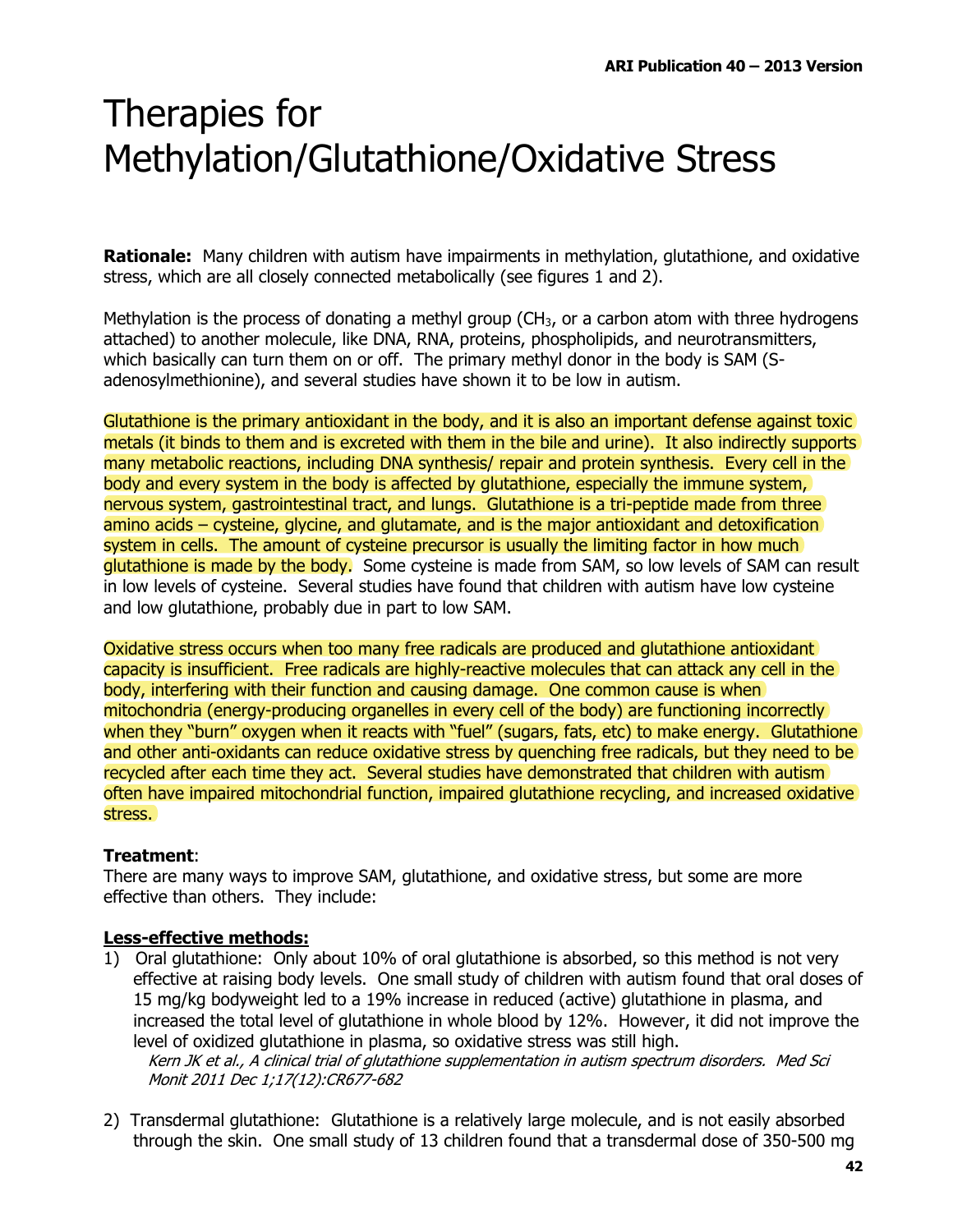## Therapies for **Methylation/Glutathione/Oxidative Stress**

Rationale: Many children with autism have impairments in methylation, glutathione, and oxidative stress, which are all closely connected metabolically (see figures 1 and 2).

Methylation is the process of donating a methyl group ( $CH<sub>3</sub>$ , or a carbon atom with three hydrogens attached) to another molecule, like DNA, RNA, proteins, phospholipids, and neurotransmitters, which basically can turn them on or off. The primary methyl donor in the body is SAM (Sadenosylmethionine), and several studies have shown it to be low in autism.

Glutathione is the primary antioxidant in the body, and it is also an important defense against toxic metals (it binds to them and is excreted with them in the bile and urine). It also indirectly supports many metabolic reactions, including DNA synthesis/ repair and protein synthesis. Every cell in the body and every system in the body is affected by glutathione, especially the immune system, nervous system, gastrointestinal tract, and lungs. Glutathione is a tri-peptide made from three amino acids – cysteine, glycine, and glutamate, and is the major antioxidant and detoxification system in cells. The amount of cysteine precursor is usually the limiting factor in how much glutathione is made by the body. Some cysteine is made from SAM, so low levels of SAM can result in low levels of cysteine. Several studies have found that children with autism have low cysteine and low glutathione, probably due in part to low SAM.

Oxidative stress occurs when too many free radicals are produced and glutathione antioxidant capacity is insufficient. Free radicals are highly-reactive molecules that can attack any cell in the body, interfering with their function and causing damage. One common cause is when mitochondria (energy-producing organelles in every cell of the body) are functioning incorrectly when they "burn" oxygen when it reacts with "fuel" (sugars, fats, etc) to make energy. Glutathione and other anti-oxidants can reduce oxidative stress by quenching free radicals, but they need to be recycled after each time they act. Several studies have demonstrated that children with autism often have impaired mitochondrial function, impaired glutathione recycling, and increased oxidative stress.

### Treatment:

There are many ways to improve SAM, glutathione, and oxidative stress, but some are more effective than others. They include:

### **Less-effective methods:**

- 1) Oral glutathione: Only about 10% of oral glutathione is absorbed, so this method is not very effective at raising body levels. One small study of children with autism found that oral doses of 15 mg/kg bodyweight led to a 19% increase in reduced (active) glutathione in plasma, and increased the total level of glutathione in whole blood by 12%. However, it did not improve the level of oxidized glutathione in plasma, so oxidative stress was still high. Kern JK et al., A clinical trial of glutathione supplementation in autism spectrum disorders. Med Sci Monit 2011 Dec 1;17(12):CR677-682
- 2) Transdermal glutathione: Glutathione is a relatively large molecule, and is not easily absorbed through the skin. One small study of 13 children found that a transdermal dose of 350-500 mg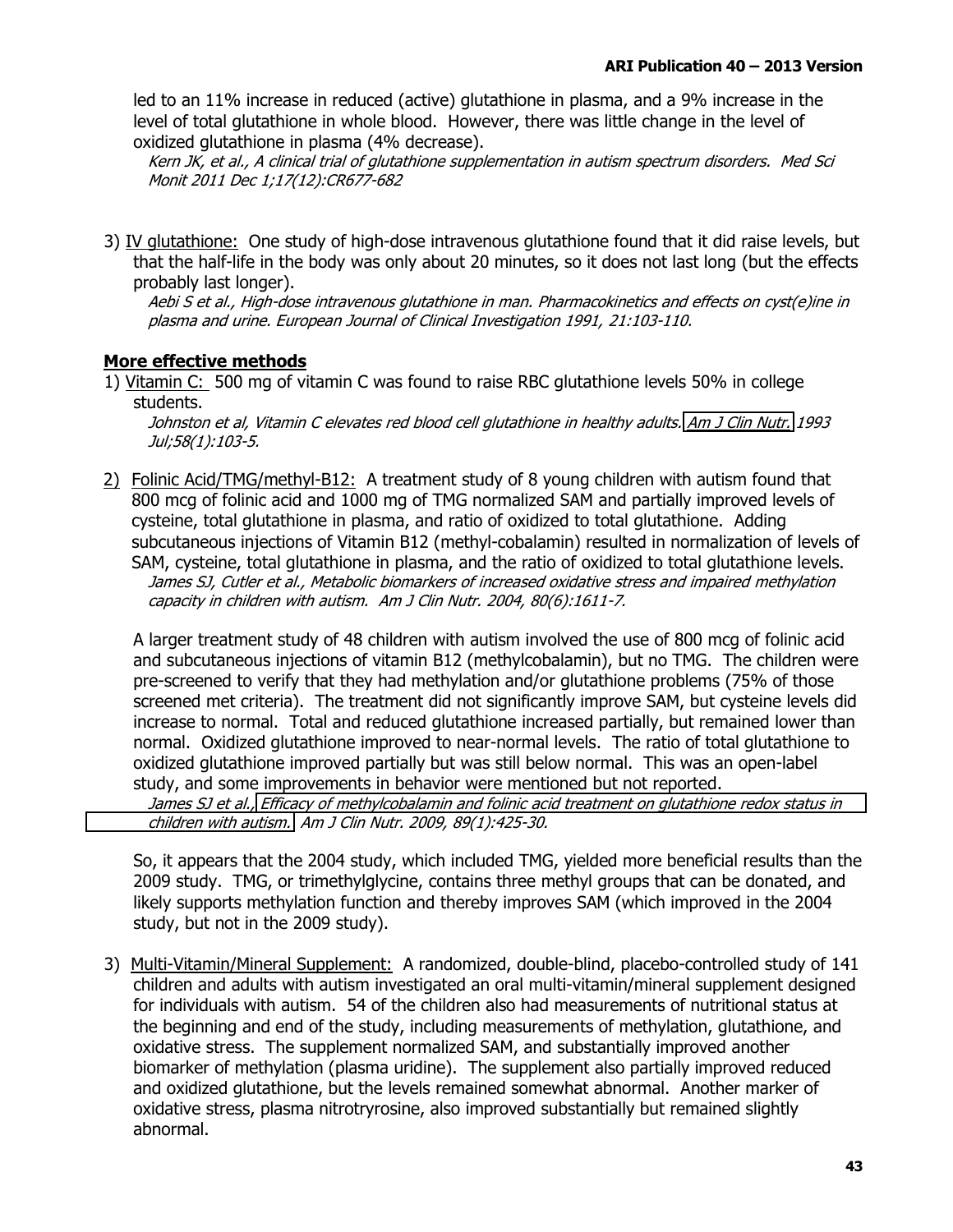led to an 11% increase in reduced (active) glutathione in plasma, and a 9% increase in the level of total glutathione in whole blood. However, there was little change in the level of oxidized glutathione in plasma (4% decrease).

Kern JK, et al., A clinical trial of glutathione supplementation in autism spectrum disorders. Med Sci Monit 2011 Dec 1;17(12):CR677-682

3) IV glutathione: One study of high-dose intravenous glutathione found that it did raise levels, but that the half-life in the body was only about 20 minutes, so it does not last long (but the effects probably last longer).

Aebi S et al., High-dose intravenous glutathione in man. Pharmacokinetics and effects on cyst(e)ine in plasma and urine. European Journal of Clinical Investigation 1991, 21:103-110.

### More effective methods

1) Vitamin C: 500 mg of vitamin C was found to raise RBC glutathione levels 50% in college students.

Johnston et al, Vitamin C elevates red blood cell glutathione in healthy adults. Am J Clin Nutr. 1993 Jul;58(1):103-5.

2) Folinic Acid/TMG/methyl-B12: A treatment study of 8 young children with autism found that 800 mcg of folinic acid and 1000 mg of TMG normalized SAM and partially improved levels of cysteine, total glutathione in plasma, and ratio of oxidized to total glutathione. Adding subcutaneous injections of Vitamin B12 (methyl-cobalamin) resulted in normalization of levels of SAM, cysteine, total glutathione in plasma, and the ratio of oxidized to total glutathione levels. James SJ, Cutler et al., Metabolic biomarkers of increased oxidative stress and impaired methylation capacity in children with autism. Am J Clin Nutr. 2004, 80(6):1611-7.

A larger treatment study of 48 children with autism involved the use of 800 mcg of folinic acid and subcutaneous injections of vitamin B12 (methylcobalamin), but no TMG. The children were pre-screened to verify that they had methylation and/or glutathione problems (75% of those screened met criteria). The treatment did not significantly improve SAM, but cysteine levels did increase to normal. Total and reduced glutathione increased partially, but remained lower than normal. Oxidized glutathione improved to near-normal levels. The ratio of total glutathione to oxidized glutathione improved partially but was still below normal. This was an open-label study, and some improvements in behavior were mentioned but not reported.

James SJ et al., Efficacy of methylcobalamin and folinic acid treatment on glutathione redox status in children with autism. Am J Clin Nutr. 2009, 89(1):425-30.

So, it appears that the 2004 study, which included TMG, yielded more beneficial results than the 2009 study. TMG, or trimethylglycine, contains three methyl groups that can be donated, and likely supports methylation function and thereby improves SAM (which improved in the 2004 study, but not in the 2009 study).

3) Multi-Vitamin/Mineral Supplement: A randomized, double-blind, placebo-controlled study of 141 children and adults with autism investigated an oral multi-vitamin/mineral supplement designed for individuals with autism. 54 of the children also had measurements of nutritional status at the beginning and end of the study, including measurements of methylation, glutathione, and oxidative stress. The supplement normalized SAM, and substantially improved another biomarker of methylation (plasma uridine). The supplement also partially improved reduced and oxidized glutathione, but the levels remained somewhat abnormal. Another marker of oxidative stress, plasma nitrotryrosine, also improved substantially but remained slightly abnormal.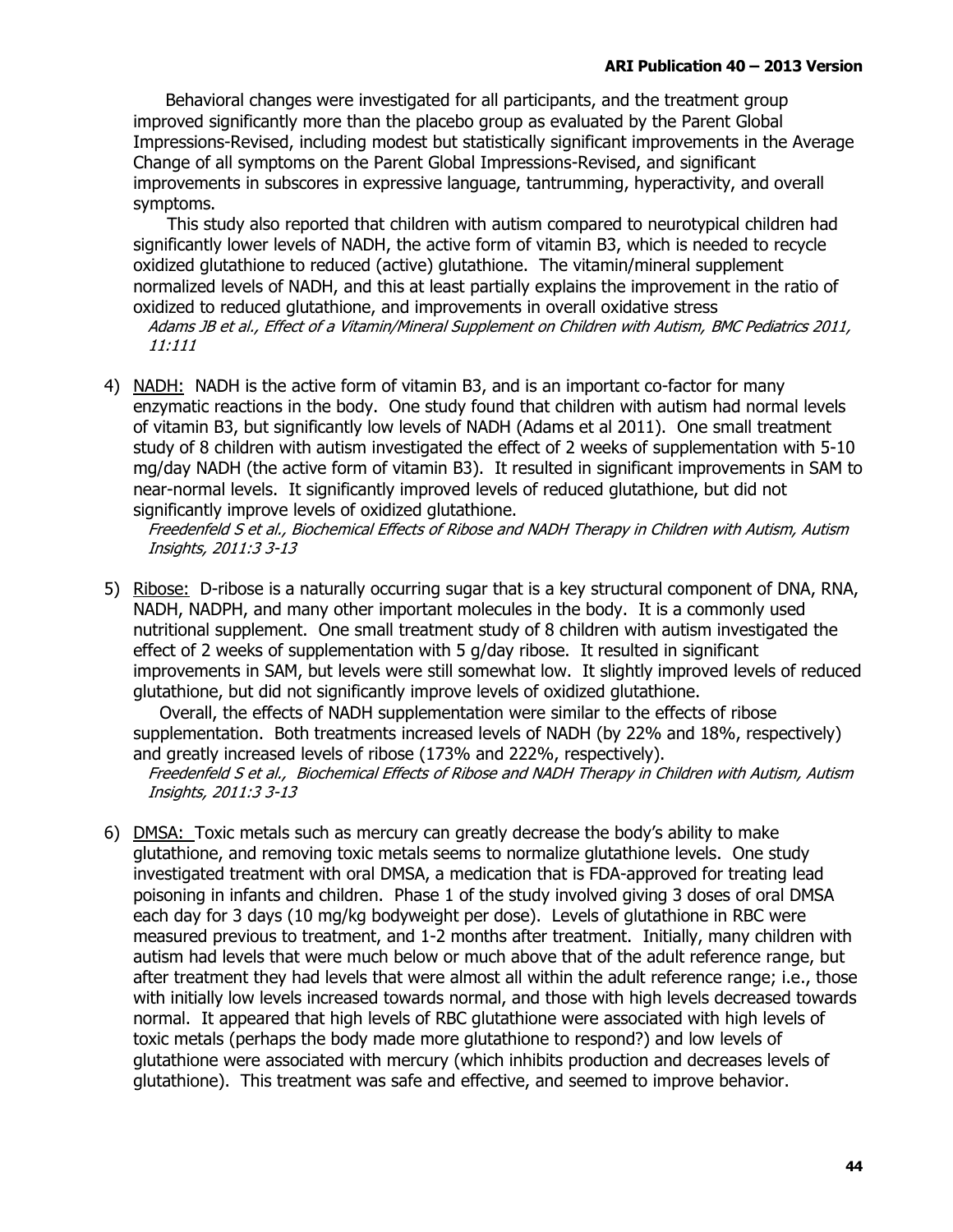Behavioral changes were investigated for all participants, and the treatment group improved significantly more than the placebo group as evaluated by the Parent Global Impressions-Revised, including modest but statistically significant improvements in the Average Change of all symptoms on the Parent Global Impressions-Revised, and significant improvements in subscores in expressive language, tantrumming, hyperactivity, and overall symptoms.

This study also reported that children with autism compared to neurotypical children had significantly lower levels of NADH, the active form of vitamin B3, which is needed to recycle oxidized glutathione to reduced (active) glutathione. The vitamin/mineral supplement normalized levels of NADH, and this at least partially explains the improvement in the ratio of oxidized to reduced glutathione, and improvements in overall oxidative stress

Adams JB et al., Effect of a Vitamin/Mineral Supplement on Children with Autism, BMC Pediatrics 2011, 11:111

4) NADH: NADH is the active form of vitamin B3, and is an important co-factor for many enzymatic reactions in the body. One study found that children with autism had normal levels of vitamin B3, but significantly low levels of NADH (Adams et al 2011). One small treatment study of 8 children with autism investigated the effect of 2 weeks of supplementation with 5-10 mg/day NADH (the active form of vitamin B3). It resulted in significant improvements in SAM to near-normal levels. It significantly improved levels of reduced glutathione, but did not significantly improve levels of oxidized glutathione.

Freedenfeld S et al., Biochemical Effects of Ribose and NADH Therapy in Children with Autism, Autism Insights, 2011:3 3-13

5) Ribose: D-ribose is a naturally occurring sugar that is a key structural component of DNA, RNA, NADH, NADPH, and many other important molecules in the body. It is a commonly used nutritional supplement. One small treatment study of 8 children with autism investigated the effect of 2 weeks of supplementation with 5 g/day ribose. It resulted in significant improvements in SAM, but levels were still somewhat low. It slightly improved levels of reduced glutathione, but did not significantly improve levels of oxidized glutathione.

Overall, the effects of NADH supplementation were similar to the effects of ribose supplementation. Both treatments increased levels of NADH (by 22% and 18%, respectively) and greatly increased levels of ribose (173% and 222%, respectively).

Freedenfeld S et al., Biochemical Effects of Ribose and NADH Therapy in Children with Autism, Autism Insights, 2011:3 3-13

6) DMSA: Toxic metals such as mercury can greatly decrease the body's ability to make glutathione, and removing toxic metals seems to normalize glutathione levels. One study investigated treatment with oral DMSA, a medication that is FDA-approved for treating lead poisoning in infants and children. Phase 1 of the study involved giving 3 doses of oral DMSA each day for 3 days (10 mg/kg bodyweight per dose). Levels of glutathione in RBC were measured previous to treatment, and 1-2 months after treatment. Initially, many children with autism had levels that were much below or much above that of the adult reference range, but after treatment they had levels that were almost all within the adult reference range; i.e., those with initially low levels increased towards normal, and those with high levels decreased towards normal. It appeared that high levels of RBC glutathione were associated with high levels of toxic metals (perhaps the body made more glutathione to respond?) and low levels of glutathione were associated with mercury (which inhibits production and decreases levels of glutathione). This treatment was safe and effective, and seemed to improve behavior.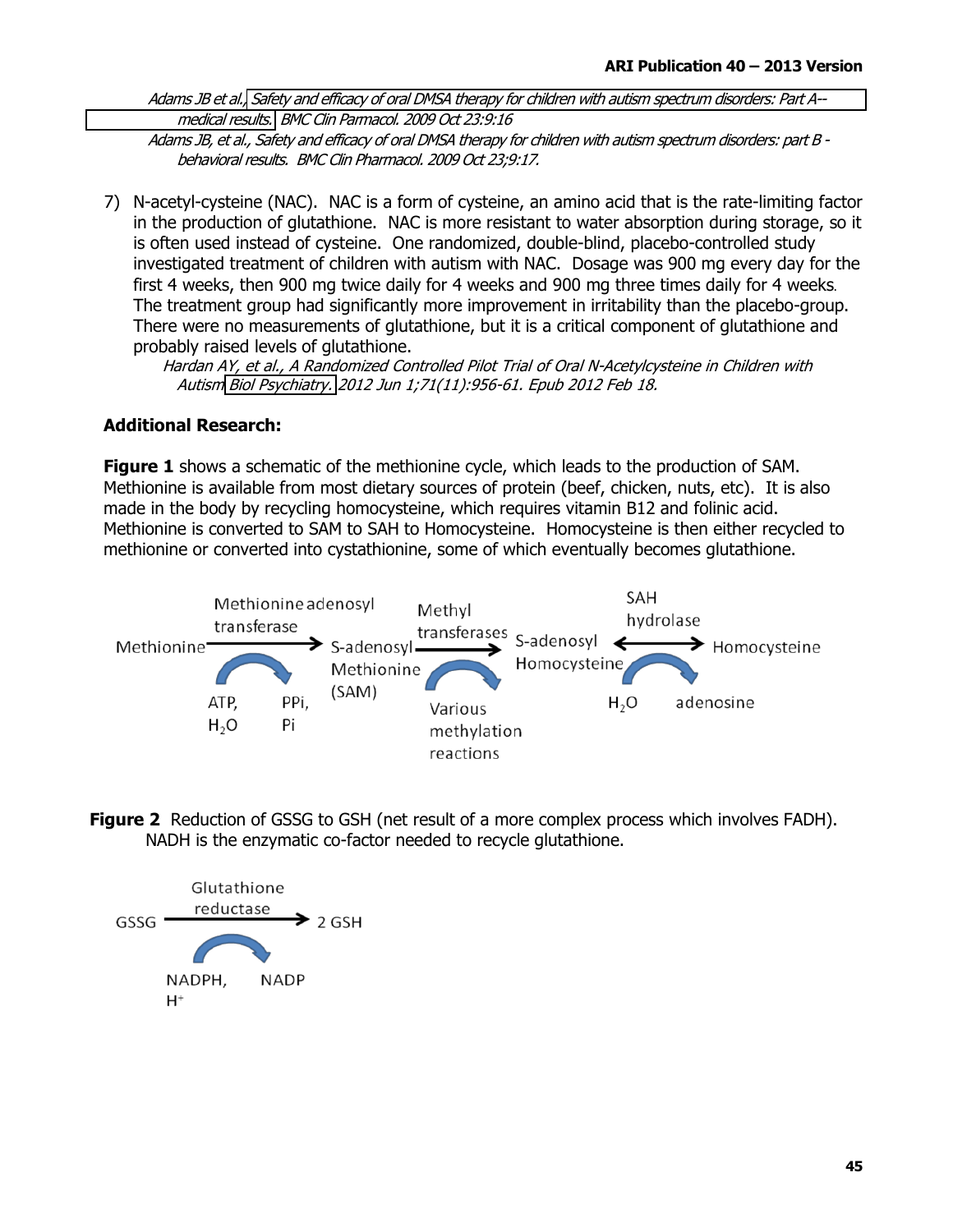Adams JB et al., Safety and efficacy of oral DMSA therapy for children with autism spectrum disorders: Part A-medical results. BMC Clin Parmacol. 2009 Oct 23:9:16 Adams JB, et al., Safety and efficacy of oral DMSA therapy for children with autism spectrum disorders; part B

behavioral results. BMC Clin Pharmacol. 2009 Oct 23;9:17.

7) N-acetyl-cysteine (NAC). NAC is a form of cysteine, an amino acid that is the rate-limiting factor in the production of glutathione. NAC is more resistant to water absorption during storage, so it is often used instead of cysteine. One randomized, double-blind, placebo-controlled study investigated treatment of children with autism with NAC. Dosage was 900 mg every day for the first 4 weeks, then 900 mg twice daily for 4 weeks and 900 mg three times daily for 4 weeks. The treatment group had significantly more improvement in irritability than the placebo-group. There were no measurements of glutathione, but it is a critical component of glutathione and probably raised levels of glutathione.

Hardan AY, et al., A Randomized Controlled Pilot Trial of Oral N-Acetylcysteine in Children with Autism Biol Psychiatry. 2012 Jun 1;71(11):956-61. Epub 2012 Feb 18.

### **Additional Research:**

**Figure 1** shows a schematic of the methionine cycle, which leads to the production of SAM. Methionine is available from most dietary sources of protein (beef, chicken, nuts, etc). It is also made in the body by recycling homocysteine, which requires vitamin B12 and folinic acid. Methionine is converted to SAM to SAH to Homocysteine. Homocysteine is then either recycled to methionine or converted into cystathionine, some of which eventually becomes glutathione.



**Figure 2** Reduction of GSSG to GSH (net result of a more complex process which involves FADH). NADH is the enzymatic co-factor needed to recycle glutathione.

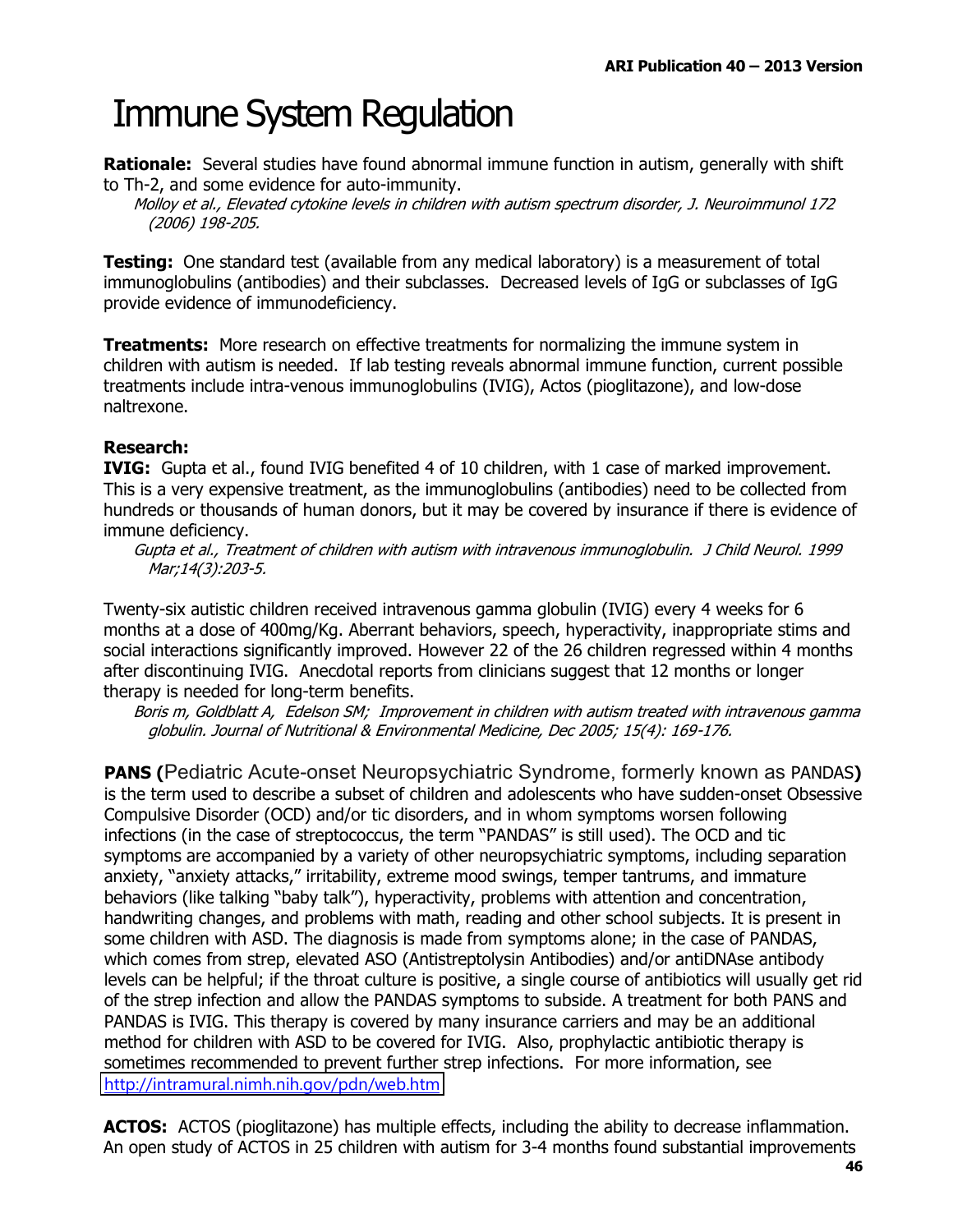### **Immune System Regulation**

**Rationale:** Several studies have found abnormal immune function in autism, generally with shift to Th-2, and some evidence for auto-immunity.

Molloy et al., Elevated cytokine levels in children with autism spectrum disorder, J. Neuroimmunol 172 (2006) 198-205.

**Testing:** One standard test (available from any medical laboratory) is a measurement of total immunoglobulins (antibodies) and their subclasses. Decreased levels of IgG or subclasses of IgG provide evidence of immunodeficiency.

**Treatments:** More research on effective treatments for normalizing the immune system in children with autism is needed. If lab testing reveals abnormal immune function, current possible treatments include intra-venous immunoglobulins (IVIG), Actos (pioglitazone), and low-dose naltrexone.

### **Research:**

IVIG: Gupta et al., found IVIG benefited 4 of 10 children, with 1 case of marked improvement. This is a very expensive treatment, as the immunoglobulins (antibodies) need to be collected from hundreds or thousands of human donors, but it may be covered by insurance if there is evidence of immune deficiency.

Gupta et al., Treatment of children with autism with intravenous immunoglobulin. J Child Neurol. 1999 Mar;14(3):203-5.

Twenty-six autistic children received intravenous gamma globulin (IVIG) every 4 weeks for 6 months at a dose of 400mg/Kg. Aberrant behaviors, speech, hyperactivity, inappropriate stims and social interactions significantly improved. However 22 of the 26 children regressed within 4 months after discontinuing IVIG. Anecdotal reports from clinicians suggest that 12 months or longer therapy is needed for long-term benefits.

Boris m, Goldblatt A, Edelson SM; Improvement in children with autism treated with intravenous gamma globulin. Journal of Nutritional & Environmental Medicine, Dec 2005; 15(4): 169-176.

**PANS (Pediatric Acute-onset Neuropsychiatric Syndrome, formerly known as PANDAS)** is the term used to describe a subset of children and adolescents who have sudden-onset Obsessive Compulsive Disorder (OCD) and/or tic disorders, and in whom symptoms worsen following infections (in the case of streptococcus, the term "PANDAS" is still used). The OCD and tic symptoms are accompanied by a variety of other neuropsychiatric symptoms, including separation anxiety, "anxiety attacks," irritability, extreme mood swings, temper tantrums, and immature behaviors (like talking "baby talk"), hyperactivity, problems with attention and concentration, handwriting changes, and problems with math, reading and other school subjects. It is present in some children with ASD. The diagnosis is made from symptoms alone; in the case of PANDAS, which comes from strep, elevated ASO (Antistreptolysin Antibodies) and/or antiDNAse antibody levels can be helpful; if the throat culture is positive, a single course of antibiotics will usually get rid of the strep infection and allow the PANDAS symptoms to subside. A treatment for both PANS and PANDAS is IVIG. This therapy is covered by many insurance carriers and may be an additional method for children with ASD to be covered for IVIG. Also, prophylactic antibiotic therapy is sometimes recommended to prevent further strep infections. For more information, see http://intramural.nimh.nih.gov/pdn/web.htm

ACTOS: ACTOS (pioglitazone) has multiple effects, including the ability to decrease inflammation. An open study of ACTOS in 25 children with autism for 3-4 months found substantial improvements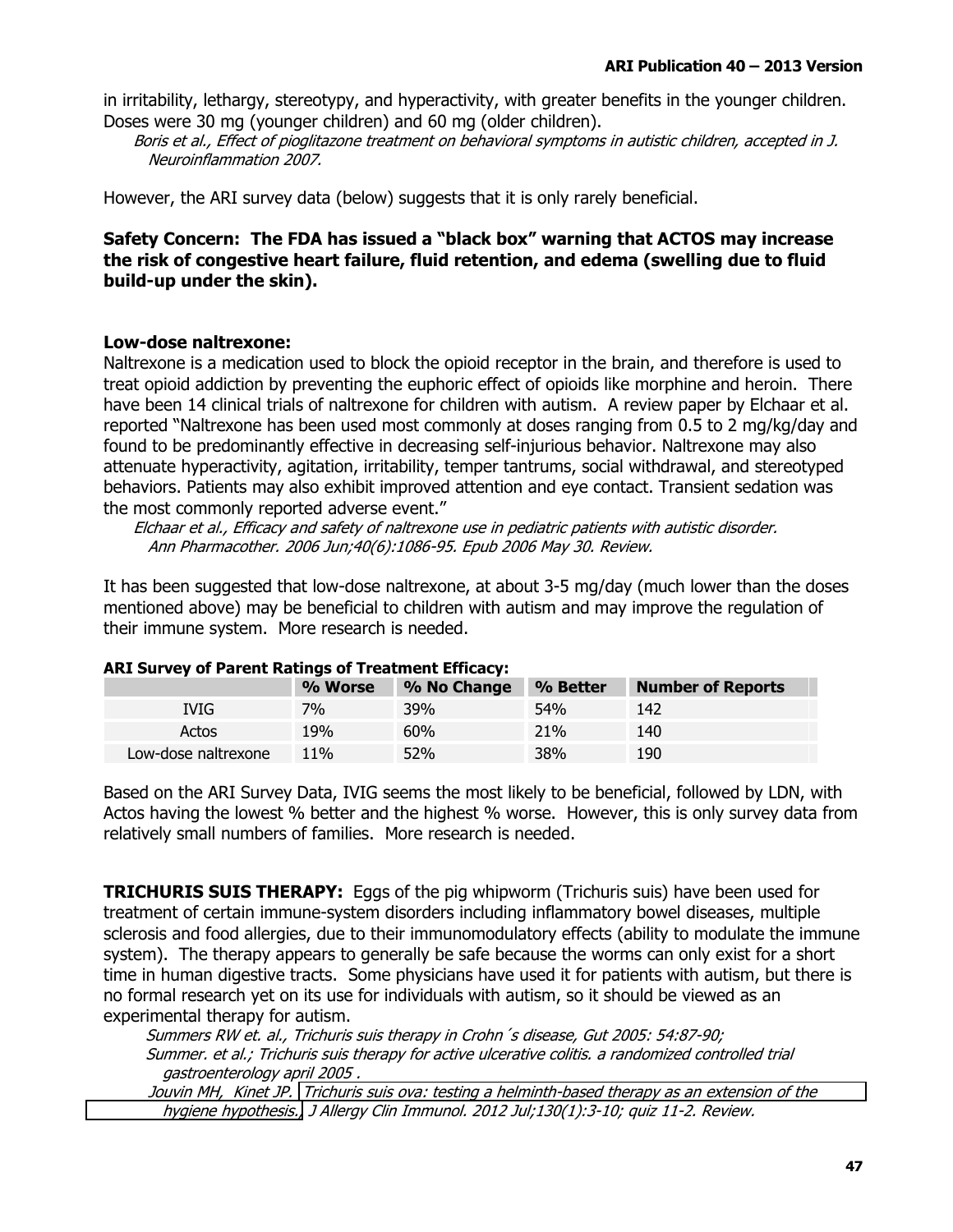in irritability, lethargy, stereotypy, and hyperactivity, with greater benefits in the younger children. Doses were 30 mg (younger children) and 60 mg (older children).

Boris et al., Effect of pioglitazone treatment on behavioral symptoms in autistic children, accepted in J. Neuroinflammation 2007.

However, the ARI survey data (below) suggests that it is only rarely beneficial.

### Safety Concern: The FDA has issued a "black box" warning that ACTOS may increase the risk of congestive heart failure, fluid retention, and edema (swelling due to fluid build-up under the skin).

### Low-dose naltrexone:

Naltrexone is a medication used to block the opioid receptor in the brain, and therefore is used to treat opioid addiction by preventing the euphoric effect of opioids like morphine and heroin. There have been 14 clinical trials of naltrexone for children with autism. A review paper by Elchaar et al. reported "Naltrexone has been used most commonly at doses ranging from 0.5 to 2 mg/kg/day and found to be predominantly effective in decreasing self-injurious behavior. Naltrexone may also attenuate hyperactivity, agitation, irritability, temper tantrums, social withdrawal, and stereotyped behaviors. Patients may also exhibit improved attention and eye contact. Transient sedation was the most commonly reported adverse event."

Elchaar et al., Efficacy and safety of naltrexone use in pediatric patients with autistic disorder. Ann Pharmacother. 2006 Jun;40(6):1086-95. Epub 2006 May 30. Review.

It has been suggested that low-dose naltrexone, at about 3-5 mg/day (much lower than the doses mentioned above) may be beneficial to children with autism and may improve the regulation of their immune system. More research is needed.

| ANI SUIVEY OF FRIENC NAMINGS OF FICAMING LINGUY. |         |             |            |                          |  |  |  |  |  |  |  |
|--------------------------------------------------|---------|-------------|------------|--------------------------|--|--|--|--|--|--|--|
|                                                  | % Worse | % No Change | % Better   | <b>Number of Reports</b> |  |  |  |  |  |  |  |
| IVIG.                                            | 7%      | <b>39%</b>  | <b>54%</b> | 142                      |  |  |  |  |  |  |  |
| Actos                                            | 19%     | 60%         | 21%        | 140                      |  |  |  |  |  |  |  |
| Low-dose naltrexone                              | 11\%    | <b>52%</b>  | <b>38%</b> | 190                      |  |  |  |  |  |  |  |

### ART Survey of Parent Ratings of Treatment Efficacy:

Based on the ARI Survey Data, IVIG seems the most likely to be beneficial, followed by LDN, with Actos having the lowest % better and the highest % worse. However, this is only survey data from relatively small numbers of families. More research is needed.

**TRICHURIS SUIS THERAPY:** Eggs of the pig whipworm (Trichuris suis) have been used for treatment of certain immune-system disorders including inflammatory bowel diseases, multiple sclerosis and food allergies, due to their immunomodulatory effects (ability to modulate the immune system). The therapy appears to generally be safe because the worms can only exist for a short time in human digestive tracts. Some physicians have used it for patients with autism, but there is no formal research yet on its use for individuals with autism, so it should be viewed as an experimental therapy for autism.

Summers RW et. al., Trichuris suis therapy in Crohn's disease, Gut 2005: 54:87-90; Summer. et al.; Trichuris suis therapy for active ulcerative colitis. a randomized controlled trial gastroenterology april 2005.

Jouvin MH, Kinet JP. Trichuris suis ova: testing a helminth-based therapy as an extension of the hygiene hypothesis., J Allergy Clin Immunol. 2012 Jul;130(1):3-10; quiz 11-2. Review.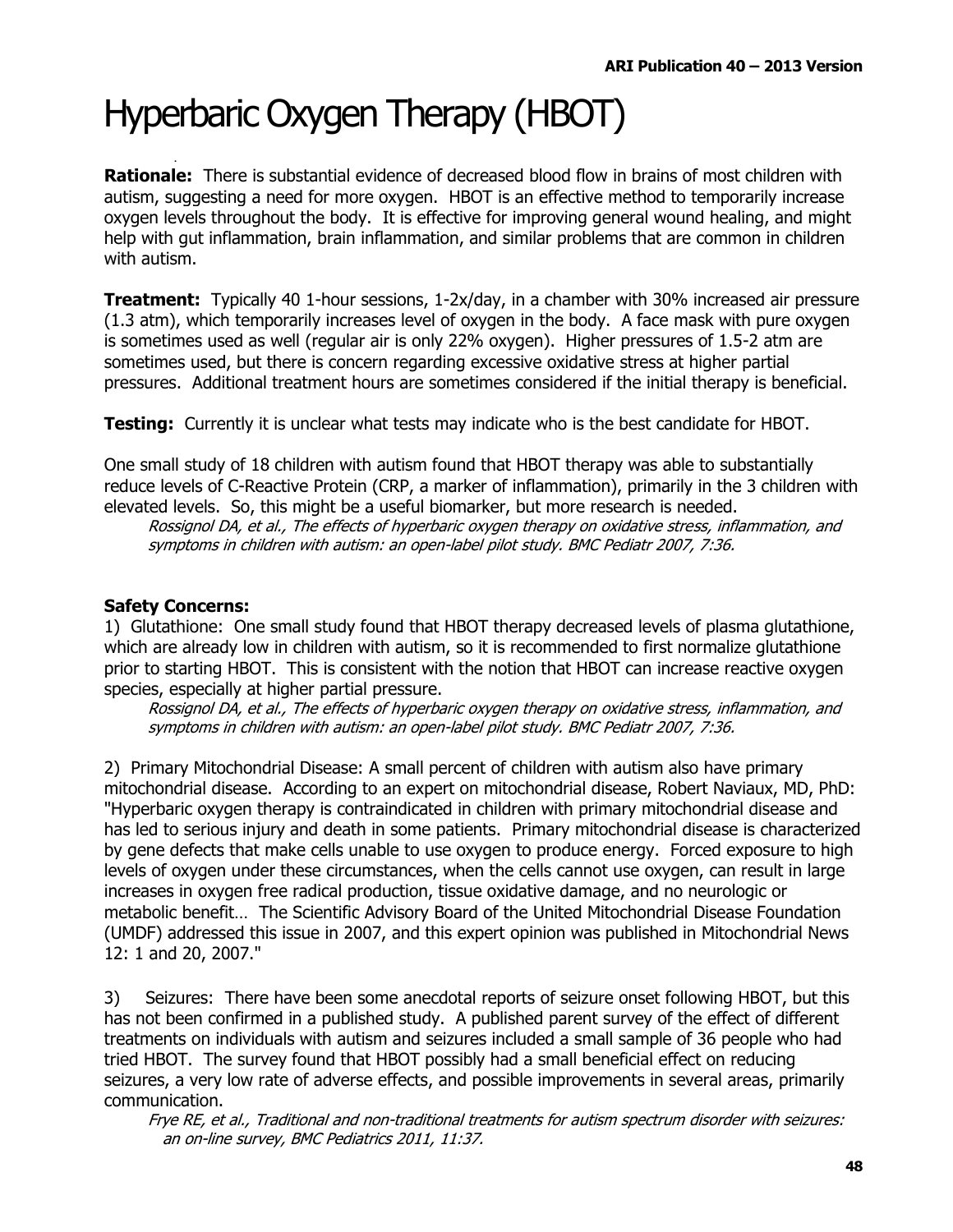# Hyperbaric Oxygen Therapy (HBOT)

**Rationale:** There is substantial evidence of decreased blood flow in brains of most children with autism, suggesting a need for more oxygen. HBOT is an effective method to temporarily increase oxygen levels throughout the body. It is effective for improving general wound healing, and might help with qut inflammation, brain inflammation, and similar problems that are common in children with autism.

**Treatment:** Typically 40 1-hour sessions, 1-2x/day, in a chamber with 30% increased air pressure (1.3 atm), which temporarily increases level of oxygen in the body. A face mask with pure oxygen is sometimes used as well (regular air is only 22% oxygen). Higher pressures of 1.5-2 atm are sometimes used, but there is concern regarding excessive oxidative stress at higher partial pressures. Additional treatment hours are sometimes considered if the initial therapy is beneficial.

**Testing:** Currently it is unclear what tests may indicate who is the best candidate for HBOT.

One small study of 18 children with autism found that HBOT therapy was able to substantially reduce levels of C-Reactive Protein (CRP, a marker of inflammation), primarily in the 3 children with elevated levels. So, this might be a useful biomarker, but more research is needed.

Rossignol DA, et al., The effects of hyperbaric oxygen therapy on oxidative stress, inflammation, and symptoms in children with autism: an open-label pilot study. BMC Pediatr 2007, 7:36.

### **Safety Concerns:**

1) Glutathione: One small study found that HBOT therapy decreased levels of plasma glutathione, which are already low in children with autism, so it is recommended to first normalize glutathione prior to starting HBOT. This is consistent with the notion that HBOT can increase reactive oxygen species, especially at higher partial pressure.

Rossignol DA, et al., The effects of hyperbaric oxygen therapy on oxidative stress, inflammation, and symptoms in children with autism: an open-label pilot study. BMC Pediatr 2007, 7:36.

2) Primary Mitochondrial Disease: A small percent of children with autism also have primary mitochondrial disease. According to an expert on mitochondrial disease, Robert Naviaux, MD, PhD: "Hyperbaric oxygen therapy is contraindicated in children with primary mitochondrial disease and has led to serious injury and death in some patients. Primary mitochondrial disease is characterized by gene defects that make cells unable to use oxygen to produce energy. Forced exposure to high levels of oxygen under these circumstances, when the cells cannot use oxygen, can result in large increases in oxygen free radical production, tissue oxidative damage, and no neurologic or metabolic benefit... The Scientific Advisory Board of the United Mitochondrial Disease Foundation (UMDF) addressed this issue in 2007, and this expert opinion was published in Mitochondrial News 12: 1 and 20, 2007."

 $3)$ Seizures: There have been some anecdotal reports of seizure onset following HBOT, but this has not been confirmed in a published study. A published parent survey of the effect of different treatments on individuals with autism and seizures included a small sample of 36 people who had tried HBOT. The survey found that HBOT possibly had a small beneficial effect on reducing seizures, a very low rate of adverse effects, and possible improvements in several areas, primarily communication.

Frye RE, et al., Traditional and non-traditional treatments for autism spectrum disorder with seizures: an on-line survey, BMC Pediatrics 2011, 11:37.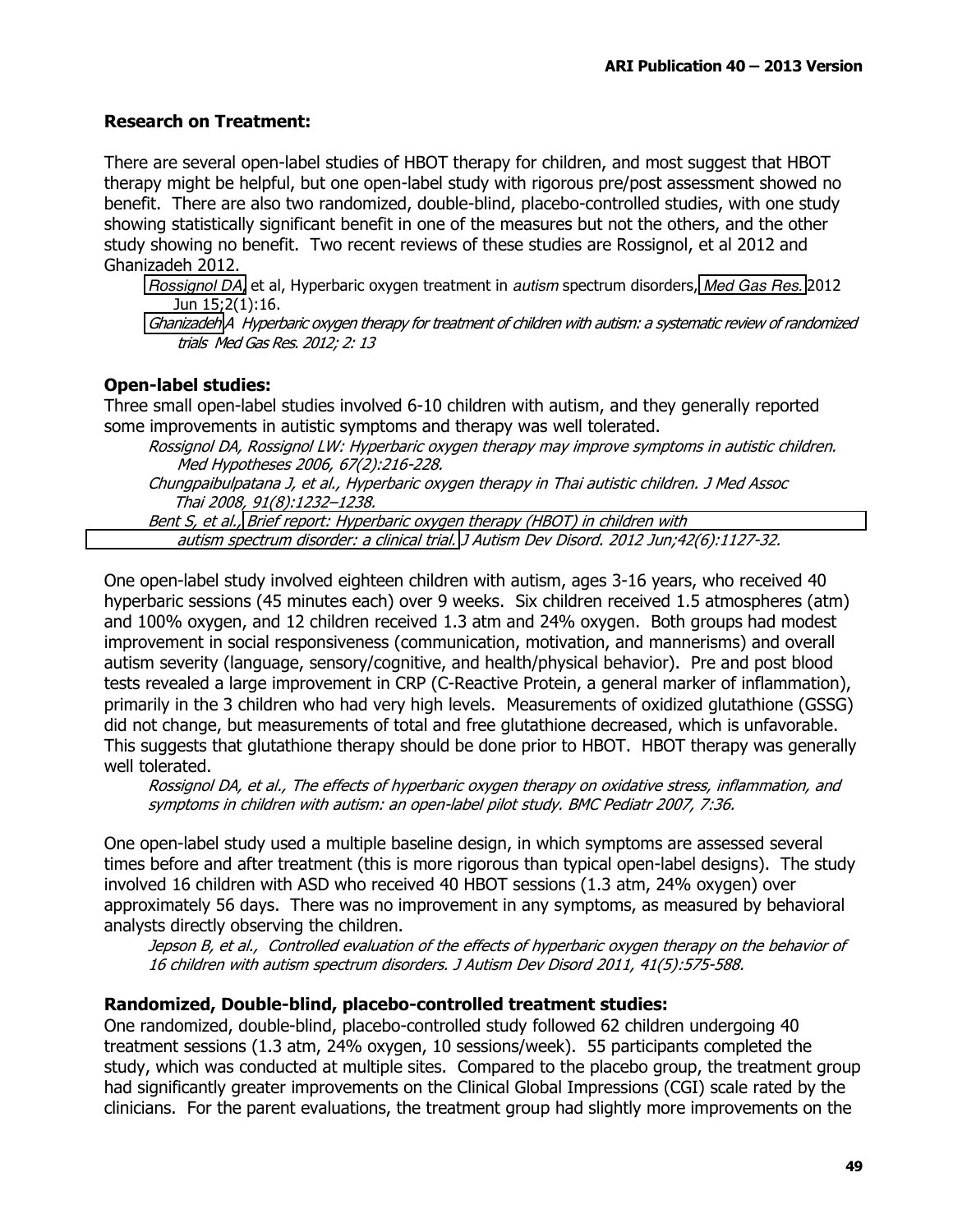### **Research on Treatment:**

There are several open-label studies of HBOT therapy for children, and most suggest that HBOT therapy might be helpful, but one open-label study with rigorous pre/post assessment showed no benefit. There are also two randomized, double-blind, placebo-controlled studies, with one study showing statistically significant benefit in one of the measures but not the others, and the other study showing no benefit. Two recent reviews of these studies are Rossignol, et al 2012 and Ghanizadeh 2012.

Rossignol DA, et al, Hyperbaric oxygen treatment in *autism* spectrum disorders, Med Gas Res. 2012 Jun 15;2(1):16.

Ghanizadeh A Hyperbaric oxygen therapy for treatment of children with autism: a systematic review of randomized trials Med Gas Res. 2012; 2: 13

### **Open-label studies:**

Three small open-label studies involved 6-10 children with autism, and they generally reported some improvements in autistic symptoms and therapy was well tolerated.

Rossignol DA, Rossignol LW: Hyperbaric oxygen therapy may improve symptoms in autistic children. Med Hypotheses 2006, 67(2):216-228.

Chungpaibulpatana J, et al., Hyperbaric oxygen therapy in Thai autistic children. J Med Assoc Thai 2008, 91(8):1232-1238.

Bent S, et al., Brief report: Hyperbaric oxygen therapy (HBOT) in children with autism spectrum disorder: a clinical trial. J Autism Dev Disord. 2012 Jun;42(6):1127-32.

One open-label study involved eighteen children with autism, ages 3-16 years, who received 40 hyperbaric sessions (45 minutes each) over 9 weeks. Six children received 1.5 atmospheres (atm) and 100% oxygen, and 12 children received 1.3 atm and 24% oxygen. Both groups had modest improvement in social responsiveness (communication, motivation, and mannerisms) and overall autism severity (language, sensory/cognitive, and health/physical behavior). Pre and post blood tests revealed a large improvement in CRP (C-Reactive Protein, a general marker of inflammation), primarily in the 3 children who had very high levels. Measurements of oxidized glutathione (GSSG) did not change, but measurements of total and free glutathione decreased, which is unfavorable. This suggests that glutathione therapy should be done prior to HBOT. HBOT therapy was generally well tolerated.

Rossignol DA, et al., The effects of hyperbaric oxygen therapy on oxidative stress, inflammation, and symptoms in children with autism: an open-label pilot study. BMC Pediatr 2007, 7:36.

One open-label study used a multiple baseline design, in which symptoms are assessed several times before and after treatment (this is more rigorous than typical open-label designs). The study involved 16 children with ASD who received 40 HBOT sessions (1.3 atm, 24% oxygen) over approximately 56 days. There was no improvement in any symptoms, as measured by behavioral analysts directly observing the children.

Jepson B, et al., Controlled evaluation of the effects of hyperbaric oxygen therapy on the behavior of 16 children with autism spectrum disorders. J Autism Dev Disord 2011, 41(5):575-588.

### Randomized, Double-blind, placebo-controlled treatment studies:

One randomized, double-blind, placebo-controlled study followed 62 children undergoing 40 treatment sessions (1.3 atm, 24% oxygen, 10 sessions/week). 55 participants completed the study, which was conducted at multiple sites. Compared to the placebo group, the treatment group had significantly greater improvements on the Clinical Global Impressions (CGI) scale rated by the clinicians. For the parent evaluations, the treatment group had slightly more improvements on the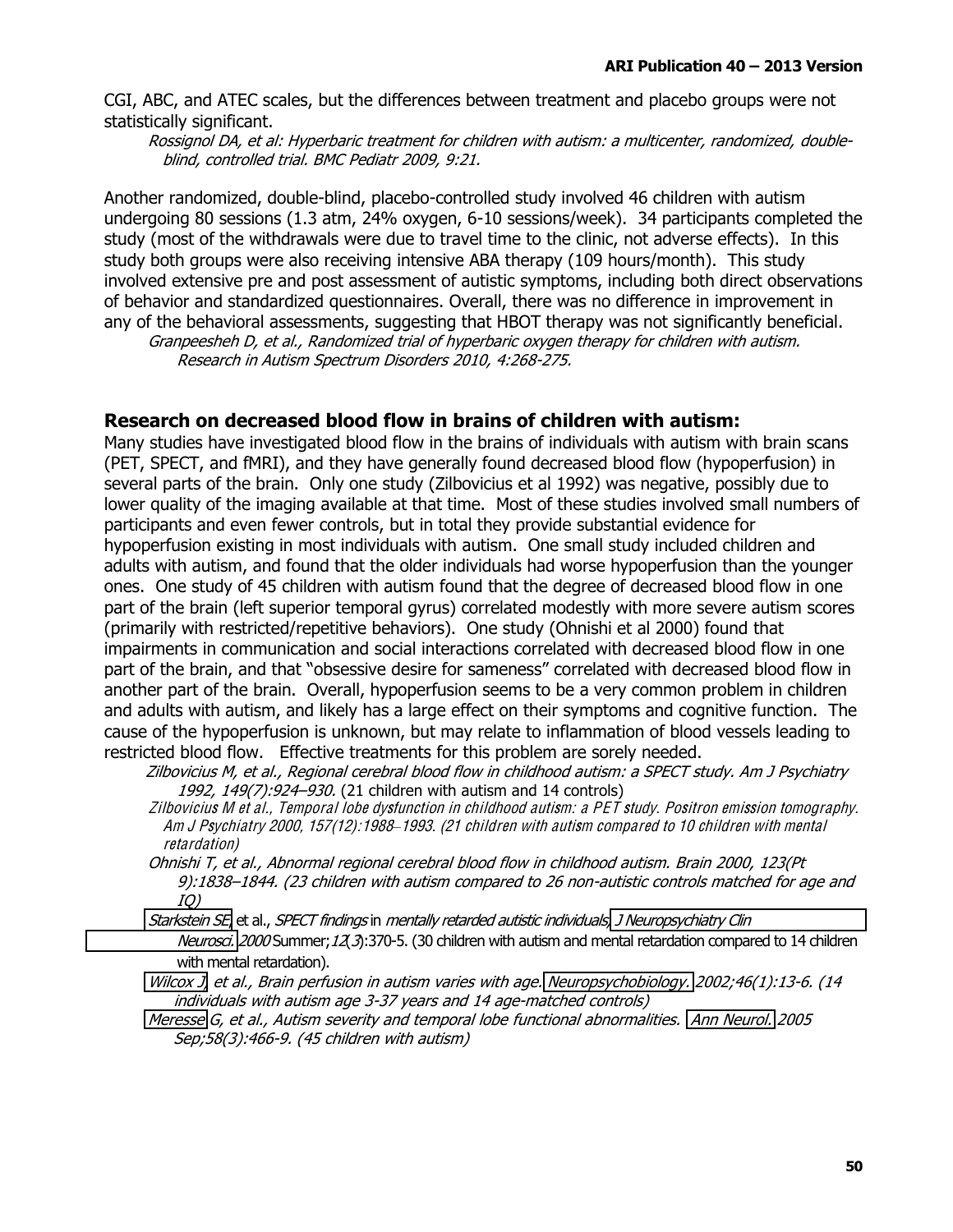CGI, ABC, and ATEC scales, but the differences between treatment and placebo groups were not statistically significant.

Rossignol DA, et al: Hyperbaric treatment for children with autism: a multicenter, randomized, doubleblind, controlled trial. BMC Pediatr 2009, 9:21.

Another randomized, double-blind, placebo-controlled study involved 46 children with autism undergoing 80 sessions (1.3 atm, 24% oxygen, 6-10 sessions/week). 34 participants completed the study (most of the withdrawals were due to travel time to the clinic, not adverse effects). In this study both groups were also receiving intensive ABA therapy (109 hours/month). This study involved extensive pre and post assessment of autistic symptoms, including both direct observations of behavior and standardized questionnaires. Overall, there was no difference in improvement in any of the behavioral assessments, suggesting that HBOT therapy was not significantly beneficial.

Granpeesheh D, et al., Randomized trial of hyperbaric oxygen therapy for children with autism. Research in Autism Spectrum Disorders 2010, 4:268-275.

### Research on decreased blood flow in brains of children with autism:

Many studies have investigated blood flow in the brains of individuals with autism with brain scans (PET, SPECT, and fMRI), and they have generally found decreased blood flow (hypoperfusion) in several parts of the brain. Only one study (Zilbovicius et al 1992) was negative, possibly due to lower quality of the imaging available at that time. Most of these studies involved small numbers of participants and even fewer controls, but in total they provide substantial evidence for hypoperfusion existing in most individuals with autism. One small study included children and adults with autism, and found that the older individuals had worse hypoperfusion than the younger ones. One study of 45 children with autism found that the degree of decreased blood flow in one part of the brain (left superior temporal gyrus) correlated modestly with more severe autism scores (primarily with restricted/repetitive behaviors). One study (Ohnishi et al 2000) found that impairments in communication and social interactions correlated with decreased blood flow in one part of the brain, and that "obsessive desire for sameness" correlated with decreased blood flow in another part of the brain. Overall, hypoperfusion seems to be a very common problem in children and adults with autism, and likely has a large effect on their symptoms and cognitive function. The cause of the hypoperfusion is unknown, but may relate to inflammation of blood vessels leading to restricted blood flow. Effective treatments for this problem are sorely needed.

Zilbovicius M, et al., Regional cerebral blood flow in childhood autism: a SPECT study. Am J Psychiatry 1992, 149(7): 924-930. (21 children with autism and 14 controls)

Zilbovicius M et al., Temporal lobe dysfunction in childhood autism: a PET study. Positron emission tomography. Am J Psychiatry 2000, 157(12): 1988–1993. (21 children with autism compared to 10 children with mental *retardation*)

Ohnishi T, et al., Abnormal regional cerebral blood flow in childhood autism. Brain 2000, 123(Pt 9):1838-1844. (23 children with autism compared to 26 non-autistic controls matched for age and  $IO)$ 

Starkstein SE, et al., SPECT findings in mentally retarded autistic individuals, J Neuropsychiatry Clin Neurosci. 2000 Summer; 12(3):370-5. (30 children with autism and mental retardation compared to 14 children with mental retardation).

Wilcox J, et al., Brain perfusion in autism varies with age. Neuropsychobiology. 2002;46(1):13-6. (14 individuals with autism age 3-37 years and 14 age-matched controls)

Meresse G, et al., Autism severity and temporal lobe functional abnormalities. Ann Neurol. 2005 Sep;58(3):466-9. (45 children with autism)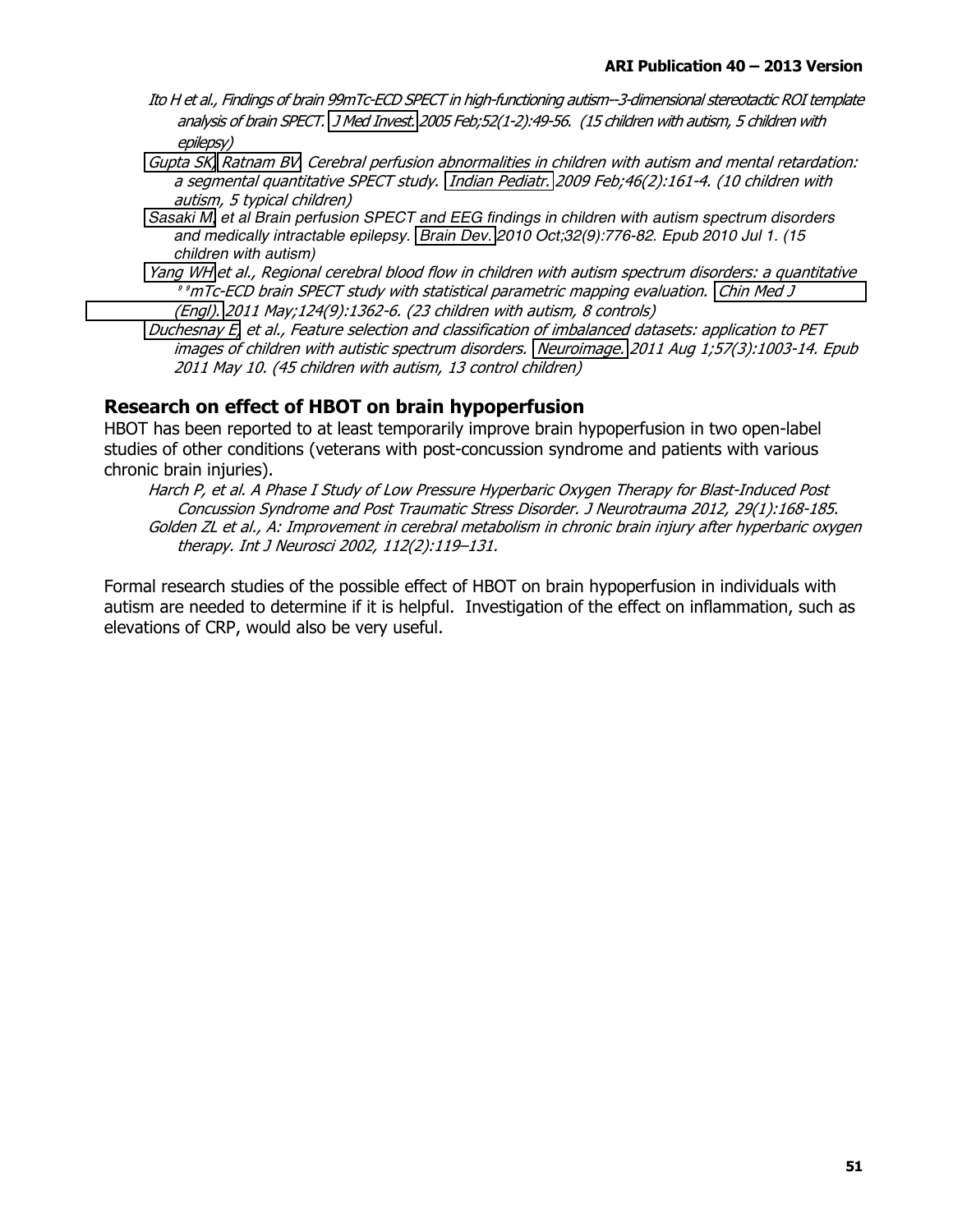- Ito H et al., Findings of brain 99mTc-ECD SPECT in high-functioning autism--3-dimensional stereotactic ROI template analysis of brain SPECT. J Med Invest. 2005 Feb;52(1-2):49-56. (15 children with autism, 5 children with epilepsy)
- Gupta SK, Ratnam BV. Cerebral perfusion abnormalities in children with autism and mental retardation: a segmental quantitative SPECT study. Indian Pediatr. 2009 Feb;46(2):161-4. (10 children with autism, 5 typical children)
- Sasaki M, et al Brain perfusion SPECT and EEG findings in children with autism spectrum disorders and medically intractable epilepsy. Brain Dev. 2010 Oct;32(9):776-82. Epub 2010 Jul 1. (15 children with autism)
- Yang WH et al., Regional cerebral blood flow in children with autism spectrum disorders: a quantitative <sup>9</sup> °mTc-ECD brain SPECT study with statistical parametric mapping evaluation. Chin Med J (Engl). 2011 May;124(9):1362-6. (23 children with autism, 8 controls)
- Duchesnay E, et al., Feature selection and classification of imbalanced datasets: application to PET images of children with autistic spectrum disorders. Neuroimage. 2011 Aug 1;57(3):1003-14. Epub 2011 May 10. (45 children with autism, 13 control children)

### Research on effect of HBOT on brain hypoperfusion

HBOT has been reported to at least temporarily improve brain hypoperfusion in two open-label studies of other conditions (veterans with post-concussion syndrome and patients with various chronic brain injuries).

Harch P, et al. A Phase I Study of Low Pressure Hyperbaric Oxygen Therapy for Blast-Induced Post Concussion Syndrome and Post Traumatic Stress Disorder, J Neurotrauma 2012, 29(1):168-185. Golden ZL et al., A: Improvement in cerebral metabolism in chronic brain injury after hyperbaric oxygen therapy. Int J Neurosci 2002, 112(2):119-131.

Formal research studies of the possible effect of HBOT on brain hypoperfusion in individuals with autism are needed to determine if it is helpful. Investigation of the effect on inflammation, such as elevations of CRP, would also be very useful.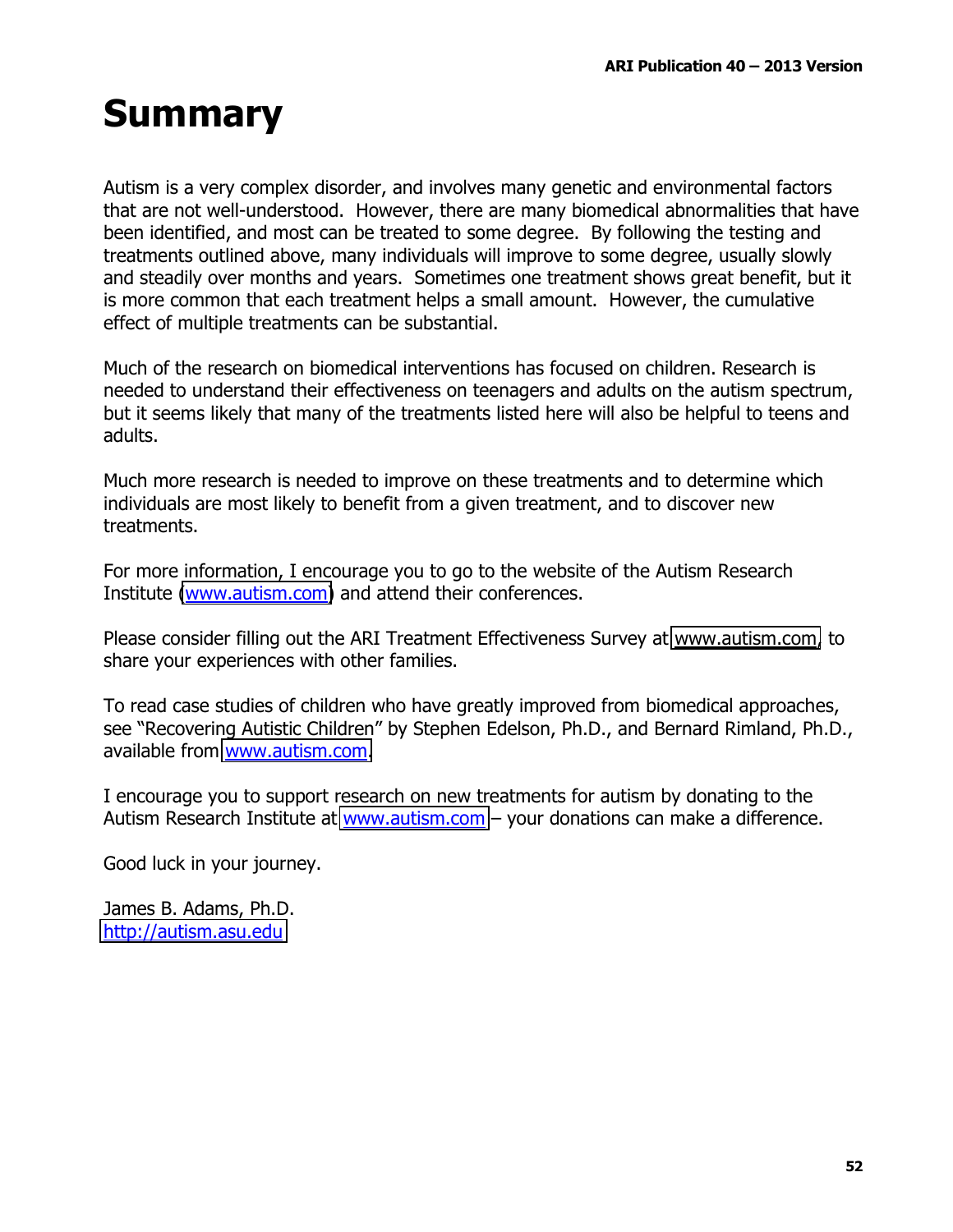### **Summary**

Autism is a very complex disorder, and involves many genetic and environmental factors that are not well-understood. However, there are many biomedical abnormalities that have been identified, and most can be treated to some degree. By following the testing and treatments outlined above, many individuals will improve to some degree, usually slowly and steadily over months and years. Sometimes one treatment shows great benefit, but it is more common that each treatment helps a small amount. However, the cumulative effect of multiple treatments can be substantial.

Much of the research on biomedical interventions has focused on children. Research is needed to understand their effectiveness on teenagers and adults on the autism spectrum, but it seems likely that many of the treatments listed here will also be helpful to teens and adults.

Much more research is needed to improve on these treatments and to determine which individuals are most likely to benefit from a given treatment, and to discover new treatments.

For more information, I encourage you to go to the website of the Autism Research Institute (www.autism.com) and attend their conferences.

Please consider filling out the ARI Treatment Effectiveness Survey at www.autism.com, to share your experiences with other families.

To read case studies of children who have greatly improved from biomedical approaches, see "Recovering Autistic Children" by Stephen Edelson, Ph.D., and Bernard Rimland, Ph.D., available from www.autism.com.

I encourage you to support research on new treatments for autism by donating to the Autism Research Institute at www.autism.com - your donations can make a difference.

Good luck in your journey.

James B. Adams, Ph.D. http://autism.asu.edu